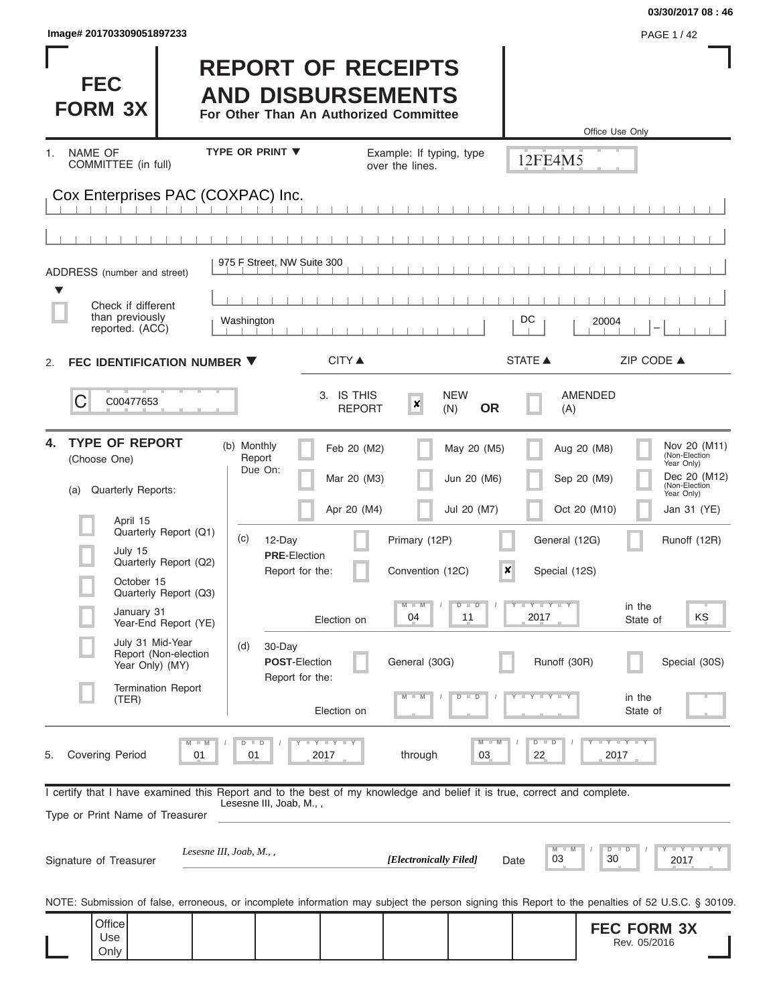| Image# 201703309051897233 | <b>PAGE 1/42</b> |
|---------------------------|------------------|
|---------------------------|------------------|

Only

### **03/30/2017 08 : 46**

Rev. 05/2016

| <b>FEC</b><br><b>FORM 3X</b>                                                                                                                                       | <b>REPORT OF RECEIPTS</b><br><b>AND DISBURSEMENTS</b><br>For Other Than An Authorized Committee |                                                    |                                                  | Office Use Only                                                                                                                                         |
|--------------------------------------------------------------------------------------------------------------------------------------------------------------------|-------------------------------------------------------------------------------------------------|----------------------------------------------------|--------------------------------------------------|---------------------------------------------------------------------------------------------------------------------------------------------------------|
| <b>NAME OF</b><br>1.<br>COMMITTEE (in full)                                                                                                                        | <b>TYPE OR PRINT ▼</b>                                                                          | Example: If typing, type<br>over the lines.        | 12FE4M5                                          |                                                                                                                                                         |
| Cox Enterprises PAC (COXPAC) Inc.                                                                                                                                  |                                                                                                 |                                                    |                                                  |                                                                                                                                                         |
|                                                                                                                                                                    |                                                                                                 |                                                    |                                                  |                                                                                                                                                         |
| ADDRESS (number and street)                                                                                                                                        | 975 F Street, NW Suite 300                                                                      |                                                    |                                                  |                                                                                                                                                         |
| ▼<br>Check if different                                                                                                                                            |                                                                                                 |                                                    |                                                  |                                                                                                                                                         |
| than previously<br>reported. (ACC)                                                                                                                                 | Washington                                                                                      |                                                    | DC                                               | 20004                                                                                                                                                   |
| FEC IDENTIFICATION NUMBER ▼<br>2.                                                                                                                                  | CITY ▲                                                                                          |                                                    | <b>STATE ▲</b>                                   | ZIP CODE $\triangle$                                                                                                                                    |
| C<br>C00477653                                                                                                                                                     | 3. IS THIS<br><b>REPORT</b>                                                                     | <b>NEW</b><br>$\boldsymbol{x}$<br><b>OR</b><br>(N) | (A)                                              | <b>AMENDED</b>                                                                                                                                          |
| <b>TYPE OF REPORT</b><br>4.<br>(Choose One)<br>Quarterly Reports:<br>(a)                                                                                           | (b) Monthly<br>Feb 20 (M2)<br>Report<br>Due On:<br>Mar 20 (M3)<br>Apr 20 (M4)                   | May 20 (M5)<br>Jun 20 (M6)<br>Jul 20 (M7)          |                                                  | Nov 20 (M11)<br>Aug 20 (M8)<br>(Non-Election<br>Year Only)<br>Dec 20 (M12)<br>Sep 20 (M9)<br>(Non-Election<br>Year Only)<br>Oct 20 (M10)<br>Jan 31 (YE) |
| April 15<br>Quarterly Report (Q1)<br>July 15<br>Quarterly Report (Q2)<br>October 15                                                                                | (c)<br>12-Day<br><b>PRE</b> Election<br>Report for the:                                         | Primary (12P)<br>Convention (12C)                  | General (12G)<br>$\pmb{\times}$<br>Special (12S) | Runoff (12R)                                                                                                                                            |
| Quarterly Report (Q3)<br>January 31<br>Year-End Report (YE)                                                                                                        | Election on                                                                                     | $M - M$<br>$D$ $D$<br>04<br>11                     | Y I Y I Y I Y<br>2017                            | in the<br>ΚŞ<br>State of                                                                                                                                |
| July 31 Mid-Year<br>Report (Non-election<br>Year Only) (MY)                                                                                                        | 30-Day<br>(d)<br><b>POST-Election</b><br>Report for the:                                        | General (30G)                                      | Runoff (30R)                                     | Special (30S)                                                                                                                                           |
| <b>Termination Report</b><br>(TER)                                                                                                                                 | Election on                                                                                     | $M - M$<br>$D$ $D$                                 | $T$ $Y$ $Y$ $T$ $Y$                              | in the<br>State of                                                                                                                                      |
| $M - M$<br><b>Covering Period</b><br>5.<br>01                                                                                                                      | $T - Y$ $T - Y$ $T - Y$<br>$D$ $D$<br>2017<br>01                                                | $M - M$<br>through<br>03                           | $D$ $D$<br>22                                    | $Y - Y - Y - I - Y$<br>2017                                                                                                                             |
| I certify that I have examined this Report and to the best of my knowledge and belief it is true, correct and complete.<br>Type or Print Name of Treasurer         | Lesesne III, Joab, M.,,                                                                         |                                                    |                                                  |                                                                                                                                                         |
| Signature of Treasurer                                                                                                                                             | Lesesne III, Joab, $M_{\cdot}$ ,                                                                | [Electronically Filed]                             | M<br>03<br>Date                                  | $Y = Y = Y + Y + Y$<br>$D$ $D$<br>30<br>2017                                                                                                            |
| NOTE: Submission of false, erroneous, or incomplete information may subject the person signing this Report to the penalties of 52 U.S.C. § 30109.<br>Office<br>Use |                                                                                                 |                                                    |                                                  | <b>FEC FORM 3X</b>                                                                                                                                      |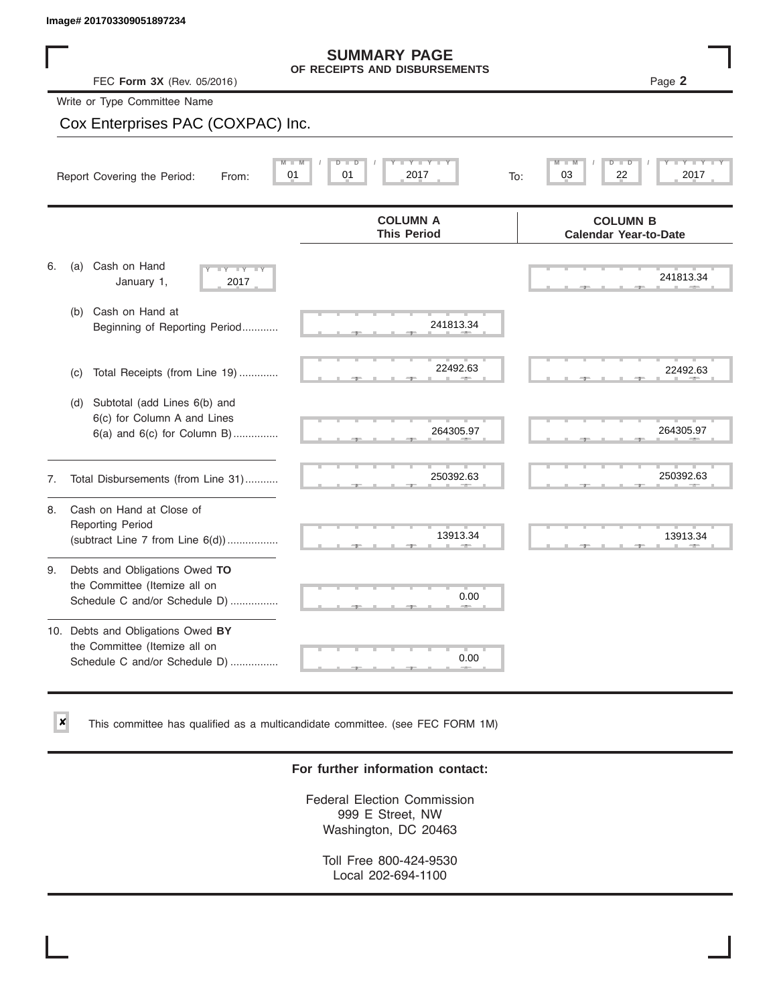$\vert x \vert$ 

|    | Image# 201703309051897234                                                                           |                                                                                      |                                                                         |
|----|-----------------------------------------------------------------------------------------------------|--------------------------------------------------------------------------------------|-------------------------------------------------------------------------|
|    | FEC Form 3X (Rev. 05/2016)                                                                          | <b>SUMMARY PAGE</b><br>OF RECEIPTS AND DISBURSEMENTS                                 | Page 2                                                                  |
|    | Write or Type Committee Name                                                                        |                                                                                      |                                                                         |
|    | Cox Enterprises PAC (COXPAC) Inc.                                                                   |                                                                                      |                                                                         |
|    | Report Covering the Period:<br>From:                                                                | $T - Y = T Y$<br>$M^{-1}$<br>$D$ $\Box$<br>$\overline{D}$<br>01<br>01<br>2017<br>To: | $\overline{M}$<br>$\overline{\mathsf{D}}$<br>т<br>D<br>03<br>22<br>2017 |
|    |                                                                                                     | <b>COLUMN A</b><br><b>This Period</b>                                                | <b>COLUMN B</b><br><b>Calendar Year-to-Date</b>                         |
| 6. | Cash on Hand<br>(a)<br>$-Y - Y - IY$<br>January 1,<br>2017                                          |                                                                                      | 241813.34                                                               |
|    | Cash on Hand at<br>(b)<br>Beginning of Reporting Period                                             | 241813.34                                                                            |                                                                         |
|    | Total Receipts (from Line 19)<br>(c)                                                                | 22492.63                                                                             | 22492.63                                                                |
|    | Subtotal (add Lines 6(b) and<br>(d)<br>6(c) for Column A and Lines<br>6(a) and 6(c) for Column B)   | 264305.97                                                                            | 264305.97                                                               |
| 7. | Total Disbursements (from Line 31)                                                                  | 250392.63                                                                            | 250392.63                                                               |
| 8. | Cash on Hand at Close of<br><b>Reporting Period</b><br>(subtract Line $7$ from Line $6(d)$ )        | 13913.34                                                                             | 13913.34                                                                |
| 9. | Debts and Obligations Owed TO<br>the Committee (Itemize all on<br>Schedule C and/or Schedule D)     | 0.00                                                                                 |                                                                         |
|    | 10. Debts and Obligations Owed BY<br>the Committee (Itemize all on<br>Schedule C and/or Schedule D) | 0.00                                                                                 |                                                                         |

This committee has qualified as a multicandidate committee. (see FEC FORM 1M)

### **For further information contact:**

Federal Election Commission 999 E Street, NW Washington, DC 20463

Toll Free 800-424-9530 Local 202-694-1100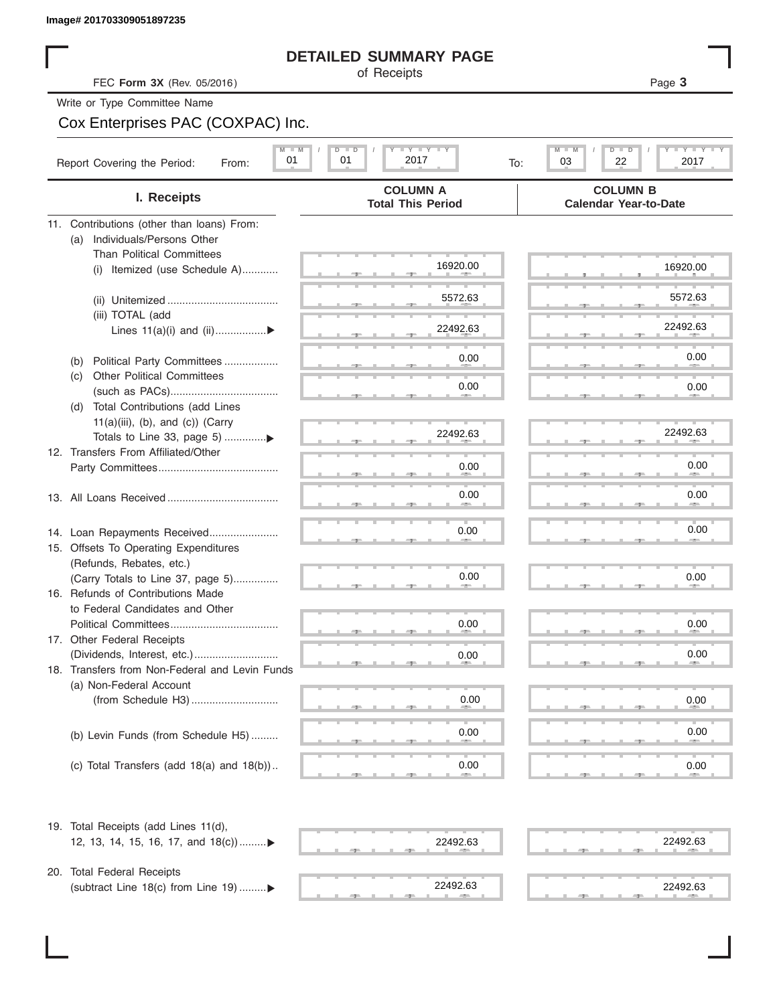## **DETAILED SUMMARY PAGE**

## Cox Enterprises PAC (COXPAC) Inc.

| (a)<br>(b) | FEC Form 3X (Rev. 05/2016)<br>Write or Type Committee Name<br>Cox Enterprises PAC (COXPAC) Inc.<br>$M$ $M$<br>01<br>Report Covering the Period:<br>From:<br>I. Receipts<br>11. Contributions (other than loans) From:<br>Individuals/Persons Other<br><b>Than Political Committees</b><br>Itemized (use Schedule A)<br>(i)<br>(iii) TOTAL (add<br>Lines $11(a)(i)$ and $(ii)$<br>Political Party Committees | $I - Y - I - Y - I - Y$<br>$D$ $D$<br>01<br>2017<br><b>COLUMN A</b><br><b>Total This Period</b><br>16920.00<br>5572.63<br>22492.63<br>0.00 | Page 3<br>$T$ $T$ $T$ $T$ $T$ $T$ $T$<br>$M - M$<br>$D$ $\Box$ $D$<br>03<br>22<br>2017<br>To:<br><b>COLUMN B</b><br><b>Calendar Year-to-Date</b><br>16920.00<br>5572.63<br>22492.63 |
|------------|-------------------------------------------------------------------------------------------------------------------------------------------------------------------------------------------------------------------------------------------------------------------------------------------------------------------------------------------------------------------------------------------------------------|--------------------------------------------------------------------------------------------------------------------------------------------|-------------------------------------------------------------------------------------------------------------------------------------------------------------------------------------|
|            |                                                                                                                                                                                                                                                                                                                                                                                                             |                                                                                                                                            |                                                                                                                                                                                     |
|            |                                                                                                                                                                                                                                                                                                                                                                                                             |                                                                                                                                            |                                                                                                                                                                                     |
|            |                                                                                                                                                                                                                                                                                                                                                                                                             |                                                                                                                                            |                                                                                                                                                                                     |
|            |                                                                                                                                                                                                                                                                                                                                                                                                             |                                                                                                                                            |                                                                                                                                                                                     |
|            |                                                                                                                                                                                                                                                                                                                                                                                                             |                                                                                                                                            |                                                                                                                                                                                     |
|            |                                                                                                                                                                                                                                                                                                                                                                                                             |                                                                                                                                            |                                                                                                                                                                                     |
|            |                                                                                                                                                                                                                                                                                                                                                                                                             |                                                                                                                                            |                                                                                                                                                                                     |
|            |                                                                                                                                                                                                                                                                                                                                                                                                             |                                                                                                                                            |                                                                                                                                                                                     |
|            |                                                                                                                                                                                                                                                                                                                                                                                                             |                                                                                                                                            |                                                                                                                                                                                     |
|            |                                                                                                                                                                                                                                                                                                                                                                                                             |                                                                                                                                            |                                                                                                                                                                                     |
|            |                                                                                                                                                                                                                                                                                                                                                                                                             |                                                                                                                                            |                                                                                                                                                                                     |
|            |                                                                                                                                                                                                                                                                                                                                                                                                             |                                                                                                                                            |                                                                                                                                                                                     |
|            |                                                                                                                                                                                                                                                                                                                                                                                                             |                                                                                                                                            | 0.00                                                                                                                                                                                |
| (C)        | <b>Other Political Committees</b>                                                                                                                                                                                                                                                                                                                                                                           |                                                                                                                                            |                                                                                                                                                                                     |
|            |                                                                                                                                                                                                                                                                                                                                                                                                             | 0.00                                                                                                                                       | 0.00                                                                                                                                                                                |
| (d)        | Total Contributions (add Lines                                                                                                                                                                                                                                                                                                                                                                              |                                                                                                                                            |                                                                                                                                                                                     |
|            | $11(a)(iii)$ , (b), and (c)) (Carry                                                                                                                                                                                                                                                                                                                                                                         | 22492.63                                                                                                                                   | 22492.63                                                                                                                                                                            |
|            | 12. Transfers From Affiliated/Other                                                                                                                                                                                                                                                                                                                                                                         |                                                                                                                                            |                                                                                                                                                                                     |
|            |                                                                                                                                                                                                                                                                                                                                                                                                             | 0.00                                                                                                                                       | 0.00                                                                                                                                                                                |
|            |                                                                                                                                                                                                                                                                                                                                                                                                             |                                                                                                                                            |                                                                                                                                                                                     |
|            |                                                                                                                                                                                                                                                                                                                                                                                                             | 0.00                                                                                                                                       | 0.00                                                                                                                                                                                |
|            |                                                                                                                                                                                                                                                                                                                                                                                                             |                                                                                                                                            |                                                                                                                                                                                     |
|            | 14. Loan Repayments Received                                                                                                                                                                                                                                                                                                                                                                                | 0.00                                                                                                                                       | 0.00                                                                                                                                                                                |
|            | 15. Offsets To Operating Expenditures<br>(Refunds, Rebates, etc.)                                                                                                                                                                                                                                                                                                                                           |                                                                                                                                            |                                                                                                                                                                                     |
|            | (Carry Totals to Line 37, page 5)                                                                                                                                                                                                                                                                                                                                                                           | 0.00                                                                                                                                       | 0.00                                                                                                                                                                                |
|            | 16. Refunds of Contributions Made                                                                                                                                                                                                                                                                                                                                                                           |                                                                                                                                            |                                                                                                                                                                                     |
|            | to Federal Candidates and Other                                                                                                                                                                                                                                                                                                                                                                             |                                                                                                                                            |                                                                                                                                                                                     |
|            | Political Committees<br>17. Other Federal Receipts                                                                                                                                                                                                                                                                                                                                                          | 0.00                                                                                                                                       | 0.00                                                                                                                                                                                |
|            | (Dividends, Interest, etc.)                                                                                                                                                                                                                                                                                                                                                                                 | 0.00                                                                                                                                       | 0.00                                                                                                                                                                                |
|            | 18. Transfers from Non-Federal and Levin Funds                                                                                                                                                                                                                                                                                                                                                              |                                                                                                                                            |                                                                                                                                                                                     |
|            | (a) Non-Federal Account                                                                                                                                                                                                                                                                                                                                                                                     |                                                                                                                                            |                                                                                                                                                                                     |
|            |                                                                                                                                                                                                                                                                                                                                                                                                             | 0.00                                                                                                                                       | 0.00                                                                                                                                                                                |
|            |                                                                                                                                                                                                                                                                                                                                                                                                             |                                                                                                                                            |                                                                                                                                                                                     |
|            | (b) Levin Funds (from Schedule H5)                                                                                                                                                                                                                                                                                                                                                                          | 0.00                                                                                                                                       | 0.00                                                                                                                                                                                |
|            | (c) Total Transfers (add 18(a) and 18(b))                                                                                                                                                                                                                                                                                                                                                                   | 0.00                                                                                                                                       | 0.00                                                                                                                                                                                |
|            |                                                                                                                                                                                                                                                                                                                                                                                                             |                                                                                                                                            |                                                                                                                                                                                     |

12, 13, 14, 15, 16, 17, and 18(c))......... ▼ ▼

20. Total Federal Receipts (subtract Line 18(c) from Line 19) ......... $\blacktriangleright$ 



|   |  | 22492.63<br>and the company of the company of |  | . |      |  |  | <b>Contract</b> | 22492.63<br><b>Contract Contract Contract Contract</b> |  |
|---|--|-----------------------------------------------|--|---|------|--|--|-----------------|--------------------------------------------------------|--|
|   |  |                                               |  |   |      |  |  |                 |                                                        |  |
| ш |  | −<br>22492.63                                 |  | ш | T IT |  |  |                 | 22492.63                                               |  |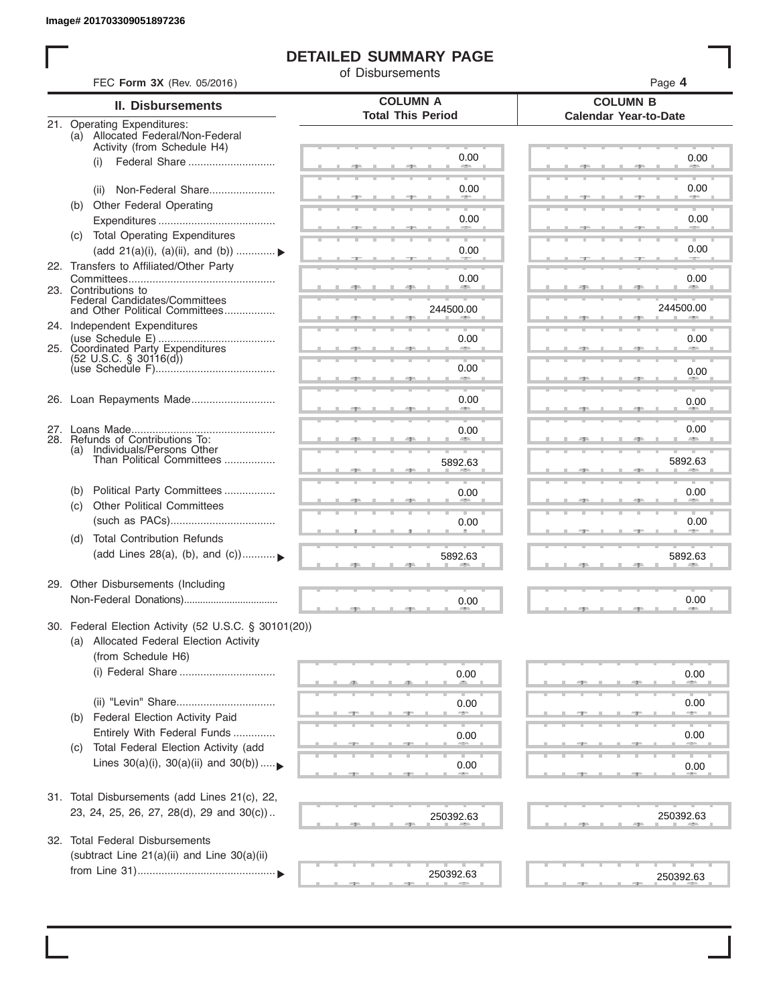# **DETAILED SUMMARY PAGE**

of Disbursements

| FEC Form 3X (Rev. 05/2016)                                                                                             |                                             | Page 4                                          |  |  |  |  |  |  |
|------------------------------------------------------------------------------------------------------------------------|---------------------------------------------|-------------------------------------------------|--|--|--|--|--|--|
| <b>II. Disbursements</b>                                                                                               | <b>COLUMN A</b><br><b>Total This Period</b> | <b>COLUMN B</b><br><b>Calendar Year-to-Date</b> |  |  |  |  |  |  |
| 21. Operating Expenditures:<br>(a) Allocated Federal/Non-Federal<br>Activity (from Schedule H4)                        |                                             |                                                 |  |  |  |  |  |  |
| Federal Share<br>(i)                                                                                                   | 0.00                                        | 0.00                                            |  |  |  |  |  |  |
| Non-Federal Share<br>(ii)                                                                                              | 0.00                                        | 0.00                                            |  |  |  |  |  |  |
| Other Federal Operating<br>(b)                                                                                         | 0.00                                        | 0.00                                            |  |  |  |  |  |  |
| (c) Total Operating Expenditures                                                                                       |                                             | 0.00                                            |  |  |  |  |  |  |
| (add 21(a)(i), (a)(ii), and (b))<br>22. Transfers to Affiliated/Other Party                                            | 0.00                                        |                                                 |  |  |  |  |  |  |
| 23. Contributions to                                                                                                   | 0.00                                        | 0.00                                            |  |  |  |  |  |  |
| Federal Candidates/Committees<br>and Other Political Committees                                                        | 244500.00                                   | 244500.00                                       |  |  |  |  |  |  |
| 24. Independent Expenditures<br>25. Coordinated Party Expenditures                                                     | 0.00                                        | 0.00                                            |  |  |  |  |  |  |
| $(52 \text{ U.S.C. }$ § 30116(d))                                                                                      | 0.00                                        | 0.00                                            |  |  |  |  |  |  |
| 26. Loan Repayments Made                                                                                               | an a<br>0.00                                |                                                 |  |  |  |  |  |  |
|                                                                                                                        |                                             | 0.00                                            |  |  |  |  |  |  |
| 28. Refunds of Contributions To:<br>(a) Individuals/Persons Other                                                      | 0.00                                        | 0.00                                            |  |  |  |  |  |  |
| Than Political Committees                                                                                              | 5892.63                                     | 5892.63                                         |  |  |  |  |  |  |
| Political Party Committees<br>(b)<br><b>Other Political Committees</b>                                                 | 0.00                                        | 0.00                                            |  |  |  |  |  |  |
| (c)                                                                                                                    | 0.00                                        | 0.00                                            |  |  |  |  |  |  |
| <b>Total Contribution Refunds</b><br>(d)<br>(add Lines 28(a), (b), and (c))                                            | 5892.63                                     | 5892.63                                         |  |  |  |  |  |  |
| 29. Other Disbursements (Including                                                                                     |                                             |                                                 |  |  |  |  |  |  |
|                                                                                                                        | 0.00                                        | 0.00                                            |  |  |  |  |  |  |
| 30. Federal Election Activity (52 U.S.C. § 30101(20))<br>(a) Allocated Federal Election Activity<br>(from Schedule H6) |                                             |                                                 |  |  |  |  |  |  |
| (i) Federal Share                                                                                                      | 0.00                                        | 0.00                                            |  |  |  |  |  |  |
| (ii) "Levin" Share                                                                                                     | 0.00                                        | 0.00                                            |  |  |  |  |  |  |
| Federal Election Activity Paid<br>(b)<br>Entirely With Federal Funds                                                   | 0.00                                        | 0.00                                            |  |  |  |  |  |  |
| Total Federal Election Activity (add<br>(C)<br>Lines $30(a)(i)$ , $30(a)(ii)$ and $30(b))$                             | 0.00                                        |                                                 |  |  |  |  |  |  |
|                                                                                                                        |                                             | 0.00                                            |  |  |  |  |  |  |
| 31. Total Disbursements (add Lines 21(c), 22,<br>23, 24, 25, 26, 27, 28(d), 29 and 30(c))                              | 250392.63                                   | 250392.63                                       |  |  |  |  |  |  |
| 32. Total Federal Disbursements                                                                                        |                                             |                                                 |  |  |  |  |  |  |
| (subtract Line 21(a)(ii) and Line 30(a)(ii)                                                                            |                                             |                                                 |  |  |  |  |  |  |
|                                                                                                                        | 250392.63                                   | 250392.63                                       |  |  |  |  |  |  |
|                                                                                                                        |                                             |                                                 |  |  |  |  |  |  |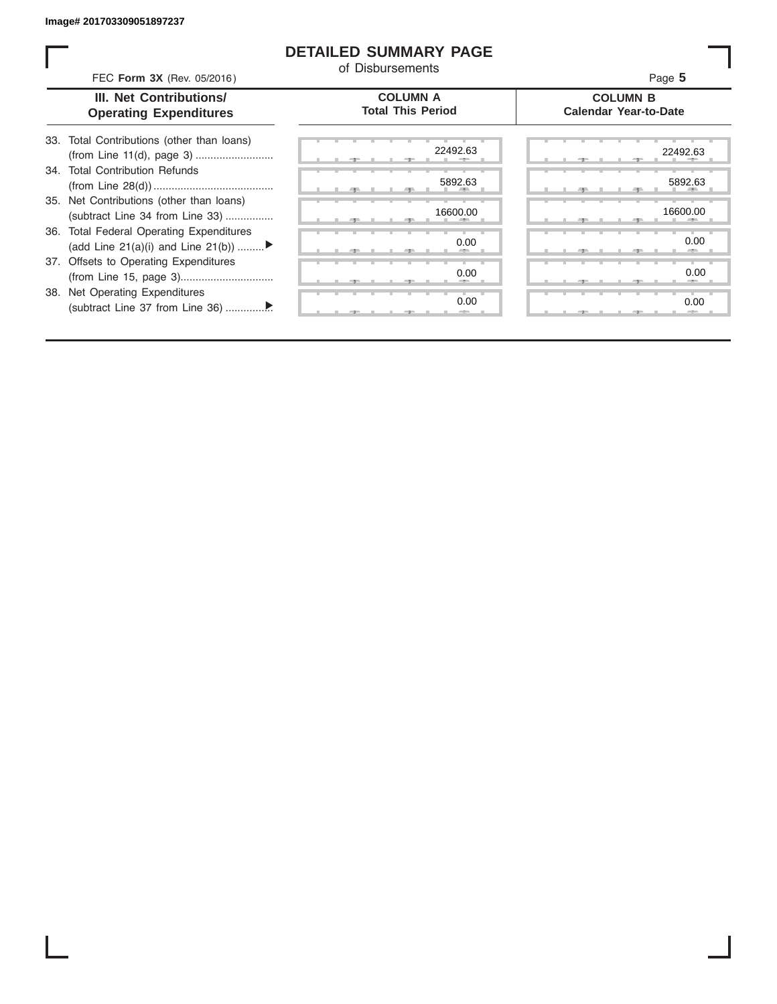### **DETAILED SUMMARY PAGE**

of Disbursements

| FEC Form 3X (Rev. 05/2016) | Page 5 |
|----------------------------|--------|
|----------------------------|--------|

#### **III. Net Contributions/ Operating Expenditures**

| 33. Total Contributions (other than loans) |  |  |  |        |
|--------------------------------------------|--|--|--|--------|
|                                            |  |  |  | 22492. |
| 34. Total Contribution Refunds             |  |  |  |        |
|                                            |  |  |  | 5892.6 |
| 35. Net Contributions (other than loans)   |  |  |  |        |
| (subtract Line 34 from Line 33)            |  |  |  | 16600. |
| 36. Total Federal Operating Expenditures   |  |  |  |        |
| (add Line 21(a)(i) and Line 21(b))         |  |  |  | 0.(    |
| 37. Offsets to Operating Expenditures      |  |  |  |        |
|                                            |  |  |  | 0.0    |
| 38. Net Operating Expenditures             |  |  |  |        |
|                                            |  |  |  | 0.0    |

|       | 22492.63                      | 22492.63               |  |
|-------|-------------------------------|------------------------|--|
|       | 5892.63<br><b>AREA</b><br>-91 | 5892.63<br><b>COLL</b> |  |
|       | 16600.00<br>$\mathbb{R}$      | 16600.00               |  |
|       | 0.00<br>-                     | 0.00<br>-              |  |
|       | 0.00<br>×                     | 0.00<br>-              |  |
| $-7-$ | 0.00                          | 0.00                   |  |

**COLUMN B Calendar Year-to-Date**

## **COLUMN A Total This Period**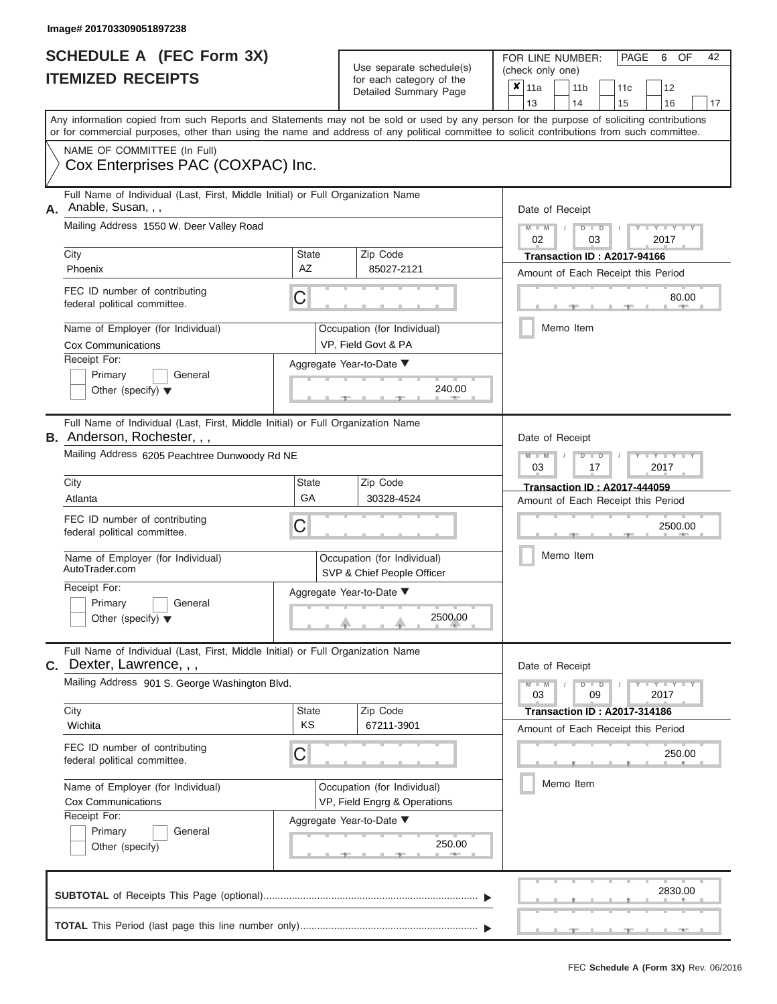|                          | <b>SCHEDULE A (FEC Form 3X)</b> |
|--------------------------|---------------------------------|
| <b>ITEMIZED RECEIPTS</b> |                                 |

FOR LINE NUMBER: Use separate schedule(s) (check only one)<br>for each category of the  $\begin{array}{|c|c|c|c|c|}\hline \textbf{X} & 11a & 1\end{array}$ 

| <u>IIEMIZED RECEIPIS</u> |                                                                                                                                                                                                                                                                                         |                                                             |                                                           | for each category of the<br>Detailed Summary Page                         |                    | ×<br>13                                                           | 11a       |  | 11 <sub>b</sub><br>14 |                      | 11c<br>15                                                                 |                 | 12<br>16 | 17 |  |  |  |
|--------------------------|-----------------------------------------------------------------------------------------------------------------------------------------------------------------------------------------------------------------------------------------------------------------------------------------|-------------------------------------------------------------|-----------------------------------------------------------|---------------------------------------------------------------------------|--------------------|-------------------------------------------------------------------|-----------|--|-----------------------|----------------------|---------------------------------------------------------------------------|-----------------|----------|----|--|--|--|
|                          | Any information copied from such Reports and Statements may not be sold or used by any person for the purpose of soliciting contributions<br>or for commercial purposes, other than using the name and address of any political committee to solicit contributions from such committee. |                                                             |                                                           |                                                                           |                    |                                                                   |           |  |                       |                      |                                                                           |                 |          |    |  |  |  |
|                          | NAME OF COMMITTEE (In Full)<br>Cox Enterprises PAC (COXPAC) Inc.                                                                                                                                                                                                                        |                                                             |                                                           |                                                                           |                    |                                                                   |           |  |                       |                      |                                                                           |                 |          |    |  |  |  |
| А.                       | Full Name of Individual (Last, First, Middle Initial) or Full Organization Name<br>Anable, Susan, , ,                                                                                                                                                                                   |                                                             |                                                           |                                                                           |                    |                                                                   |           |  | Date of Receipt       |                      |                                                                           |                 |          |    |  |  |  |
|                          | Mailing Address 1550 W. Deer Valley Road                                                                                                                                                                                                                                                |                                                             |                                                           |                                                                           |                    |                                                                   | 02        |  |                       | 03                   |                                                                           | $Y - Y$<br>2017 |          |    |  |  |  |
|                          | City<br>Phoenix                                                                                                                                                                                                                                                                         | <b>State</b><br>AΖ                                          |                                                           | Zip Code<br>85027-2121                                                    |                    | Transaction ID: A2017-94166<br>Amount of Each Receipt this Period |           |  |                       |                      |                                                                           |                 |          |    |  |  |  |
|                          | FEC ID number of contributing<br>federal political committee.                                                                                                                                                                                                                           | С                                                           |                                                           |                                                                           | 80.00<br>Memo Item |                                                                   |           |  |                       |                      |                                                                           |                 |          |    |  |  |  |
|                          | Name of Employer (for Individual)<br><b>Cox Communications</b>                                                                                                                                                                                                                          |                                                             |                                                           | Occupation (for Individual)<br>VP, Field Govt & PA                        |                    |                                                                   |           |  |                       |                      |                                                                           |                 |          |    |  |  |  |
|                          | Receipt For:<br>Aggregate Year-to-Date ▼<br>Primary<br>General<br>240.00<br>Other (specify) $\blacktriangledown$                                                                                                                                                                        |                                                             |                                                           |                                                                           |                    |                                                                   |           |  |                       |                      |                                                                           |                 |          |    |  |  |  |
|                          | Full Name of Individual (Last, First, Middle Initial) or Full Organization Name<br><b>B.</b> Anderson, Rochester, , ,                                                                                                                                                                   |                                                             |                                                           |                                                                           |                    |                                                                   |           |  | Date of Receipt       |                      |                                                                           |                 |          |    |  |  |  |
|                          | Mailing Address 6205 Peachtree Dunwoody Rd NE                                                                                                                                                                                                                                           | State                                                       |                                                           |                                                                           |                    | Ÿ<br>2017<br>03<br>17                                             |           |  |                       |                      |                                                                           |                 |          |    |  |  |  |
|                          | City<br>Atlanta                                                                                                                                                                                                                                                                         | Zip Code<br>30328-4524                                      |                                                           | <b>Transaction ID: A2017-444059</b><br>Amount of Each Receipt this Period |                    |                                                                   |           |  |                       |                      |                                                                           |                 |          |    |  |  |  |
|                          | FEC ID number of contributing<br>federal political committee.                                                                                                                                                                                                                           | С                                                           |                                                           |                                                                           |                    |                                                                   | 2500.00   |  |                       |                      |                                                                           |                 |          |    |  |  |  |
|                          | Name of Employer (for Individual)<br>AutoTrader.com                                                                                                                                                                                                                                     |                                                             | Occupation (for Individual)<br>SVP & Chief People Officer |                                                                           | Memo Item          |                                                                   |           |  |                       |                      |                                                                           |                 |          |    |  |  |  |
|                          | Receipt For:<br>Primary<br>General<br>Other (specify) $\blacktriangledown$                                                                                                                                                                                                              |                                                             | Aggregate Year-to-Date ▼<br>2500.00                       |                                                                           |                    |                                                                   |           |  |                       |                      |                                                                           |                 |          |    |  |  |  |
|                          | Full Name of Individual (Last, First, Middle Initial) or Full Organization Name<br>C. Dexter, Lawrence, , ,                                                                                                                                                                             |                                                             |                                                           |                                                                           |                    |                                                                   |           |  | Date of Receipt       |                      |                                                                           |                 |          |    |  |  |  |
|                          | Mailing Address 901 S. George Washington Blvd.                                                                                                                                                                                                                                          |                                                             |                                                           |                                                                           |                    |                                                                   | 03        |  |                       | $\blacksquare$<br>09 |                                                                           | $Y - Y$<br>2017 |          |    |  |  |  |
|                          | City<br>Wichita                                                                                                                                                                                                                                                                         | State<br>KS                                                 |                                                           | Zip Code<br>67211-3901                                                    |                    |                                                                   |           |  |                       |                      | <b>Transaction ID: A2017-314186</b><br>Amount of Each Receipt this Period |                 |          |    |  |  |  |
|                          | FEC ID number of contributing<br>federal political committee.                                                                                                                                                                                                                           | С                                                           |                                                           |                                                                           |                    |                                                                   |           |  |                       |                      |                                                                           |                 | 250.00   |    |  |  |  |
|                          | Name of Employer (for Individual)<br><b>Cox Communications</b>                                                                                                                                                                                                                          | Occupation (for Individual)<br>VP, Field Engrg & Operations |                                                           |                                                                           |                    |                                                                   | Memo Item |  |                       |                      |                                                                           |                 |          |    |  |  |  |
|                          | Receipt For:<br>Primary<br>General<br>Other (specify)                                                                                                                                                                                                                                   |                                                             |                                                           | Aggregate Year-to-Date ▼<br>250.00                                        |                    |                                                                   |           |  |                       |                      |                                                                           |                 |          |    |  |  |  |
|                          |                                                                                                                                                                                                                                                                                         |                                                             |                                                           |                                                                           |                    |                                                                   |           |  |                       |                      |                                                                           |                 | 2830.00  |    |  |  |  |
|                          |                                                                                                                                                                                                                                                                                         |                                                             |                                                           |                                                                           |                    |                                                                   |           |  |                       |                      |                                                                           |                 |          |    |  |  |  |

PAGE 6 OF 42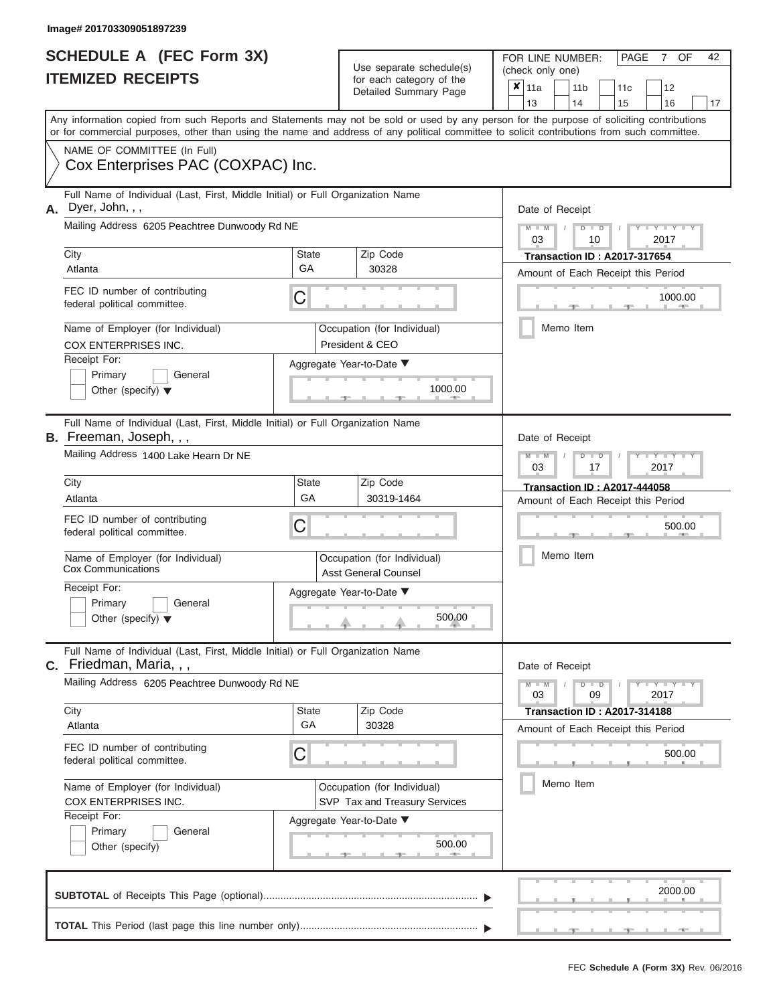|                          | <b>SCHEDULE A (FEC Form 3X)</b> |
|--------------------------|---------------------------------|
| <b>ITEMIZED RECEIPTS</b> |                                 |

Use separate schedule(s) for each category of the

FOR LINE NUMBER:<br>(check only one)

PAGE 7 OF 42

|                                                 |                                                                                                                                                                                                                                                                                         |                                                              |                 | $\frac{1}{2}$<br>Detailed Summary Page                     | ×         | 11a                                 |  | 11 <sub>b</sub>                               | 11 <sub>c</sub>                     | 12            |         |    |  |  |  |  |  |  |
|-------------------------------------------------|-----------------------------------------------------------------------------------------------------------------------------------------------------------------------------------------------------------------------------------------------------------------------------------------|--------------------------------------------------------------|-----------------|------------------------------------------------------------|-----------|-------------------------------------|--|-----------------------------------------------|-------------------------------------|---------------|---------|----|--|--|--|--|--|--|
|                                                 |                                                                                                                                                                                                                                                                                         |                                                              |                 |                                                            |           | 13                                  |  | 14                                            | 15                                  | 16            |         | 17 |  |  |  |  |  |  |
|                                                 | Any information copied from such Reports and Statements may not be sold or used by any person for the purpose of soliciting contributions<br>or for commercial purposes, other than using the name and address of any political committee to solicit contributions from such committee. |                                                              |                 |                                                            |           |                                     |  |                                               |                                     |               |         |    |  |  |  |  |  |  |
| NAME OF COMMITTEE (In Full)                     |                                                                                                                                                                                                                                                                                         |                                                              |                 |                                                            |           |                                     |  |                                               |                                     |               |         |    |  |  |  |  |  |  |
|                                                 | Cox Enterprises PAC (COXPAC) Inc.                                                                                                                                                                                                                                                       |                                                              |                 |                                                            |           |                                     |  |                                               |                                     |               |         |    |  |  |  |  |  |  |
| А.                                              | Full Name of Individual (Last, First, Middle Initial) or Full Organization Name<br>Dyer, John, , ,                                                                                                                                                                                      |                                                              |                 | Date of Receipt                                            |           |                                     |  |                                               |                                     |               |         |    |  |  |  |  |  |  |
|                                                 | Mailing Address 6205 Peachtree Dunwoody Rd NE                                                                                                                                                                                                                                           |                                                              |                 |                                                            |           | $M - M$<br>03                       |  | $D$ $D$<br>10                                 |                                     | 2017          |         |    |  |  |  |  |  |  |
|                                                 | City                                                                                                                                                                                                                                                                                    | <b>State</b><br>Zip Code                                     |                 |                                                            |           | <b>Transaction ID: A2017-317654</b> |  |                                               |                                     |               |         |    |  |  |  |  |  |  |
|                                                 | Atlanta                                                                                                                                                                                                                                                                                 | GA                                                           |                 | 30328                                                      |           | Amount of Each Receipt this Period  |  |                                               |                                     |               |         |    |  |  |  |  |  |  |
|                                                 | FEC ID number of contributing<br>federal political committee.                                                                                                                                                                                                                           | С                                                            |                 |                                                            |           | 1000.00                             |  |                                               |                                     |               |         |    |  |  |  |  |  |  |
|                                                 | Name of Employer (for Individual)<br>COX ENTERPRISES INC.                                                                                                                                                                                                                               |                                                              |                 | Occupation (for Individual)<br>President & CEO             | Memo Item |                                     |  |                                               |                                     |               |         |    |  |  |  |  |  |  |
|                                                 | Receipt For:                                                                                                                                                                                                                                                                            |                                                              |                 | Aggregate Year-to-Date ▼                                   |           |                                     |  |                                               |                                     |               |         |    |  |  |  |  |  |  |
|                                                 | Primary<br>General                                                                                                                                                                                                                                                                      |                                                              |                 |                                                            |           |                                     |  |                                               |                                     |               |         |    |  |  |  |  |  |  |
| 1000.00<br>Other (specify) $\blacktriangledown$ |                                                                                                                                                                                                                                                                                         |                                                              |                 |                                                            |           |                                     |  |                                               |                                     |               |         |    |  |  |  |  |  |  |
|                                                 | Full Name of Individual (Last, First, Middle Initial) or Full Organization Name<br><b>B.</b> Freeman, Joseph, , ,                                                                                                                                                                       |                                                              | Date of Receipt |                                                            |           |                                     |  |                                               |                                     |               |         |    |  |  |  |  |  |  |
|                                                 | Mailing Address 1400 Lake Hearn Dr NE                                                                                                                                                                                                                                                   |                                                              |                 |                                                            |           |                                     |  | $M - M$<br>$\blacksquare$<br>2017<br>03<br>17 |                                     |               |         |    |  |  |  |  |  |  |
|                                                 | City                                                                                                                                                                                                                                                                                    | <b>State</b>                                                 |                 | Zip Code                                                   |           | <b>Transaction ID: A2017-444058</b> |  |                                               |                                     |               |         |    |  |  |  |  |  |  |
|                                                 | Atlanta                                                                                                                                                                                                                                                                                 | GA                                                           |                 | 30319-1464                                                 |           | Amount of Each Receipt this Period  |  |                                               |                                     |               |         |    |  |  |  |  |  |  |
|                                                 | FEC ID number of contributing<br>federal political committee.                                                                                                                                                                                                                           |                                                              |                 | 500.00                                                     |           |                                     |  |                                               |                                     |               |         |    |  |  |  |  |  |  |
|                                                 | Name of Employer (for Individual)<br><b>Cox Communications</b>                                                                                                                                                                                                                          |                                                              |                 | Occupation (for Individual)<br><b>Asst General Counsel</b> |           | Memo Item                           |  |                                               |                                     |               |         |    |  |  |  |  |  |  |
|                                                 | Receipt For:                                                                                                                                                                                                                                                                            |                                                              |                 | Aggregate Year-to-Date ▼                                   |           |                                     |  |                                               |                                     |               |         |    |  |  |  |  |  |  |
|                                                 | Primary<br>General                                                                                                                                                                                                                                                                      |                                                              |                 |                                                            |           |                                     |  |                                               |                                     |               |         |    |  |  |  |  |  |  |
|                                                 | Other (specify) $\blacktriangledown$                                                                                                                                                                                                                                                    |                                                              |                 | 500.00                                                     |           |                                     |  |                                               |                                     |               |         |    |  |  |  |  |  |  |
| С.                                              | Full Name of Individual (Last, First, Middle Initial) or Full Organization Name<br>Friedman, Maria, , ,                                                                                                                                                                                 |                                                              |                 |                                                            |           | Date of Receipt                     |  |                                               |                                     |               |         |    |  |  |  |  |  |  |
|                                                 | Mailing Address 6205 Peachtree Dunwoody Rd NE                                                                                                                                                                                                                                           |                                                              |                 |                                                            |           | $M - M$<br>03                       |  | $\blacksquare$<br>09                          |                                     | Y TYT<br>2017 |         |    |  |  |  |  |  |  |
|                                                 | City                                                                                                                                                                                                                                                                                    | <b>State</b>                                                 |                 | Zip Code                                                   |           |                                     |  |                                               | <b>Transaction ID: A2017-314188</b> |               |         |    |  |  |  |  |  |  |
|                                                 | Atlanta                                                                                                                                                                                                                                                                                 | GA                                                           |                 | 30328                                                      |           |                                     |  |                                               | Amount of Each Receipt this Period  |               |         |    |  |  |  |  |  |  |
|                                                 | FEC ID number of contributing<br>federal political committee.                                                                                                                                                                                                                           | С                                                            |                 |                                                            |           |                                     |  |                                               |                                     |               | 500.00  |    |  |  |  |  |  |  |
|                                                 | Name of Employer (for Individual)<br><b>COX ENTERPRISES INC.</b>                                                                                                                                                                                                                        | Occupation (for Individual)<br>SVP Tax and Treasury Services |                 |                                                            |           |                                     |  | Memo Item                                     |                                     |               |         |    |  |  |  |  |  |  |
|                                                 | Receipt For:<br>Primary<br>General<br>Other (specify)                                                                                                                                                                                                                                   | Aggregate Year-to-Date ▼<br>500.00                           |                 |                                                            |           |                                     |  |                                               |                                     |               |         |    |  |  |  |  |  |  |
|                                                 |                                                                                                                                                                                                                                                                                         |                                                              |                 |                                                            |           |                                     |  |                                               |                                     |               | 2000.00 |    |  |  |  |  |  |  |

 ▲ ▲ ▲ , , . **TOTAL** This Period (last page this line number only)............................................................... ▼ ▼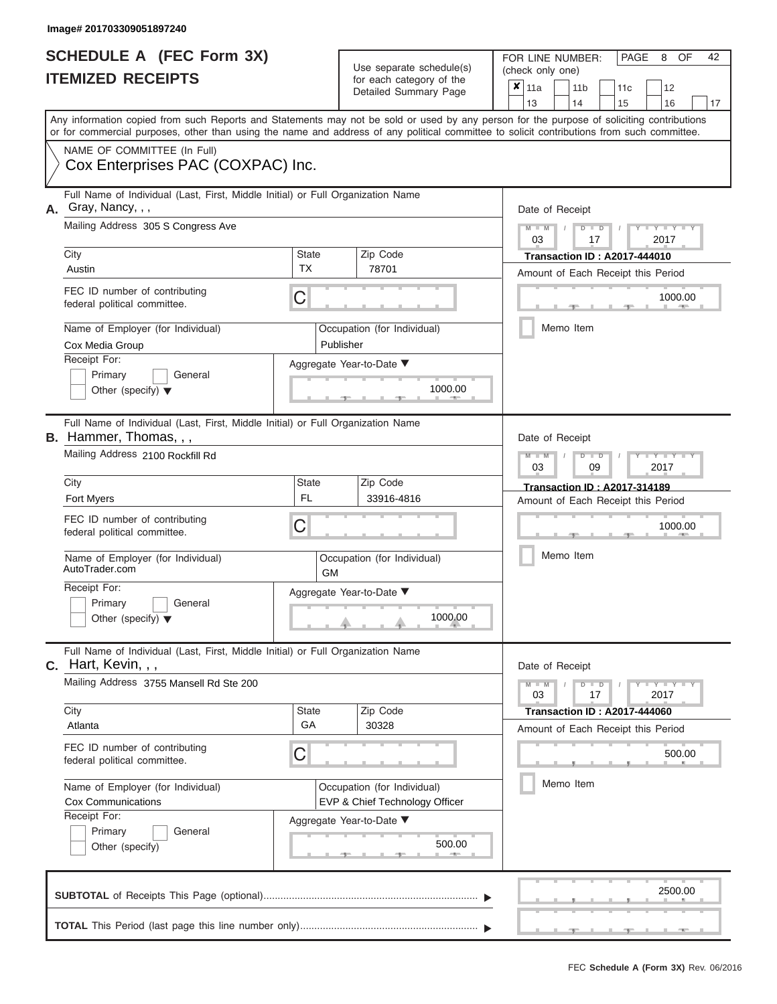|                          | <b>SCHEDULE A (FEC Form 3X)</b> |
|--------------------------|---------------------------------|
| <b>ITEMIZED RECEIPTS</b> |                                 |

Use separate schedule(s) (check only one) for each category of the  $\sqrt{2}$ 

FOR LINE NUMBER:<br>(check only one)

PAGE 8 OF 42

| <u>IIEMIZED RECEIPIS</u>                                                                                                                                                                                                                                                                |                                                                                                                                 |                                          | for each category of the<br>Detailed Summary Page |                                     | X<br>11a<br>13                               |                                                                           | 11 <sub>b</sub><br>14   |                 | 11c<br>15                                                                 | 12<br>16                            | 17              |  |  |  |  |  |  |
|-----------------------------------------------------------------------------------------------------------------------------------------------------------------------------------------------------------------------------------------------------------------------------------------|---------------------------------------------------------------------------------------------------------------------------------|------------------------------------------|---------------------------------------------------|-------------------------------------|----------------------------------------------|---------------------------------------------------------------------------|-------------------------|-----------------|---------------------------------------------------------------------------|-------------------------------------|-----------------|--|--|--|--|--|--|
| Any information copied from such Reports and Statements may not be sold or used by any person for the purpose of soliciting contributions<br>or for commercial purposes, other than using the name and address of any political committee to solicit contributions from such committee. |                                                                                                                                 |                                          |                                                   |                                     |                                              |                                                                           |                         |                 |                                                                           |                                     |                 |  |  |  |  |  |  |
| NAME OF COMMITTEE (In Full)<br>Cox Enterprises PAC (COXPAC) Inc.                                                                                                                                                                                                                        |                                                                                                                                 |                                          |                                                   |                                     |                                              |                                                                           |                         |                 |                                                                           |                                     |                 |  |  |  |  |  |  |
| А.                                                                                                                                                                                                                                                                                      | Full Name of Individual (Last, First, Middle Initial) or Full Organization Name<br>Gray, Nancy, , ,                             |                                          |                                                   |                                     | Date of Receipt                              |                                                                           |                         |                 |                                                                           |                                     |                 |  |  |  |  |  |  |
|                                                                                                                                                                                                                                                                                         | Mailing Address 305 S Congress Ave                                                                                              |                                          |                                                   |                                     |                                              | $Y - Y$<br>2017<br>03<br>17                                               |                         |                 |                                                                           |                                     |                 |  |  |  |  |  |  |
|                                                                                                                                                                                                                                                                                         | City<br>Austin                                                                                                                  | <b>State</b><br>ТX                       |                                                   | Zip Code<br>78701                   |                                              | <b>Transaction ID: A2017-444010</b><br>Amount of Each Receipt this Period |                         |                 |                                                                           |                                     |                 |  |  |  |  |  |  |
|                                                                                                                                                                                                                                                                                         | FEC ID number of contributing<br>federal political committee.                                                                   | С                                        |                                                   | 1000.00                             |                                              |                                                                           |                         |                 |                                                                           |                                     |                 |  |  |  |  |  |  |
|                                                                                                                                                                                                                                                                                         | Name of Employer (for Individual)<br>Cox Media Group                                                                            | Occupation (for Individual)<br>Publisher |                                                   |                                     |                                              | Memo Item                                                                 |                         |                 |                                                                           |                                     |                 |  |  |  |  |  |  |
|                                                                                                                                                                                                                                                                                         | Receipt For:<br>Primary<br>General<br>Other (specify) $\blacktriangledown$                                                      | Aggregate Year-to-Date ▼<br>1000.00      |                                                   |                                     |                                              |                                                                           |                         |                 |                                                                           |                                     |                 |  |  |  |  |  |  |
| Full Name of Individual (Last, First, Middle Initial) or Full Organization Name<br><b>B.</b> Hammer, Thomas, , ,                                                                                                                                                                        |                                                                                                                                 |                                          |                                                   |                                     |                                              |                                                                           |                         | Date of Receipt |                                                                           |                                     |                 |  |  |  |  |  |  |
|                                                                                                                                                                                                                                                                                         | Mailing Address 2100 Rockfill Rd                                                                                                |                                          |                                                   |                                     |                                              |                                                                           | Y L<br>2017<br>03<br>09 |                 |                                                                           |                                     |                 |  |  |  |  |  |  |
|                                                                                                                                                                                                                                                                                         | City<br>Fort Myers                                                                                                              | <b>State</b>                             | Zip Code<br>33916-4816                            |                                     |                                              |                                                                           |                         |                 | <b>Transaction ID: A2017-314189</b><br>Amount of Each Receipt this Period |                                     |                 |  |  |  |  |  |  |
| FEC ID number of contributing<br>С<br>federal political committee.                                                                                                                                                                                                                      |                                                                                                                                 |                                          |                                                   |                                     |                                              | 1000.00                                                                   |                         |                 |                                                                           |                                     |                 |  |  |  |  |  |  |
|                                                                                                                                                                                                                                                                                         | Name of Employer (for Individual)<br>AutoTrader.com                                                                             |                                          | GM                                                | Occupation (for Individual)         | Memo Item                                    |                                                                           |                         |                 |                                                                           |                                     |                 |  |  |  |  |  |  |
|                                                                                                                                                                                                                                                                                         | Receipt For:<br>Primary<br>General<br>Other (specify) $\blacktriangledown$                                                      |                                          |                                                   | Aggregate Year-to-Date ▼<br>1000.00 |                                              |                                                                           |                         |                 |                                                                           |                                     |                 |  |  |  |  |  |  |
|                                                                                                                                                                                                                                                                                         | Full Name of Individual (Last, First, Middle Initial) or Full Organization Name<br>$c.$ Hart, Kevin, , ,                        |                                          |                                                   |                                     |                                              | Date of Receipt                                                           |                         |                 |                                                                           |                                     |                 |  |  |  |  |  |  |
|                                                                                                                                                                                                                                                                                         | Mailing Address 3755 Mansell Rd Ste 200                                                                                         |                                          |                                                   |                                     |                                              | 03                                                                        |                         | $\overline{D}$  | $\Box$<br>17                                                              |                                     | $Y - Y$<br>2017 |  |  |  |  |  |  |
|                                                                                                                                                                                                                                                                                         | City<br>Atlanta                                                                                                                 | State<br>GA                              |                                                   | Zip Code<br>30328                   |                                              |                                                                           |                         |                 |                                                                           | <b>Transaction ID: A2017-444060</b> |                 |  |  |  |  |  |  |
|                                                                                                                                                                                                                                                                                         | FEC ID number of contributing<br>federal political committee.                                                                   |                                          |                                                   |                                     | Amount of Each Receipt this Period<br>500.00 |                                                                           |                         |                 |                                                                           |                                     |                 |  |  |  |  |  |  |
|                                                                                                                                                                                                                                                                                         | Name of Employer (for Individual)<br>Occupation (for Individual)<br><b>Cox Communications</b><br>EVP & Chief Technology Officer |                                          |                                                   |                                     |                                              | Memo Item                                                                 |                         |                 |                                                                           |                                     |                 |  |  |  |  |  |  |
|                                                                                                                                                                                                                                                                                         | Receipt For:<br>Aggregate Year-to-Date ▼<br>Primary<br>General<br>500.00<br>Other (specify)                                     |                                          |                                                   |                                     |                                              |                                                                           |                         |                 |                                                                           |                                     |                 |  |  |  |  |  |  |
|                                                                                                                                                                                                                                                                                         |                                                                                                                                 |                                          |                                                   |                                     |                                              |                                                                           |                         |                 |                                                                           |                                     | 2500.00         |  |  |  |  |  |  |
|                                                                                                                                                                                                                                                                                         |                                                                                                                                 |                                          |                                                   |                                     |                                              |                                                                           |                         |                 |                                                                           |                                     |                 |  |  |  |  |  |  |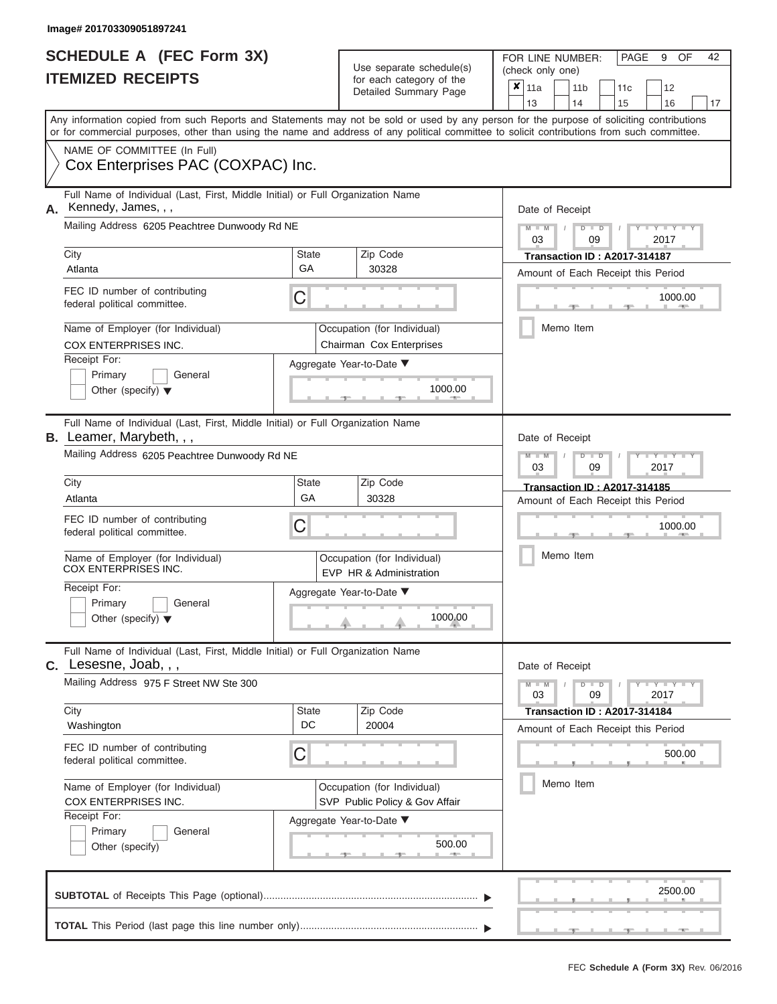|                          | <b>SCHEDULE A (FEC Form 3X)</b> |
|--------------------------|---------------------------------|
| <b>ITEMIZED RECEIPTS</b> |                                 |

Use separate schedule(s) for each category of the  $\sum_{n=1}^{\infty}$ 

FOR LINE NUMBER:<br>(check only one)

PAGE 9 OF 42

|                                                                                                                   |                                                                                                                                                                                                                                                                                         |                    | $\frac{1}{2}$<br>Detailed Summary Page                        |                                                              | ×<br>11a<br>13                               |                         | 11 <sub>b</sub><br>14                                                     | 11 <sub>c</sub>                                                    | 12<br>16 |    |  |  |  |  |  |  |
|-------------------------------------------------------------------------------------------------------------------|-----------------------------------------------------------------------------------------------------------------------------------------------------------------------------------------------------------------------------------------------------------------------------------------|--------------------|---------------------------------------------------------------|--------------------------------------------------------------|----------------------------------------------|-------------------------|---------------------------------------------------------------------------|--------------------------------------------------------------------|----------|----|--|--|--|--|--|--|
|                                                                                                                   | Any information copied from such Reports and Statements may not be sold or used by any person for the purpose of soliciting contributions<br>or for commercial purposes, other than using the name and address of any political committee to solicit contributions from such committee. |                    |                                                               |                                                              |                                              |                         |                                                                           | 15                                                                 |          | 17 |  |  |  |  |  |  |
|                                                                                                                   | NAME OF COMMITTEE (In Full)<br>Cox Enterprises PAC (COXPAC) Inc.                                                                                                                                                                                                                        |                    |                                                               |                                                              |                                              |                         |                                                                           |                                                                    |          |    |  |  |  |  |  |  |
|                                                                                                                   | Full Name of Individual (Last, First, Middle Initial) or Full Organization Name<br>Kennedy, James, , ,<br>Mailing Address 6205 Peachtree Dunwoody Rd NE                                                                                                                                 |                    |                                                               |                                                              | Date of Receipt                              |                         |                                                                           |                                                                    |          |    |  |  |  |  |  |  |
|                                                                                                                   |                                                                                                                                                                                                                                                                                         |                    |                                                               |                                                              | $M - M$<br>$D$ $D$<br>03<br>2017<br>09       |                         |                                                                           |                                                                    |          |    |  |  |  |  |  |  |
|                                                                                                                   | City<br><b>State</b><br>Zip Code<br>GA<br>30328<br>Atlanta                                                                                                                                                                                                                              |                    |                                                               |                                                              |                                              |                         | <b>Transaction ID: A2017-314187</b><br>Amount of Each Receipt this Period |                                                                    |          |    |  |  |  |  |  |  |
|                                                                                                                   | FEC ID number of contributing<br>С<br>federal political committee.                                                                                                                                                                                                                      |                    |                                                               |                                                              |                                              | 1000.00                 |                                                                           |                                                                    |          |    |  |  |  |  |  |  |
|                                                                                                                   | Name of Employer (for Individual)<br>Occupation (for Individual)<br>COX ENTERPRISES INC.<br>Chairman Cox Enterprises                                                                                                                                                                    |                    |                                                               |                                                              |                                              |                         | Memo Item                                                                 |                                                                    |          |    |  |  |  |  |  |  |
| Receipt For:<br>Aggregate Year-to-Date ▼<br>Primary<br>General<br>1000.00<br>Other (specify) $\blacktriangledown$ |                                                                                                                                                                                                                                                                                         |                    |                                                               |                                                              |                                              |                         |                                                                           |                                                                    |          |    |  |  |  |  |  |  |
|                                                                                                                   | Full Name of Individual (Last, First, Middle Initial) or Full Organization Name<br><b>B.</b> Leamer, Marybeth, , ,                                                                                                                                                                      | Date of Receipt    |                                                               |                                                              |                                              |                         |                                                                           |                                                                    |          |    |  |  |  |  |  |  |
|                                                                                                                   | Mailing Address 6205 Peachtree Dunwoody Rd NE                                                                                                                                                                                                                                           |                    |                                                               | $M - M$<br>03                                                |                                              | $\overline{\mathsf{D}}$ | $\blacksquare$<br>09                                                      | 2017                                                               |          |    |  |  |  |  |  |  |
|                                                                                                                   | City<br>Atlanta                                                                                                                                                                                                                                                                         | <b>State</b><br>GA | Zip Code<br>30328                                             |                                                              |                                              |                         |                                                                           | Transaction ID: A2017-314185<br>Amount of Each Receipt this Period |          |    |  |  |  |  |  |  |
|                                                                                                                   | FEC ID number of contributing<br>federal political committee.                                                                                                                                                                                                                           |                    | 1000.00                                                       |                                                              |                                              |                         |                                                                           |                                                                    |          |    |  |  |  |  |  |  |
|                                                                                                                   | Name of Employer (for Individual)<br><b>COX ENTERPRISES INC.</b>                                                                                                                                                                                                                        |                    | Occupation (for Individual)<br>EVP HR & Administration        |                                                              | Memo Item                                    |                         |                                                                           |                                                                    |          |    |  |  |  |  |  |  |
|                                                                                                                   | Receipt For:<br>Primary<br>General<br>Other (specify) $\blacktriangledown$                                                                                                                                                                                                              |                    | Aggregate Year-to-Date ▼<br>1000.00                           |                                                              |                                              |                         |                                                                           |                                                                    |          |    |  |  |  |  |  |  |
|                                                                                                                   | Full Name of Individual (Last, First, Middle Initial) or Full Organization Name<br>$C.$ Lesesne, Joab, , ,                                                                                                                                                                              |                    |                                                               |                                                              |                                              |                         | Date of Receipt                                                           |                                                                    |          |    |  |  |  |  |  |  |
|                                                                                                                   | Mailing Address 975 F Street NW Ste 300                                                                                                                                                                                                                                                 |                    |                                                               | $M - M$<br>$Y - Y - I$<br>$\blacksquare$<br>03<br>09<br>2017 |                                              |                         |                                                                           |                                                                    |          |    |  |  |  |  |  |  |
|                                                                                                                   | City<br>Washington                                                                                                                                                                                                                                                                      | <b>State</b><br>DC | Zip Code<br>20004                                             |                                                              |                                              |                         |                                                                           | <b>Transaction ID: A2017-314184</b>                                |          |    |  |  |  |  |  |  |
|                                                                                                                   | FEC ID number of contributing<br>federal political committee.                                                                                                                                                                                                                           | С                  |                                                               |                                                              | Amount of Each Receipt this Period<br>500.00 |                         |                                                                           |                                                                    |          |    |  |  |  |  |  |  |
| Name of Employer (for Individual)<br>COX ENTERPRISES INC.                                                         |                                                                                                                                                                                                                                                                                         |                    | Occupation (for Individual)<br>SVP Public Policy & Gov Affair | Memo Item                                                    |                                              |                         |                                                                           |                                                                    |          |    |  |  |  |  |  |  |
|                                                                                                                   | Receipt For:<br>Aggregate Year-to-Date ▼<br>Primary<br>General<br>500.00<br>Other (specify)                                                                                                                                                                                             |                    |                                                               |                                                              |                                              |                         |                                                                           |                                                                    |          |    |  |  |  |  |  |  |
|                                                                                                                   |                                                                                                                                                                                                                                                                                         |                    |                                                               |                                                              |                                              |                         |                                                                           |                                                                    | 2500.00  |    |  |  |  |  |  |  |
|                                                                                                                   |                                                                                                                                                                                                                                                                                         |                    |                                                               |                                                              |                                              |                         |                                                                           |                                                                    |          |    |  |  |  |  |  |  |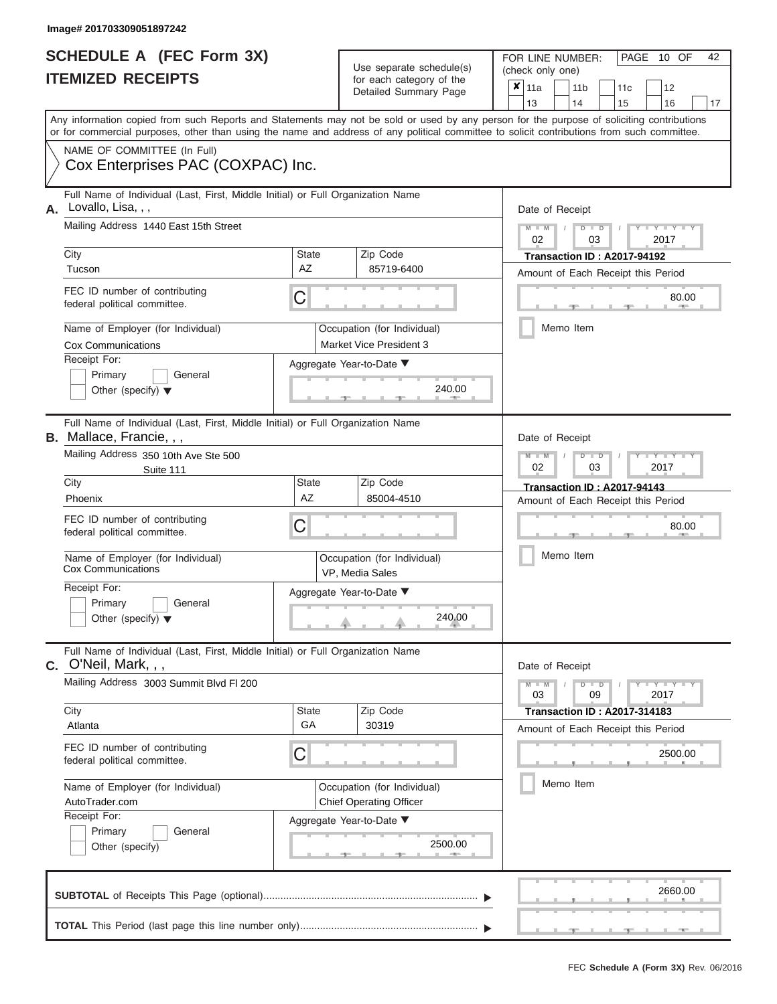#### **Image# 201703309051897242**

| <b>SCHEDULE A (FEC Form 3X)</b> |  |  |
|---------------------------------|--|--|
| <b>ITEMIZED RECEIPTS</b>        |  |  |

FOR LINE NUMBER:<br>(check only one) Use separate schedule(s)<br>for each category of the

|                                                                                                                                      |                                                                                                                                                                                                                                                                                         |                           |  | $\frac{1}{2}$<br>Detailed Summary Page                        |                                               | ×                                               | 11a<br>13       |       | 11 <sub>b</sub><br>14 |                           | 11 <sub>c</sub><br>15                                                    | 12                  | 16      | 17 |  |  |  |
|--------------------------------------------------------------------------------------------------------------------------------------|-----------------------------------------------------------------------------------------------------------------------------------------------------------------------------------------------------------------------------------------------------------------------------------------|---------------------------|--|---------------------------------------------------------------|-----------------------------------------------|-------------------------------------------------|-----------------|-------|-----------------------|---------------------------|--------------------------------------------------------------------------|---------------------|---------|----|--|--|--|
|                                                                                                                                      | Any information copied from such Reports and Statements may not be sold or used by any person for the purpose of soliciting contributions<br>or for commercial purposes, other than using the name and address of any political committee to solicit contributions from such committee. |                           |  |                                                               |                                               |                                                 |                 |       |                       |                           |                                                                          |                     |         |    |  |  |  |
|                                                                                                                                      | NAME OF COMMITTEE (In Full)<br>Cox Enterprises PAC (COXPAC) Inc.                                                                                                                                                                                                                        |                           |  |                                                               |                                               |                                                 |                 |       |                       |                           |                                                                          |                     |         |    |  |  |  |
| А.                                                                                                                                   | Full Name of Individual (Last, First, Middle Initial) or Full Organization Name<br>Lovallo, Lisa, , ,<br>Mailing Address 1440 East 15th Street                                                                                                                                          |                           |  |                                                               | Date of Receipt<br>$M - M$<br>$D$ $D$         |                                                 |                 |       |                       |                           |                                                                          |                     |         |    |  |  |  |
|                                                                                                                                      | City                                                                                                                                                                                                                                                                                    | <b>State</b>              |  | Zip Code                                                      |                                               | 02<br>2017<br>03<br>Transaction ID: A2017-94192 |                 |       |                       |                           |                                                                          |                     |         |    |  |  |  |
|                                                                                                                                      | Tucson                                                                                                                                                                                                                                                                                  | AZ                        |  | 85719-6400                                                    | Amount of Each Receipt this Period            |                                                 |                 |       |                       |                           |                                                                          |                     |         |    |  |  |  |
| FEC ID number of contributing<br>C<br>federal political committee.                                                                   |                                                                                                                                                                                                                                                                                         |                           |  |                                                               |                                               |                                                 |                 | 80.00 |                       |                           |                                                                          |                     |         |    |  |  |  |
| Name of Employer (for Individual)<br>Occupation (for Individual)<br>Market Vice President 3<br><b>Cox Communications</b>             |                                                                                                                                                                                                                                                                                         |                           |  |                                                               |                                               |                                                 |                 |       | Memo Item             |                           |                                                                          |                     |         |    |  |  |  |
| Receipt For:<br>Aggregate Year-to-Date ▼<br>Primary<br>General<br>240.00<br>Other (specify) $\blacktriangledown$                     |                                                                                                                                                                                                                                                                                         |                           |  |                                                               |                                               |                                                 |                 |       |                       |                           |                                                                          |                     |         |    |  |  |  |
|                                                                                                                                      | Full Name of Individual (Last, First, Middle Initial) or Full Organization Name<br>B. Mallace, Francie, , ,<br>Date of Receipt                                                                                                                                                          |                           |  |                                                               |                                               |                                                 |                 |       |                       |                           |                                                                          |                     |         |    |  |  |  |
|                                                                                                                                      | Mailing Address 350 10th Ave Ste 500<br>Suite 111                                                                                                                                                                                                                                       |                           |  | $M - M$<br>$D$ $D$<br>Y Y<br>02<br>2017<br>03                 |                                               |                                                 |                 |       |                       |                           |                                                                          |                     |         |    |  |  |  |
|                                                                                                                                      | City<br>Phoenix                                                                                                                                                                                                                                                                         | <b>State</b><br><b>AZ</b> |  | Zip Code<br>85004-4510                                        |                                               |                                                 |                 |       |                       |                           | <b>Transaction ID: A2017-94143</b><br>Amount of Each Receipt this Period |                     |         |    |  |  |  |
| FEC ID number of contributing<br>C<br>federal political committee.<br>Name of Employer (for Individual)<br><b>Cox Communications</b> |                                                                                                                                                                                                                                                                                         |                           |  |                                                               |                                               | 80.00<br>Memo Item                              |                 |       |                       |                           |                                                                          |                     |         |    |  |  |  |
|                                                                                                                                      |                                                                                                                                                                                                                                                                                         |                           |  | Occupation (for Individual)<br>VP, Media Sales                |                                               |                                                 |                 |       |                       |                           |                                                                          |                     |         |    |  |  |  |
|                                                                                                                                      | Receipt For:<br>Primary<br>General<br>Other (specify) $\blacktriangledown$                                                                                                                                                                                                              |                           |  | Aggregate Year-to-Date ▼<br>240.00                            |                                               |                                                 |                 |       |                       |                           |                                                                          |                     |         |    |  |  |  |
|                                                                                                                                      | Full Name of Individual (Last, First, Middle Initial) or Full Organization Name<br>$C.$ O'Neil, Mark, , ,                                                                                                                                                                               |                           |  |                                                               |                                               |                                                 | Date of Receipt |       |                       |                           |                                                                          |                     |         |    |  |  |  |
|                                                                                                                                      | Mailing Address 3003 Summit Blvd FI 200                                                                                                                                                                                                                                                 |                           |  |                                                               |                                               |                                                 | $M - M$<br>03   |       |                       | D<br>$\blacksquare$<br>09 |                                                                          | $Y - Y - I$<br>2017 |         |    |  |  |  |
|                                                                                                                                      | City<br>Atlanta                                                                                                                                                                                                                                                                         | State<br>GA               |  | Zip Code<br>30319                                             |                                               |                                                 |                 |       |                       |                           | <b>Transaction ID: A2017-314183</b>                                      |                     |         |    |  |  |  |
|                                                                                                                                      | FEC ID number of contributing<br>federal political committee.                                                                                                                                                                                                                           |                           |  |                                                               | Amount of Each Receipt this Period<br>2500.00 |                                                 |                 |       |                       |                           |                                                                          |                     |         |    |  |  |  |
| Name of Employer (for Individual)<br>AutoTrader.com                                                                                  |                                                                                                                                                                                                                                                                                         |                           |  | Occupation (for Individual)<br><b>Chief Operating Officer</b> | Memo Item                                     |                                                 |                 |       |                       |                           |                                                                          |                     |         |    |  |  |  |
| Receipt For:<br>Aggregate Year-to-Date ▼<br>Primary<br>General<br>2500.00<br>Other (specify)                                         |                                                                                                                                                                                                                                                                                         |                           |  |                                                               |                                               |                                                 |                 |       |                       |                           |                                                                          |                     |         |    |  |  |  |
|                                                                                                                                      |                                                                                                                                                                                                                                                                                         |                           |  |                                                               |                                               |                                                 |                 |       |                       |                           |                                                                          |                     | 2660.00 |    |  |  |  |
|                                                                                                                                      |                                                                                                                                                                                                                                                                                         |                           |  |                                                               |                                               |                                                 |                 |       |                       |                           |                                                                          |                     |         |    |  |  |  |

PAGE 10 OF 42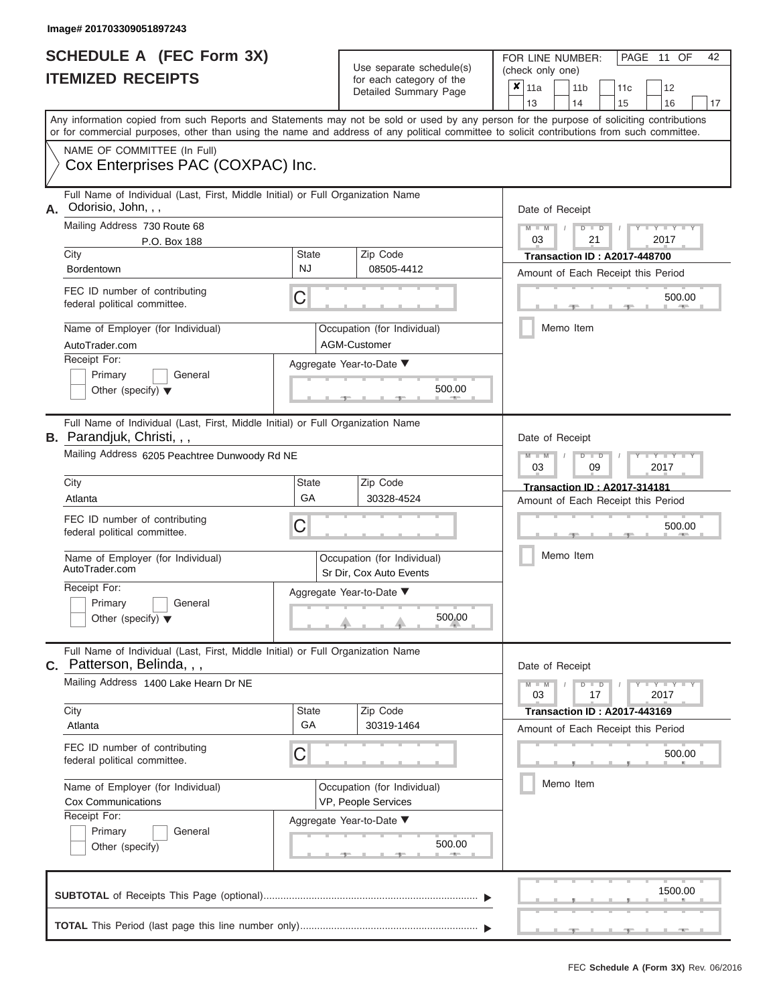#### **Image# 201703309051897243**

|                          | <b>SCHEDULE A (FEC Form 3X)</b> |
|--------------------------|---------------------------------|
| <b>ITEMIZED RECEIPTS</b> |                                 |

FOR LINE NUMBER: Use separate schedule(s) (check only one)<br>for each category of the  $\begin{array}{|c|c|c|c|c|}\n\hline\n\text{Initial Summary goes} & & \text{with } & \text{with } & \text{with } & \text{with } & \text{with } & \text{with } & \text{with } & \text{with } & \text{with } & \text{with } & \text{with } & \text{with } & \text{with } & \text{with } & \text{with } & \text{with } & \text{with } & \text{with } & \text{with } & \text{with } & \text$ 

|                                                                                                                                                                                                                                                                                         |                                                    | Detailed Summary Page                                  | x<br> 11a<br>11 <sub>b</sub><br>12<br>11c<br>13<br>14<br>15<br>16<br>17   |  |  |  |  |  |  |  |  |
|-----------------------------------------------------------------------------------------------------------------------------------------------------------------------------------------------------------------------------------------------------------------------------------------|----------------------------------------------------|--------------------------------------------------------|---------------------------------------------------------------------------|--|--|--|--|--|--|--|--|
| Any information copied from such Reports and Statements may not be sold or used by any person for the purpose of soliciting contributions<br>or for commercial purposes, other than using the name and address of any political committee to solicit contributions from such committee. |                                                    |                                                        |                                                                           |  |  |  |  |  |  |  |  |
| NAME OF COMMITTEE (In Full)<br>Cox Enterprises PAC (COXPAC) Inc.                                                                                                                                                                                                                        |                                                    |                                                        |                                                                           |  |  |  |  |  |  |  |  |
| Full Name of Individual (Last, First, Middle Initial) or Full Organization Name<br>Odorisio, John, , ,<br>А.                                                                                                                                                                            | Date of Receipt                                    |                                                        |                                                                           |  |  |  |  |  |  |  |  |
| Mailing Address 730 Route 68<br>P.O. Box 188                                                                                                                                                                                                                                            |                                                    |                                                        | Y<br>т<br>$D$ $D$<br>03<br>21<br>2017                                     |  |  |  |  |  |  |  |  |
| City<br>Bordentown                                                                                                                                                                                                                                                                      | State<br>NJ                                        | Zip Code<br>08505-4412                                 | <b>Transaction ID: A2017-448700</b><br>Amount of Each Receipt this Period |  |  |  |  |  |  |  |  |
| FEC ID number of contributing<br>federal political committee.                                                                                                                                                                                                                           | С                                                  |                                                        | 500.00                                                                    |  |  |  |  |  |  |  |  |
| Name of Employer (for Individual)<br>AutoTrader.com                                                                                                                                                                                                                                     |                                                    | Occupation (for Individual)<br>AGM-Customer            | Memo Item                                                                 |  |  |  |  |  |  |  |  |
| Receipt For:<br>Primary<br>General<br>Other (specify) $\blacktriangledown$                                                                                                                                                                                                              | Aggregate Year-to-Date ▼<br>500.00                 |                                                        |                                                                           |  |  |  |  |  |  |  |  |
| Full Name of Individual (Last, First, Middle Initial) or Full Organization Name<br>B. Parandjuk, Christi, , ,<br>Date of Receipt                                                                                                                                                        |                                                    |                                                        |                                                                           |  |  |  |  |  |  |  |  |
| Mailing Address 6205 Peachtree Dunwoody Rd NE                                                                                                                                                                                                                                           | т<br>$D$ $D$<br>03<br>09<br>2017                   |                                                        |                                                                           |  |  |  |  |  |  |  |  |
| City<br>Atlanta                                                                                                                                                                                                                                                                         | <b>State</b><br>GA                                 | Zip Code<br>30328-4524                                 | <b>Transaction ID: A2017-314181</b><br>Amount of Each Receipt this Period |  |  |  |  |  |  |  |  |
| FEC ID number of contributing<br>federal political committee.                                                                                                                                                                                                                           | С                                                  |                                                        | 500.00                                                                    |  |  |  |  |  |  |  |  |
| Name of Employer (for Individual)<br>AutoTrader.com                                                                                                                                                                                                                                     |                                                    | Occupation (for Individual)<br>Sr Dir, Cox Auto Events | Memo Item                                                                 |  |  |  |  |  |  |  |  |
| Receipt For:<br>Primary<br>General<br>Other (specify) $\blacktriangledown$                                                                                                                                                                                                              |                                                    | Aggregate Year-to-Date ▼<br>500.00                     |                                                                           |  |  |  |  |  |  |  |  |
| Full Name of Individual (Last, First, Middle Initial) or Full Organization Name<br>C. Patterson, Belinda, , ,                                                                                                                                                                           |                                                    |                                                        | Date of Receipt                                                           |  |  |  |  |  |  |  |  |
| Mailing Address 1400 Lake Hearn Dr NE                                                                                                                                                                                                                                                   |                                                    |                                                        | $Y = Y =$<br>$\overline{\mathsf{M}}$<br>$D$ $D$<br>03<br>17<br>2017       |  |  |  |  |  |  |  |  |
| City<br>Atlanta                                                                                                                                                                                                                                                                         | <b>State</b><br>GA                                 | Zip Code<br>30319-1464                                 | <b>Transaction ID: A2017-443169</b><br>Amount of Each Receipt this Period |  |  |  |  |  |  |  |  |
| FEC ID number of contributing<br>federal political committee.                                                                                                                                                                                                                           | С                                                  |                                                        |                                                                           |  |  |  |  |  |  |  |  |
| Name of Employer (for Individual)<br><b>Cox Communications</b><br>Receipt For:                                                                                                                                                                                                          | Occupation (for Individual)<br>VP, People Services |                                                        |                                                                           |  |  |  |  |  |  |  |  |
| Primary<br>General<br>Other (specify)                                                                                                                                                                                                                                                   |                                                    | Aggregate Year-to-Date ▼<br>500.00<br><b>ARTISE</b>    |                                                                           |  |  |  |  |  |  |  |  |
| 1500.00                                                                                                                                                                                                                                                                                 |                                                    |                                                        |                                                                           |  |  |  |  |  |  |  |  |

PAGE 11 OF 42

 $\Box$ 

 $\Box$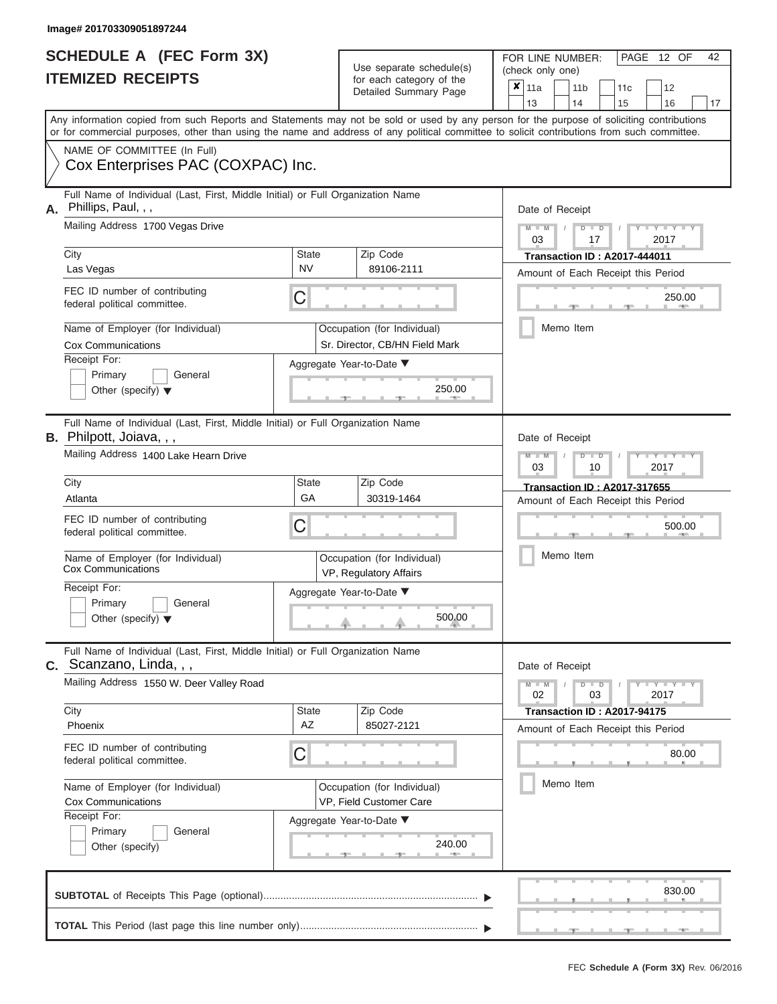|                          | <b>SCHEDULE A (FEC Form 3X)</b> |
|--------------------------|---------------------------------|
| <b>ITEMIZED RECEIPTS</b> |                                 |

Use separate schedule(s) for each category of the  $\frac{C_1}{C_2}$ 

FOR LINE NUMBER:<br>(check only one)

PAGE 12 OF 42

|                                                                                                                                |                                                                                                                                                                                                                                                                                         |                                                        | $\frac{1}{2}$<br>Detailed Summary Page                | ×                | 11a<br>13                                                    |          | 11 <sub>b</sub><br>14 | 11 <sub>c</sub><br>15                                             | 12<br>16 | 17 |  |  |  |  |
|--------------------------------------------------------------------------------------------------------------------------------|-----------------------------------------------------------------------------------------------------------------------------------------------------------------------------------------------------------------------------------------------------------------------------------------|--------------------------------------------------------|-------------------------------------------------------|------------------|--------------------------------------------------------------|----------|-----------------------|-------------------------------------------------------------------|----------|----|--|--|--|--|
|                                                                                                                                | Any information copied from such Reports and Statements may not be sold or used by any person for the purpose of soliciting contributions<br>or for commercial purposes, other than using the name and address of any political committee to solicit contributions from such committee. |                                                        |                                                       |                  |                                                              |          |                       |                                                                   |          |    |  |  |  |  |
|                                                                                                                                | NAME OF COMMITTEE (In Full)<br>Cox Enterprises PAC (COXPAC) Inc.                                                                                                                                                                                                                        |                                                        |                                                       |                  |                                                              |          |                       |                                                                   |          |    |  |  |  |  |
| Α.                                                                                                                             | Full Name of Individual (Last, First, Middle Initial) or Full Organization Name<br>Phillips, Paul, , ,<br>Mailing Address 1700 Vegas Drive                                                                                                                                              | Date of Receipt<br>$M - M$<br>$D$ $D$                  |                                                       |                  |                                                              |          |                       |                                                                   |          |    |  |  |  |  |
|                                                                                                                                |                                                                                                                                                                                                                                                                                         | <b>State</b>                                           | Zip Code                                              | 2017<br>03<br>17 |                                                              |          |                       |                                                                   |          |    |  |  |  |  |
|                                                                                                                                | City<br>Las Vegas                                                                                                                                                                                                                                                                       |                                                        | <b>Transaction ID: A2017-444011</b>                   |                  |                                                              |          |                       |                                                                   |          |    |  |  |  |  |
|                                                                                                                                | FEC ID number of contributing<br>federal political committee.                                                                                                                                                                                                                           | Amount of Each Receipt this Period<br>250.00           |                                                       |                  |                                                              |          |                       |                                                                   |          |    |  |  |  |  |
|                                                                                                                                | Name of Employer (for Individual)<br>Occupation (for Individual)<br>Cox Communications<br>Sr. Director, CB/HN Field Mark                                                                                                                                                                |                                                        |                                                       |                  |                                                              |          | Memo Item             |                                                                   |          |    |  |  |  |  |
| Receipt For:<br>Aggregate Year-to-Date ▼<br>Primary<br>General<br>250.00<br>Other (specify) $\blacktriangledown$<br>- 7 -      |                                                                                                                                                                                                                                                                                         |                                                        |                                                       |                  |                                                              |          |                       |                                                                   |          |    |  |  |  |  |
| Full Name of Individual (Last, First, Middle Initial) or Full Organization Name<br>B. Philpott, Joiava, , ,<br>Date of Receipt |                                                                                                                                                                                                                                                                                         |                                                        |                                                       |                  |                                                              |          |                       |                                                                   |          |    |  |  |  |  |
|                                                                                                                                | Mailing Address 1400 Lake Hearn Drive                                                                                                                                                                                                                                                   |                                                        |                                                       | 03               |                                                              | ⊪⊃<br>10 |                       | 2017                                                              |          |    |  |  |  |  |
|                                                                                                                                | City<br>Atlanta                                                                                                                                                                                                                                                                         | <b>State</b><br>GA                                     | Zip Code<br>30319-1464                                |                  |                                                              |          |                       | <b>Transaction ID: A2017-317655</b>                               |          |    |  |  |  |  |
|                                                                                                                                | FEC ID number of contributing<br>federal political committee.                                                                                                                                                                                                                           | С                                                      |                                                       |                  | Amount of Each Receipt this Period<br>500.00                 |          |                       |                                                                   |          |    |  |  |  |  |
|                                                                                                                                | Name of Employer (for Individual)<br><b>Cox Communications</b>                                                                                                                                                                                                                          |                                                        | Occupation (for Individual)<br>VP, Regulatory Affairs |                  | Memo Item                                                    |          |                       |                                                                   |          |    |  |  |  |  |
|                                                                                                                                | Receipt For:<br>Primary<br>General<br>Other (specify) $\blacktriangledown$                                                                                                                                                                                                              |                                                        | Aggregate Year-to-Date ▼<br>500.00                    |                  |                                                              |          |                       |                                                                   |          |    |  |  |  |  |
|                                                                                                                                | Full Name of Individual (Last, First, Middle Initial) or Full Organization Name<br><b>C.</b> Scanzano, Linda, , ,                                                                                                                                                                       |                                                        |                                                       |                  | Date of Receipt                                              |          |                       |                                                                   |          |    |  |  |  |  |
|                                                                                                                                | Mailing Address 1550 W. Deer Valley Road                                                                                                                                                                                                                                                |                                                        |                                                       |                  | $Y - Y - Y$<br>$M - M$<br>$\blacksquare$<br>02<br>03<br>2017 |          |                       |                                                                   |          |    |  |  |  |  |
|                                                                                                                                | City<br>Phoenix                                                                                                                                                                                                                                                                         | State<br>AZ                                            | Zip Code<br>85027-2121                                |                  |                                                              |          |                       | Transaction ID: A2017-94175<br>Amount of Each Receipt this Period |          |    |  |  |  |  |
|                                                                                                                                | FEC ID number of contributing<br>С<br>federal political committee.                                                                                                                                                                                                                      |                                                        |                                                       |                  |                                                              |          |                       |                                                                   | 80.00    |    |  |  |  |  |
|                                                                                                                                | Name of Employer (for Individual)<br>Cox Communications                                                                                                                                                                                                                                 | Occupation (for Individual)<br>VP, Field Customer Care | Memo Item                                             |                  |                                                              |          |                       |                                                                   |          |    |  |  |  |  |
|                                                                                                                                | Receipt For:<br>Aggregate Year-to-Date ▼<br>Primary<br>General<br>240.00<br>Other (specify)                                                                                                                                                                                             |                                                        |                                                       |                  |                                                              |          |                       |                                                                   |          |    |  |  |  |  |
|                                                                                                                                |                                                                                                                                                                                                                                                                                         |                                                        |                                                       |                  |                                                              |          |                       |                                                                   | 830.00   |    |  |  |  |  |
|                                                                                                                                |                                                                                                                                                                                                                                                                                         |                                                        |                                                       |                  |                                                              |          |                       |                                                                   |          |    |  |  |  |  |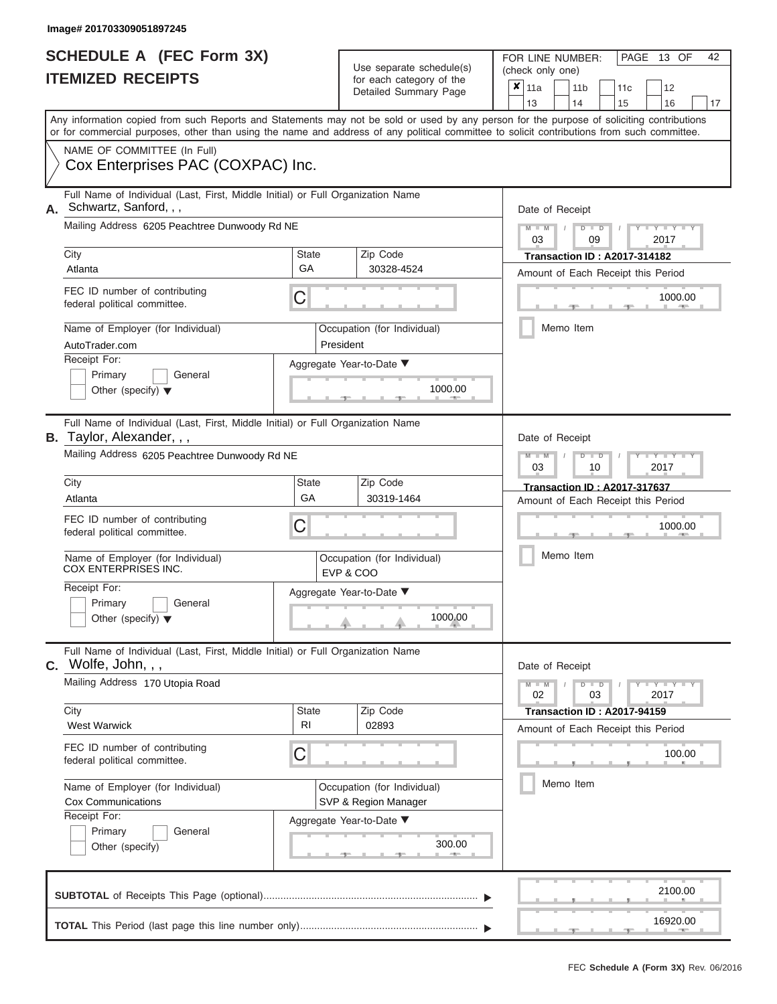|                          | <b>SCHEDULE A (FEC Form 3X)</b> |
|--------------------------|---------------------------------|
| <b>ITEMIZED RECEIPTS</b> |                                 |

FOR LINE NUMBER: Use separate schedule(s) (check only one)<br>for each category of the  $\begin{array}{|c|c|c|c|c|}\n\hline\n\text{Initial Summary goes} & & \text{with } & \text{with } & \text{with } & \text{with } & \text{with } & \text{with } & \text{with } & \text{with } & \text{with } & \text{with } & \text{with } & \text{with } & \text{with } & \text{with } & \text{with } & \text{with } & \text{with } & \text{with } & \text{with } & \text{with } & \text$ 

| <b>ILEMIZED RECEIPIS</b>                                                                                            | for each category of the<br>Detailed Summary Page                                                                                                                                                                                                                                       | $\pmb{\times}$<br>11a<br>11 <sub>b</sub><br>12<br>11c<br>13<br>14<br>15<br>16<br>17 |  |  |  |  |  |  |  |  |  |  |
|---------------------------------------------------------------------------------------------------------------------|-----------------------------------------------------------------------------------------------------------------------------------------------------------------------------------------------------------------------------------------------------------------------------------------|-------------------------------------------------------------------------------------|--|--|--|--|--|--|--|--|--|--|
|                                                                                                                     | Any information copied from such Reports and Statements may not be sold or used by any person for the purpose of soliciting contributions<br>or for commercial purposes, other than using the name and address of any political committee to solicit contributions from such committee. |                                                                                     |  |  |  |  |  |  |  |  |  |  |
| NAME OF COMMITTEE (In Full)<br>Cox Enterprises PAC (COXPAC) Inc.                                                    |                                                                                                                                                                                                                                                                                         |                                                                                     |  |  |  |  |  |  |  |  |  |  |
| Schwartz, Sanford, , ,<br>А.                                                                                        | Full Name of Individual (Last, First, Middle Initial) or Full Organization Name                                                                                                                                                                                                         | Date of Receipt                                                                     |  |  |  |  |  |  |  |  |  |  |
| Mailing Address 6205 Peachtree Dunwoody Rd NE                                                                       |                                                                                                                                                                                                                                                                                         | Y L Y L<br>D<br>D<br>03<br>09<br>2017                                               |  |  |  |  |  |  |  |  |  |  |
| City<br>Atlanta                                                                                                     | <b>State</b><br>Zip Code<br>GA<br>30328-4524                                                                                                                                                                                                                                            | <b>Transaction ID: A2017-314182</b><br>Amount of Each Receipt this Period           |  |  |  |  |  |  |  |  |  |  |
| FEC ID number of contributing<br>federal political committee.                                                       | C                                                                                                                                                                                                                                                                                       | 1000.00                                                                             |  |  |  |  |  |  |  |  |  |  |
| Name of Employer (for Individual)<br>AutoTrader.com                                                                 | Occupation (for Individual)<br>President                                                                                                                                                                                                                                                | Memo Item                                                                           |  |  |  |  |  |  |  |  |  |  |
| Receipt For:<br>Primary<br>General<br>Other (specify) $\blacktriangledown$                                          | Aggregate Year-to-Date ▼<br>1000.00                                                                                                                                                                                                                                                     |                                                                                     |  |  |  |  |  |  |  |  |  |  |
| Full Name of Individual (Last, First, Middle Initial) or Full Organization Name<br><b>B.</b> Taylor, Alexander, , , | Date of Receipt                                                                                                                                                                                                                                                                         |                                                                                     |  |  |  |  |  |  |  |  |  |  |
| Mailing Address 6205 Peachtree Dunwoody Rd NE                                                                       | $Y = Y$<br>$\overline{\mathbb{D}}$<br>2017<br>03<br>10                                                                                                                                                                                                                                  |                                                                                     |  |  |  |  |  |  |  |  |  |  |
| City<br>Atlanta                                                                                                     | <b>State</b><br>Zip Code<br>GA<br>30319-1464                                                                                                                                                                                                                                            | <b>Transaction ID: A2017-317637</b><br>Amount of Each Receipt this Period           |  |  |  |  |  |  |  |  |  |  |
| FEC ID number of contributing<br>federal political committee.                                                       | С                                                                                                                                                                                                                                                                                       | 1000.00<br>Memo Item                                                                |  |  |  |  |  |  |  |  |  |  |
| Name of Employer (for Individual)<br><b>COX ENTERPRISES INC.</b>                                                    | Occupation (for Individual)<br>EVP & COO                                                                                                                                                                                                                                                |                                                                                     |  |  |  |  |  |  |  |  |  |  |
| Receipt For:<br>Primary<br>General<br>Other (specify) $\blacktriangledown$                                          | Aggregate Year-to-Date ▼<br>1000.00                                                                                                                                                                                                                                                     |                                                                                     |  |  |  |  |  |  |  |  |  |  |
| $C.$ Wolfe, John, , ,                                                                                               | Full Name of Individual (Last, First, Middle Initial) or Full Organization Name                                                                                                                                                                                                         | Date of Receipt                                                                     |  |  |  |  |  |  |  |  |  |  |
| Mailing Address 170 Utopia Road                                                                                     |                                                                                                                                                                                                                                                                                         | $Y = Y + Y$<br>$\overline{D}$<br>$M - M$<br>$\overline{D}$<br>03<br>2017<br>02      |  |  |  |  |  |  |  |  |  |  |
| City<br><b>West Warwick</b>                                                                                         | <b>State</b><br>Zip Code<br>R <sub>1</sub><br>02893                                                                                                                                                                                                                                     | <b>Transaction ID: A2017-94159</b><br>Amount of Each Receipt this Period            |  |  |  |  |  |  |  |  |  |  |
| FEC ID number of contributing<br>federal political committee.                                                       | C                                                                                                                                                                                                                                                                                       | 100.00                                                                              |  |  |  |  |  |  |  |  |  |  |
| Name of Employer (for Individual)<br><b>Cox Communications</b>                                                      | Occupation (for Individual)<br>SVP & Region Manager                                                                                                                                                                                                                                     | Memo Item                                                                           |  |  |  |  |  |  |  |  |  |  |
| Receipt For:<br>Primary<br>General<br>Other (specify)                                                               | Aggregate Year-to-Date ▼<br>300.00                                                                                                                                                                                                                                                      |                                                                                     |  |  |  |  |  |  |  |  |  |  |
|                                                                                                                     |                                                                                                                                                                                                                                                                                         | 2100.00                                                                             |  |  |  |  |  |  |  |  |  |  |
|                                                                                                                     |                                                                                                                                                                                                                                                                                         | 16920.00                                                                            |  |  |  |  |  |  |  |  |  |  |

PAGE 13 OF 42

 $\frac{16920.00}{2}$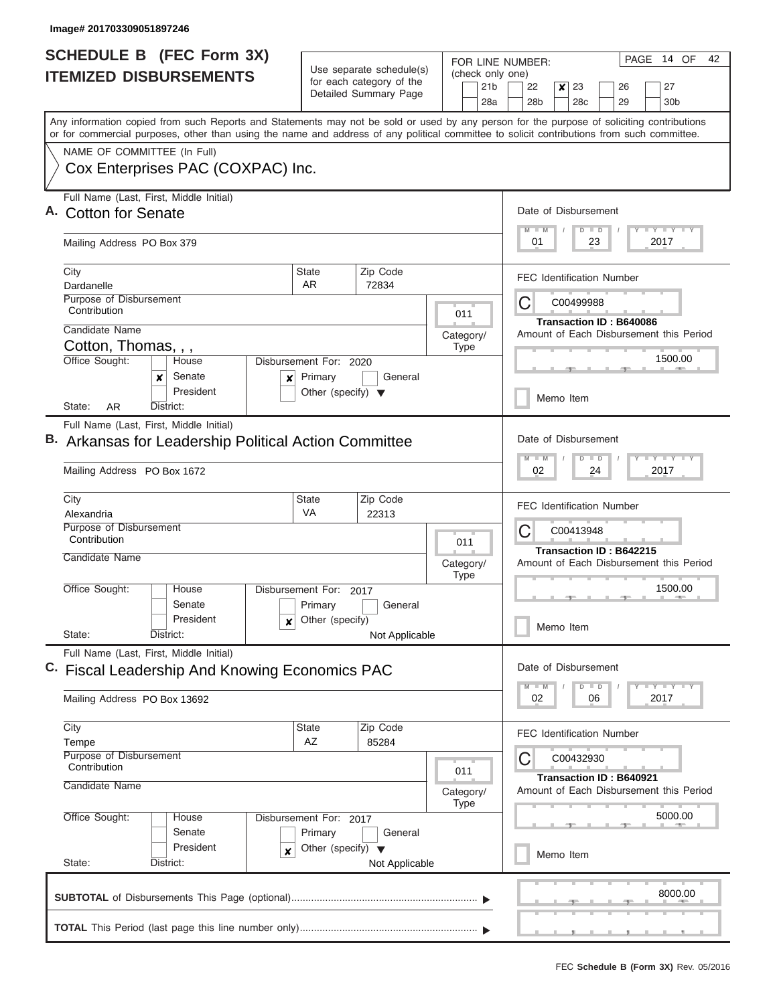| SCHEDULE B (FEC Form 3X)<br><b>ITEMIZED DISBURSEMENTS</b>                                                                                                                                                                                                                                                                                                   | Use separate schedule(s)<br>for each category of the<br>Detailed Summary Page                                                                    | (check only one)<br>21 <sub>b</sub><br>28a | PAGE 14 OF<br>42<br>FOR LINE NUMBER:<br>22<br>$\boldsymbol{x}$<br>23<br>27<br>26<br>28b<br>28 <sub>c</sub><br>29<br>30 <sub>b</sub>                                                                                   |  |  |  |  |  |  |  |  |
|-------------------------------------------------------------------------------------------------------------------------------------------------------------------------------------------------------------------------------------------------------------------------------------------------------------------------------------------------------------|--------------------------------------------------------------------------------------------------------------------------------------------------|--------------------------------------------|-----------------------------------------------------------------------------------------------------------------------------------------------------------------------------------------------------------------------|--|--|--|--|--|--|--|--|
| Any information copied from such Reports and Statements may not be sold or used by any person for the purpose of soliciting contributions<br>or for commercial purposes, other than using the name and address of any political committee to solicit contributions from such committee.<br>NAME OF COMMITTEE (In Full)<br>Cox Enterprises PAC (COXPAC) Inc. |                                                                                                                                                  |                                            |                                                                                                                                                                                                                       |  |  |  |  |  |  |  |  |
| Full Name (Last, First, Middle Initial)<br>A. Cotton for Senate<br>Mailing Address PO Box 379                                                                                                                                                                                                                                                               | Date of Disbursement<br>$T - Y = Y + Y$<br>$M$ $M$<br>$D$ $D$<br>01<br>23<br>2017                                                                |                                            |                                                                                                                                                                                                                       |  |  |  |  |  |  |  |  |
| City<br>Dardanelle<br>Purpose of Disbursement<br>Contribution<br>Candidate Name<br>Cotton, Thomas, , ,<br>Office Sought:<br>House<br>Senate<br>x<br>×<br>President<br>AR.<br>District:<br>State:                                                                                                                                                            | Zip Code<br><b>State</b><br>AR.<br>72834<br>Disbursement For: 2020<br>Primary<br>General<br>Other (specify) $\blacktriangledown$                 | 011<br>Category/<br><b>Type</b>            | <b>FEC Identification Number</b><br>С<br>C00499988<br><b>Transaction ID: B640086</b><br>Amount of Each Disbursement this Period<br>1500.00<br>Memo Item                                                               |  |  |  |  |  |  |  |  |
| Full Name (Last, First, Middle Initial)<br>Arkansas for Leadership Political Action Committee<br>Mailing Address PO Box 1672<br>City<br>Alexandria<br>Purpose of Disbursement<br>Contribution<br>Candidate Name                                                                                                                                             | Zip Code<br><b>State</b><br><b>VA</b><br>22313                                                                                                   | 011<br>Category/<br><b>Type</b>            | Date of Disbursement<br>$T - Y$ $T - Y$ $T - Y$<br>$M - M$<br>$D$ $D$<br>02<br>24<br>2017<br><b>FEC Identification Number</b><br>C<br>C00413948<br>Transaction ID: B642215<br>Amount of Each Disbursement this Period |  |  |  |  |  |  |  |  |
| Office Sought:<br>House<br>Senate<br>President<br>x<br>State:<br>District:                                                                                                                                                                                                                                                                                  | Disbursement For:<br>2017<br>Primary<br>General<br>Other (specify)<br>Not Applicable                                                             |                                            | 1500.00<br>Memo Item                                                                                                                                                                                                  |  |  |  |  |  |  |  |  |
| Full Name (Last, First, Middle Initial)<br>C. Fiscal Leadership And Knowing Economics PAC<br>Mailing Address PO Box 13692                                                                                                                                                                                                                                   |                                                                                                                                                  |                                            | Date of Disbursement<br>$\mathbf{I}$ $\mathbf{Y}$ $\mathbf{I}$ $\mathbf{Y}$ $\mathbf{I}$ $\mathbf{Y}$<br>$D$ $D$<br>$M - M$<br>02<br>06<br>2017                                                                       |  |  |  |  |  |  |  |  |
| City<br><b>State</b><br>Tempe<br>Purpose of Disbursement<br>Contribution<br>Candidate Name<br>Office Sought:<br>House<br>Disbursement For: 2017<br>Senate<br>President<br>x<br>State:<br>District:                                                                                                                                                          | <b>FEC Identification Number</b><br>С<br>C00432930<br>Transaction ID: B640921<br>Amount of Each Disbursement this Period<br>5000.00<br>Memo Item |                                            |                                                                                                                                                                                                                       |  |  |  |  |  |  |  |  |
|                                                                                                                                                                                                                                                                                                                                                             |                                                                                                                                                  |                                            | 8000.00                                                                                                                                                                                                               |  |  |  |  |  |  |  |  |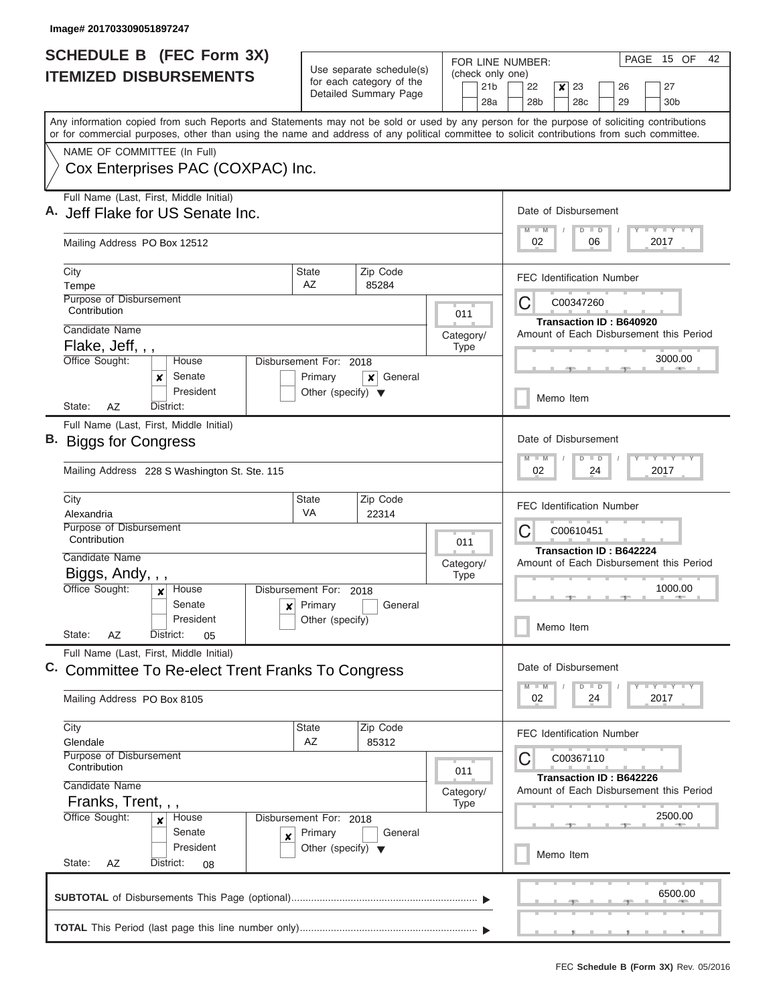| <b>SCHEDULE B</b> (FEC Form 3X)                                                                                                                                                                                                                                                         |                                                                 |                                                      | FOR LINE NUMBER:                    | PAGE<br>15 OF<br>42                                                          |  |  |  |  |  |  |  |  |
|-----------------------------------------------------------------------------------------------------------------------------------------------------------------------------------------------------------------------------------------------------------------------------------------|-----------------------------------------------------------------|------------------------------------------------------|-------------------------------------|------------------------------------------------------------------------------|--|--|--|--|--|--|--|--|
| <b>ITEMIZED DISBURSEMENTS</b>                                                                                                                                                                                                                                                           |                                                                 | Use separate schedule(s)<br>for each category of the | (check only one)<br>21 <sub>b</sub> | 23<br>27<br>22<br>x<br>26                                                    |  |  |  |  |  |  |  |  |
|                                                                                                                                                                                                                                                                                         |                                                                 | Detailed Summary Page                                | 28a                                 | 28 <sub>b</sub><br>28c<br>29<br>30 <sub>b</sub>                              |  |  |  |  |  |  |  |  |
| Any information copied from such Reports and Statements may not be sold or used by any person for the purpose of soliciting contributions<br>or for commercial purposes, other than using the name and address of any political committee to solicit contributions from such committee. |                                                                 |                                                      |                                     |                                                                              |  |  |  |  |  |  |  |  |
| NAME OF COMMITTEE (In Full)                                                                                                                                                                                                                                                             |                                                                 |                                                      |                                     |                                                                              |  |  |  |  |  |  |  |  |
| Cox Enterprises PAC (COXPAC) Inc.                                                                                                                                                                                                                                                       |                                                                 |                                                      |                                     |                                                                              |  |  |  |  |  |  |  |  |
| Full Name (Last, First, Middle Initial)<br>A. Jeff Flake for US Senate Inc.                                                                                                                                                                                                             |                                                                 |                                                      |                                     | Date of Disbursement                                                         |  |  |  |  |  |  |  |  |
| Mailing Address PO Box 12512                                                                                                                                                                                                                                                            |                                                                 |                                                      |                                     | Y L Y L Y L Y<br>$M$ $M$<br>$D$ $D$<br>02<br>06<br>2017                      |  |  |  |  |  |  |  |  |
| City                                                                                                                                                                                                                                                                                    | State<br>AZ                                                     | Zip Code                                             |                                     | <b>FEC Identification Number</b>                                             |  |  |  |  |  |  |  |  |
| Tempe<br>Purpose of Disbursement                                                                                                                                                                                                                                                        |                                                                 | 85284                                                |                                     |                                                                              |  |  |  |  |  |  |  |  |
| Contribution                                                                                                                                                                                                                                                                            |                                                                 |                                                      | 011                                 | C<br>C00347260                                                               |  |  |  |  |  |  |  |  |
| Candidate Name                                                                                                                                                                                                                                                                          |                                                                 |                                                      | Category/                           | <b>Transaction ID: B640920</b><br>Amount of Each Disbursement this Period    |  |  |  |  |  |  |  |  |
| Flake, Jeff, , ,                                                                                                                                                                                                                                                                        |                                                                 |                                                      | <b>Type</b>                         |                                                                              |  |  |  |  |  |  |  |  |
| Office Sought:<br>House                                                                                                                                                                                                                                                                 | Disbursement For: 2018                                          |                                                      |                                     | 3000.00                                                                      |  |  |  |  |  |  |  |  |
| Senate<br>×<br>President                                                                                                                                                                                                                                                                | Primary<br>Other (specify) $\blacktriangledown$                 | General<br>×                                         |                                     |                                                                              |  |  |  |  |  |  |  |  |
| AZ<br>State:<br>District:                                                                                                                                                                                                                                                               |                                                                 |                                                      |                                     | Memo Item                                                                    |  |  |  |  |  |  |  |  |
| Full Name (Last, First, Middle Initial)                                                                                                                                                                                                                                                 |                                                                 |                                                      |                                     |                                                                              |  |  |  |  |  |  |  |  |
| B. Biggs for Congress                                                                                                                                                                                                                                                                   |                                                                 |                                                      |                                     | Date of Disbursement<br>Y FY FY FY<br>$M - M$<br>$D$ $D$<br>24<br>2017<br>02 |  |  |  |  |  |  |  |  |
| Mailing Address 228 S Washington St. Ste. 115                                                                                                                                                                                                                                           |                                                                 |                                                      |                                     |                                                                              |  |  |  |  |  |  |  |  |
| City                                                                                                                                                                                                                                                                                    | <b>State</b><br>VA                                              | Zip Code                                             |                                     | <b>FEC Identification Number</b><br>C00610451                                |  |  |  |  |  |  |  |  |
| Alexandria<br>Purpose of Disbursement                                                                                                                                                                                                                                                   |                                                                 | 22314                                                |                                     |                                                                              |  |  |  |  |  |  |  |  |
| Contribution                                                                                                                                                                                                                                                                            |                                                                 |                                                      | 011                                 | C                                                                            |  |  |  |  |  |  |  |  |
| Candidate Name                                                                                                                                                                                                                                                                          |                                                                 |                                                      | Category/                           | Transaction ID: B642224<br>Amount of Each Disbursement this Period           |  |  |  |  |  |  |  |  |
| Biggs, Andy, , ,                                                                                                                                                                                                                                                                        |                                                                 |                                                      | <b>Type</b>                         |                                                                              |  |  |  |  |  |  |  |  |
| Office Sought:<br>House<br>x                                                                                                                                                                                                                                                            | Disbursement For: 2018                                          |                                                      |                                     | 1000.00                                                                      |  |  |  |  |  |  |  |  |
| Senate<br>President                                                                                                                                                                                                                                                                     | Primary<br>$\boldsymbol{x}$                                     | General                                              |                                     |                                                                              |  |  |  |  |  |  |  |  |
| State:<br>AZ<br>District:<br>05                                                                                                                                                                                                                                                         | Other (specify)                                                 |                                                      |                                     | Memo Item                                                                    |  |  |  |  |  |  |  |  |
| Full Name (Last, First, Middle Initial)                                                                                                                                                                                                                                                 |                                                                 |                                                      |                                     |                                                                              |  |  |  |  |  |  |  |  |
| <b>Committee To Re-elect Trent Franks To Congress</b>                                                                                                                                                                                                                                   |                                                                 |                                                      |                                     | Date of Disbursement                                                         |  |  |  |  |  |  |  |  |
| Mailing Address PO Box 8105                                                                                                                                                                                                                                                             |                                                                 |                                                      |                                     | $Y$ $Y$ $Y$ $Y$ $Y$<br>$M$ $M$<br>$D$ $D$<br>02<br>2017<br>24                |  |  |  |  |  |  |  |  |
| City<br>Glendale                                                                                                                                                                                                                                                                        | State<br>AZ                                                     | Zip Code<br>85312                                    |                                     | <b>FEC Identification Number</b>                                             |  |  |  |  |  |  |  |  |
| Purpose of Disbursement                                                                                                                                                                                                                                                                 |                                                                 |                                                      |                                     | C<br>C00367110                                                               |  |  |  |  |  |  |  |  |
| Contribution                                                                                                                                                                                                                                                                            |                                                                 |                                                      | 011                                 | Transaction ID: B642226                                                      |  |  |  |  |  |  |  |  |
| Candidate Name                                                                                                                                                                                                                                                                          |                                                                 |                                                      | Category/                           | Amount of Each Disbursement this Period                                      |  |  |  |  |  |  |  |  |
| Franks, Trent, , ,<br>Office Sought:                                                                                                                                                                                                                                                    | Disbursement For: 2018                                          |                                                      | <b>Type</b>                         | 2500.00                                                                      |  |  |  |  |  |  |  |  |
| House<br>×<br>Senate                                                                                                                                                                                                                                                                    |                                                                 |                                                      |                                     |                                                                              |  |  |  |  |  |  |  |  |
| President                                                                                                                                                                                                                                                                               | Primary<br>General<br>X<br>Other (specify) $\blacktriangledown$ |                                                      |                                     |                                                                              |  |  |  |  |  |  |  |  |
| State:<br>AZ<br>District:<br>08                                                                                                                                                                                                                                                         |                                                                 |                                                      |                                     | Memo Item                                                                    |  |  |  |  |  |  |  |  |
|                                                                                                                                                                                                                                                                                         |                                                                 |                                                      |                                     | 6500.00                                                                      |  |  |  |  |  |  |  |  |
|                                                                                                                                                                                                                                                                                         |                                                                 |                                                      |                                     |                                                                              |  |  |  |  |  |  |  |  |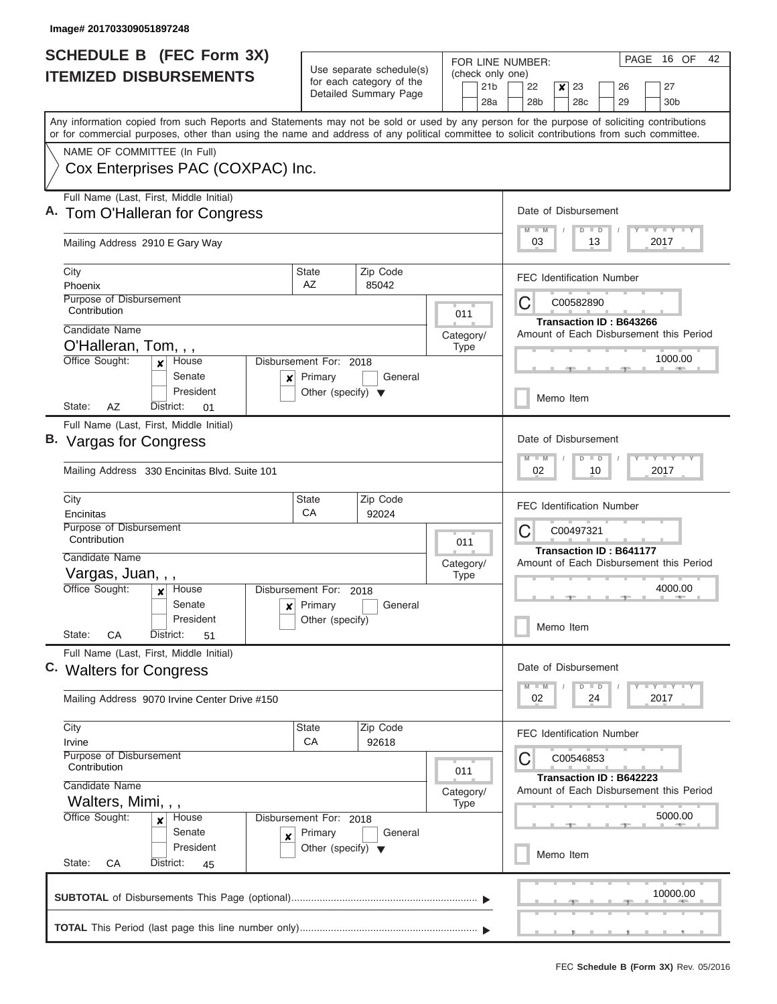| <b>SCHEDULE B (FEC Form 3X)</b>                                                                                                                                                                                                                                                         |                                      | Use separate schedule(s)                          | FOR LINE NUMBER:                           | PAGE 16 OF<br>42                                                                            |  |  |  |  |  |  |  |
|-----------------------------------------------------------------------------------------------------------------------------------------------------------------------------------------------------------------------------------------------------------------------------------------|--------------------------------------|---------------------------------------------------|--------------------------------------------|---------------------------------------------------------------------------------------------|--|--|--|--|--|--|--|
| <b>ITEMIZED DISBURSEMENTS</b>                                                                                                                                                                                                                                                           |                                      | for each category of the<br>Detailed Summary Page | (check only one)<br>21 <sub>b</sub><br>28a | 22<br>23<br>27<br>$\boldsymbol{x}$<br>26<br>28 <sub>b</sub><br>28c<br>29<br>30 <sub>b</sub> |  |  |  |  |  |  |  |
| Any information copied from such Reports and Statements may not be sold or used by any person for the purpose of soliciting contributions<br>or for commercial purposes, other than using the name and address of any political committee to solicit contributions from such committee. |                                      |                                                   |                                            |                                                                                             |  |  |  |  |  |  |  |
| NAME OF COMMITTEE (In Full)<br>Cox Enterprises PAC (COXPAC) Inc.                                                                                                                                                                                                                        |                                      |                                                   |                                            |                                                                                             |  |  |  |  |  |  |  |
| Full Name (Last, First, Middle Initial)<br>A. Tom O'Halleran for Congress                                                                                                                                                                                                               |                                      |                                                   |                                            | Date of Disbursement<br>Y L Y L Y L Y<br>$M$ $M$<br>$D$ $D$                                 |  |  |  |  |  |  |  |
| Mailing Address 2910 E Gary Way                                                                                                                                                                                                                                                         |                                      |                                                   |                                            | 03<br>13<br>2017                                                                            |  |  |  |  |  |  |  |
| City<br>Phoenix                                                                                                                                                                                                                                                                         | <b>State</b><br>AZ                   | Zip Code<br>85042                                 |                                            | <b>FEC Identification Number</b>                                                            |  |  |  |  |  |  |  |
| Purpose of Disbursement<br>Contribution                                                                                                                                                                                                                                                 |                                      |                                                   | 011                                        | C<br>C00582890<br><b>Transaction ID: B643266</b>                                            |  |  |  |  |  |  |  |
| Candidate Name<br>O'Halleran, Tom, , ,                                                                                                                                                                                                                                                  |                                      |                                                   | Category/                                  | Amount of Each Disbursement this Period                                                     |  |  |  |  |  |  |  |
| Office Sought:<br>House<br>x<br>Senate<br>×                                                                                                                                                                                                                                             | Disbursement For: 2018<br>Primary    | General                                           | <b>Type</b>                                | 1000.00                                                                                     |  |  |  |  |  |  |  |
| President<br>AZ<br>State:<br>District:<br>01                                                                                                                                                                                                                                            | Other (specify) $\blacktriangledown$ |                                                   |                                            | Memo Item                                                                                   |  |  |  |  |  |  |  |
| Full Name (Last, First, Middle Initial)                                                                                                                                                                                                                                                 |                                      |                                                   |                                            |                                                                                             |  |  |  |  |  |  |  |
| B. Vargas for Congress                                                                                                                                                                                                                                                                  |                                      |                                                   |                                            | Date of Disbursement                                                                        |  |  |  |  |  |  |  |
| Mailing Address 330 Encinitas Blvd. Suite 101                                                                                                                                                                                                                                           |                                      |                                                   |                                            | Y FY FY FY<br>$M - M$<br>$D$ $D$<br>02<br>10<br>2017                                        |  |  |  |  |  |  |  |
| City<br>Encinitas                                                                                                                                                                                                                                                                       | <b>State</b><br>CA                   | Zip Code<br>92024                                 |                                            | <b>FEC Identification Number</b>                                                            |  |  |  |  |  |  |  |
| Purpose of Disbursement<br>Contribution                                                                                                                                                                                                                                                 |                                      |                                                   | 011                                        | C<br>C00497321                                                                              |  |  |  |  |  |  |  |
| Candidate Name                                                                                                                                                                                                                                                                          |                                      |                                                   | Category/                                  | <b>Transaction ID: B641177</b><br>Amount of Each Disbursement this Period                   |  |  |  |  |  |  |  |
| Vargas, Juan, , ,<br>Office Sought:<br>House<br>$\mathbf{x}$                                                                                                                                                                                                                            | Disbursement For: 2018               |                                                   | <b>Type</b>                                | 4000.00<br>Memo Item                                                                        |  |  |  |  |  |  |  |
| Senate<br>×<br>President<br>State:<br>CA<br>District:                                                                                                                                                                                                                                   | Primary<br>Other (specify)           | General                                           |                                            |                                                                                             |  |  |  |  |  |  |  |
| 51<br>Full Name (Last, First, Middle Initial)<br>C. Walters for Congress                                                                                                                                                                                                                |                                      |                                                   |                                            | Date of Disbursement                                                                        |  |  |  |  |  |  |  |
| Mailing Address 9070 Irvine Center Drive #150                                                                                                                                                                                                                                           |                                      |                                                   |                                            | $Y$ $Y$ $Y$ $Y$ $Y$<br>$D$ $D$<br>$M - M$<br>02<br>2017<br>24                               |  |  |  |  |  |  |  |
| City<br>Irvine                                                                                                                                                                                                                                                                          | State<br>CA                          | Zip Code<br>92618                                 |                                            | <b>FEC Identification Number</b>                                                            |  |  |  |  |  |  |  |
| Purpose of Disbursement<br>Contribution                                                                                                                                                                                                                                                 |                                      |                                                   | 011                                        | C00546853<br>C<br>Transaction ID: B642223                                                   |  |  |  |  |  |  |  |
| Candidate Name<br>Walters, Mimi, , ,                                                                                                                                                                                                                                                    |                                      |                                                   | Category/<br><b>Type</b>                   | Amount of Each Disbursement this Period                                                     |  |  |  |  |  |  |  |
| Office Sought:<br>House<br>×<br>Senate<br>X                                                                                                                                                                                                                                             | Disbursement For: 2018<br>Primary    | General                                           |                                            | 5000.00                                                                                     |  |  |  |  |  |  |  |
| President<br>State:<br>СA<br>District:<br>45                                                                                                                                                                                                                                            | Other (specify) $\blacktriangledown$ |                                                   |                                            | Memo Item                                                                                   |  |  |  |  |  |  |  |
|                                                                                                                                                                                                                                                                                         |                                      |                                                   |                                            | 10000.00                                                                                    |  |  |  |  |  |  |  |
|                                                                                                                                                                                                                                                                                         |                                      |                                                   |                                            |                                                                                             |  |  |  |  |  |  |  |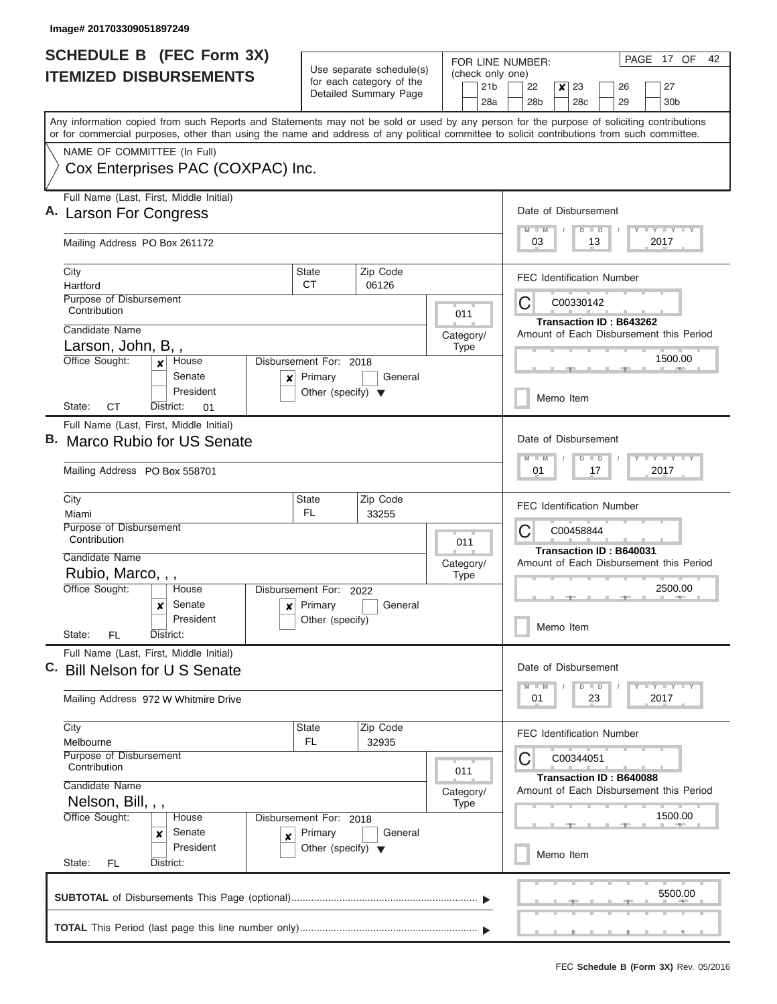| <b>SCHEDULE B (FEC Form 3X)</b>                                                                                                            |                                                            |                                     | PAGE 17 OF<br>42<br>FOR LINE NUMBER:                                                                                                                                                                                 |  |  |  |  |  |  |  |  |  |
|--------------------------------------------------------------------------------------------------------------------------------------------|------------------------------------------------------------|-------------------------------------|----------------------------------------------------------------------------------------------------------------------------------------------------------------------------------------------------------------------|--|--|--|--|--|--|--|--|--|
| <b>ITEMIZED DISBURSEMENTS</b>                                                                                                              | Use separate schedule(s)<br>for each category of the       | (check only one)<br>21 <sub>b</sub> | 22<br>$\boldsymbol{x}$<br>23<br>27<br>26                                                                                                                                                                             |  |  |  |  |  |  |  |  |  |
|                                                                                                                                            | Detailed Summary Page                                      | 28a                                 | 28b<br>28 <sub>c</sub><br>29<br>30 <sub>b</sub>                                                                                                                                                                      |  |  |  |  |  |  |  |  |  |
| Any information copied from such Reports and Statements may not be sold or used by any person for the purpose of soliciting contributions  |                                                            |                                     |                                                                                                                                                                                                                      |  |  |  |  |  |  |  |  |  |
| or for commercial purposes, other than using the name and address of any political committee to solicit contributions from such committee. |                                                            |                                     |                                                                                                                                                                                                                      |  |  |  |  |  |  |  |  |  |
| NAME OF COMMITTEE (In Full)<br>Cox Enterprises PAC (COXPAC) Inc.                                                                           |                                                            |                                     |                                                                                                                                                                                                                      |  |  |  |  |  |  |  |  |  |
|                                                                                                                                            |                                                            |                                     |                                                                                                                                                                                                                      |  |  |  |  |  |  |  |  |  |
| Full Name (Last, First, Middle Initial)                                                                                                    |                                                            |                                     | Date of Disbursement                                                                                                                                                                                                 |  |  |  |  |  |  |  |  |  |
| A. Larson For Congress                                                                                                                     |                                                            |                                     | <b>TAY TAY TAY</b><br>$M$ $M$<br>$D$ $D$                                                                                                                                                                             |  |  |  |  |  |  |  |  |  |
| Mailing Address PO Box 261172                                                                                                              |                                                            |                                     | 03<br>13<br>2017                                                                                                                                                                                                     |  |  |  |  |  |  |  |  |  |
| City<br>Hartford                                                                                                                           | Zip Code<br><b>State</b><br><b>CT</b><br>06126             |                                     | <b>FEC Identification Number</b>                                                                                                                                                                                     |  |  |  |  |  |  |  |  |  |
| Purpose of Disbursement                                                                                                                    |                                                            |                                     | С<br>C00330142                                                                                                                                                                                                       |  |  |  |  |  |  |  |  |  |
| Contribution                                                                                                                               |                                                            | 011                                 | Transaction ID: B643262                                                                                                                                                                                              |  |  |  |  |  |  |  |  |  |
| Candidate Name<br>Larson, John, B,,                                                                                                        |                                                            | Category/<br><b>Type</b>            | Amount of Each Disbursement this Period                                                                                                                                                                              |  |  |  |  |  |  |  |  |  |
| Office Sought:<br>House<br>$\mathbf{x}$                                                                                                    | Disbursement For: 2018                                     |                                     | 1500.00                                                                                                                                                                                                              |  |  |  |  |  |  |  |  |  |
| Senate<br>×<br>President                                                                                                                   | Primary<br>General<br>Other (specify) $\blacktriangledown$ |                                     |                                                                                                                                                                                                                      |  |  |  |  |  |  |  |  |  |
| СT<br>State:<br>District:<br>01                                                                                                            |                                                            |                                     | Memo Item                                                                                                                                                                                                            |  |  |  |  |  |  |  |  |  |
| Full Name (Last, First, Middle Initial)                                                                                                    |                                                            |                                     |                                                                                                                                                                                                                      |  |  |  |  |  |  |  |  |  |
| В.<br>Marco Rubio for US Senate                                                                                                            |                                                            |                                     | Date of Disbursement                                                                                                                                                                                                 |  |  |  |  |  |  |  |  |  |
| Mailing Address PO Box 558701                                                                                                              |                                                            |                                     | $T$ $T$ $T$ $T$ $T$ $T$ $T$ $T$ $T$<br>$M - M$<br>$D$ $D$<br>01<br>17<br>2017<br><b>FEC Identification Number</b><br>C<br>C00458844<br>Transaction ID: B640031<br>Amount of Each Disbursement this Period<br>2500.00 |  |  |  |  |  |  |  |  |  |
| City<br>Miami                                                                                                                              | Zip Code<br><b>State</b><br>FL.<br>33255                   |                                     |                                                                                                                                                                                                                      |  |  |  |  |  |  |  |  |  |
| Purpose of Disbursement<br>Contribution                                                                                                    |                                                            |                                     |                                                                                                                                                                                                                      |  |  |  |  |  |  |  |  |  |
| Candidate Name                                                                                                                             |                                                            | 011                                 |                                                                                                                                                                                                                      |  |  |  |  |  |  |  |  |  |
| Rubio, Marco, , ,                                                                                                                          |                                                            | Category/<br><b>Type</b>            |                                                                                                                                                                                                                      |  |  |  |  |  |  |  |  |  |
| Office Sought:<br>House                                                                                                                    | Disbursement For: 2022                                     |                                     |                                                                                                                                                                                                                      |  |  |  |  |  |  |  |  |  |
| Senate<br>×<br>$\pmb{\times}$<br>President                                                                                                 | Primary<br>General<br>Other (specify)                      |                                     |                                                                                                                                                                                                                      |  |  |  |  |  |  |  |  |  |
| State:<br>FL<br>District:                                                                                                                  |                                                            | Memo Item                           |                                                                                                                                                                                                                      |  |  |  |  |  |  |  |  |  |
| Full Name (Last, First, Middle Initial)                                                                                                    |                                                            |                                     | Date of Disbursement                                                                                                                                                                                                 |  |  |  |  |  |  |  |  |  |
| C. Bill Nelson for U S Senate                                                                                                              |                                                            |                                     | $T$ $Y$ $T$ $Y$ $T$ $Y$<br>$M - M$<br>$D$ $D$                                                                                                                                                                        |  |  |  |  |  |  |  |  |  |
| Mailing Address 972 W Whitmire Drive                                                                                                       |                                                            |                                     | 01<br>23<br>2017                                                                                                                                                                                                     |  |  |  |  |  |  |  |  |  |
| City<br>Melbourne                                                                                                                          | Zip Code<br><b>State</b><br>FL.<br>32935                   |                                     | <b>FEC Identification Number</b>                                                                                                                                                                                     |  |  |  |  |  |  |  |  |  |
| Purpose of Disbursement                                                                                                                    |                                                            |                                     | С<br>C00344051                                                                                                                                                                                                       |  |  |  |  |  |  |  |  |  |
| Contribution                                                                                                                               |                                                            | 011                                 | Transaction ID: B640088                                                                                                                                                                                              |  |  |  |  |  |  |  |  |  |
| Candidate Name<br>Nelson, Bill, , ,                                                                                                        |                                                            | Category/<br><b>Type</b>            | Amount of Each Disbursement this Period                                                                                                                                                                              |  |  |  |  |  |  |  |  |  |
| Office Sought:<br>House<br>Disbursement For: 2018                                                                                          |                                                            | 1500.00                             |                                                                                                                                                                                                                      |  |  |  |  |  |  |  |  |  |
| Senate<br>Primary<br>×<br>X                                                                                                                |                                                            |                                     |                                                                                                                                                                                                                      |  |  |  |  |  |  |  |  |  |
| President<br>State:<br><b>FL</b><br>District:                                                                                              | Other (specify) $\blacktriangledown$                       |                                     | Memo Item                                                                                                                                                                                                            |  |  |  |  |  |  |  |  |  |
|                                                                                                                                            |                                                            |                                     | 5500.00                                                                                                                                                                                                              |  |  |  |  |  |  |  |  |  |
|                                                                                                                                            |                                                            |                                     |                                                                                                                                                                                                                      |  |  |  |  |  |  |  |  |  |
|                                                                                                                                            |                                                            |                                     |                                                                                                                                                                                                                      |  |  |  |  |  |  |  |  |  |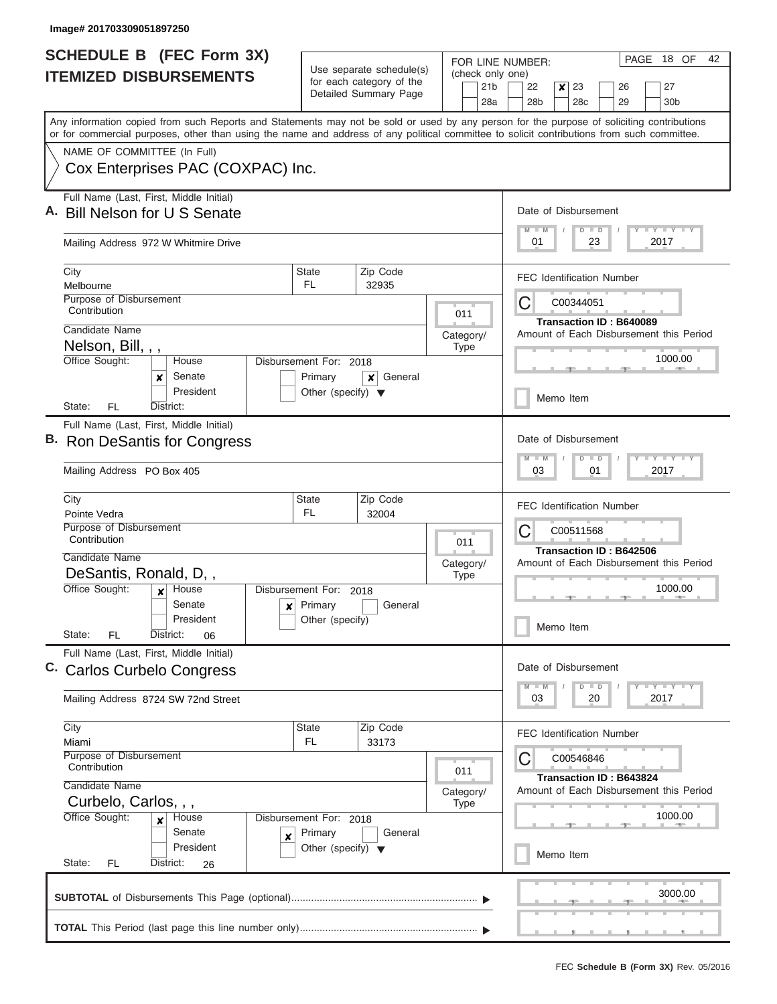| <b>SCHEDULE B (FEC Form 3X)</b>                                                                                                                                                                                                                                                         |                                                 |                                                                    |                          | PAGE 18 OF<br>42<br>FOR LINE NUMBER:                                          |  |  |  |  |  |  |  |  |  |  |
|-----------------------------------------------------------------------------------------------------------------------------------------------------------------------------------------------------------------------------------------------------------------------------------------|-------------------------------------------------|--------------------------------------------------------------------|--------------------------|-------------------------------------------------------------------------------|--|--|--|--|--|--|--|--|--|--|
| <b>ITEMIZED DISBURSEMENTS</b>                                                                                                                                                                                                                                                           |                                                 | Use separate schedule(s)<br>for each category of the               | (check only one)         |                                                                               |  |  |  |  |  |  |  |  |  |  |
|                                                                                                                                                                                                                                                                                         |                                                 | Detailed Summary Page                                              | 21 <sub>b</sub><br>28a   | 22<br>$\mathsf{x}$<br>23<br>27<br>26<br>28b<br>28c<br>29<br>30 <sub>b</sub>   |  |  |  |  |  |  |  |  |  |  |
| Any information copied from such Reports and Statements may not be sold or used by any person for the purpose of soliciting contributions<br>or for commercial purposes, other than using the name and address of any political committee to solicit contributions from such committee. |                                                 |                                                                    |                          |                                                                               |  |  |  |  |  |  |  |  |  |  |
| NAME OF COMMITTEE (In Full)                                                                                                                                                                                                                                                             |                                                 |                                                                    |                          |                                                                               |  |  |  |  |  |  |  |  |  |  |
| Cox Enterprises PAC (COXPAC) Inc.                                                                                                                                                                                                                                                       |                                                 |                                                                    |                          |                                                                               |  |  |  |  |  |  |  |  |  |  |
| Full Name (Last, First, Middle Initial)<br>A. Bill Nelson for U S Senate                                                                                                                                                                                                                |                                                 |                                                                    |                          | Date of Disbursement                                                          |  |  |  |  |  |  |  |  |  |  |
| Mailing Address 972 W Whitmire Drive                                                                                                                                                                                                                                                    |                                                 |                                                                    |                          | Y L Y L Y L Y<br>$M$ $M$<br>$D$ $D$<br>01<br>23<br>2017                       |  |  |  |  |  |  |  |  |  |  |
| City<br>Melbourne                                                                                                                                                                                                                                                                       | State<br>FL.                                    | Zip Code<br>32935                                                  |                          | <b>FEC Identification Number</b>                                              |  |  |  |  |  |  |  |  |  |  |
| Purpose of Disbursement<br>Contribution                                                                                                                                                                                                                                                 |                                                 |                                                                    | 011                      | C<br>C00344051                                                                |  |  |  |  |  |  |  |  |  |  |
| Candidate Name<br>Nelson, Bill, , ,                                                                                                                                                                                                                                                     |                                                 |                                                                    | Category/<br><b>Type</b> | Transaction ID: B640089<br>Amount of Each Disbursement this Period            |  |  |  |  |  |  |  |  |  |  |
| Office Sought:<br>House<br>Senate                                                                                                                                                                                                                                                       | Disbursement For: 2018                          |                                                                    |                          | 1000.00                                                                       |  |  |  |  |  |  |  |  |  |  |
| x<br>President<br>FL<br>District:<br>State:                                                                                                                                                                                                                                             | Primary<br>Other (specify) $\blacktriangledown$ | General<br>x                                                       |                          | Memo Item                                                                     |  |  |  |  |  |  |  |  |  |  |
| Full Name (Last, First, Middle Initial)                                                                                                                                                                                                                                                 |                                                 |                                                                    |                          |                                                                               |  |  |  |  |  |  |  |  |  |  |
| B. Ron DeSantis for Congress                                                                                                                                                                                                                                                            |                                                 |                                                                    |                          | Date of Disbursement<br>Y FY FY FY<br>$M - M$<br>$D$ $D$                      |  |  |  |  |  |  |  |  |  |  |
| Mailing Address PO Box 405                                                                                                                                                                                                                                                              |                                                 |                                                                    |                          | 03<br>01<br>2017                                                              |  |  |  |  |  |  |  |  |  |  |
| City<br>Pointe Vedra                                                                                                                                                                                                                                                                    | <b>State</b><br><b>FL</b>                       | Zip Code<br>32004                                                  |                          | <b>FEC Identification Number</b>                                              |  |  |  |  |  |  |  |  |  |  |
| Purpose of Disbursement<br>Contribution                                                                                                                                                                                                                                                 |                                                 |                                                                    | 011                      | C00511568<br>C                                                                |  |  |  |  |  |  |  |  |  |  |
| Candidate Name                                                                                                                                                                                                                                                                          |                                                 |                                                                    | Category/                | Transaction ID: B642506<br>Amount of Each Disbursement this Period<br>1000.00 |  |  |  |  |  |  |  |  |  |  |
| DeSantis, Ronald, D,,<br>Office Sought:<br>House<br>$\mathbf{x}$                                                                                                                                                                                                                        | Disbursement For: 2018                          |                                                                    | <b>Type</b>              |                                                                               |  |  |  |  |  |  |  |  |  |  |
| Senate<br>$\boldsymbol{\mathsf{x}}$                                                                                                                                                                                                                                                     | Primary                                         | General                                                            |                          |                                                                               |  |  |  |  |  |  |  |  |  |  |
| President<br>State:<br>FL<br>District:<br>06                                                                                                                                                                                                                                            | Other (specify)                                 |                                                                    |                          | Memo Item                                                                     |  |  |  |  |  |  |  |  |  |  |
| Full Name (Last, First, Middle Initial)<br>C. Carlos Curbelo Congress                                                                                                                                                                                                                   |                                                 |                                                                    |                          | Date of Disbursement                                                          |  |  |  |  |  |  |  |  |  |  |
| Mailing Address 8724 SW 72nd Street                                                                                                                                                                                                                                                     |                                                 |                                                                    |                          | $Y$ $Y$ $Y$ $Y$ $Y$<br>$D$ $D$<br>03<br>20<br>2017                            |  |  |  |  |  |  |  |  |  |  |
| City<br>Miami                                                                                                                                                                                                                                                                           | <b>State</b><br>FL.                             | Zip Code<br>33173                                                  |                          | <b>FEC Identification Number</b>                                              |  |  |  |  |  |  |  |  |  |  |
| Purpose of Disbursement<br>Contribution                                                                                                                                                                                                                                                 |                                                 |                                                                    | 011                      | C00546846<br>Ĉ                                                                |  |  |  |  |  |  |  |  |  |  |
| Candidate Name<br>Curbelo, Carlos, , ,                                                                                                                                                                                                                                                  | Category/<br><b>Type</b>                        | Transaction ID: B643824<br>Amount of Each Disbursement this Period |                          |                                                                               |  |  |  |  |  |  |  |  |  |  |
| Office Sought:<br>Disbursement For: 2018<br>House<br>$\boldsymbol{x}$                                                                                                                                                                                                                   |                                                 | 1000.00                                                            |                          |                                                                               |  |  |  |  |  |  |  |  |  |  |
| Senate<br>×<br>President                                                                                                                                                                                                                                                                |                                                 | Memo Item                                                          |                          |                                                                               |  |  |  |  |  |  |  |  |  |  |
| State:<br><b>FL</b><br>District:<br>26                                                                                                                                                                                                                                                  |                                                 |                                                                    |                          |                                                                               |  |  |  |  |  |  |  |  |  |  |
|                                                                                                                                                                                                                                                                                         |                                                 |                                                                    |                          | 3000.00                                                                       |  |  |  |  |  |  |  |  |  |  |
|                                                                                                                                                                                                                                                                                         |                                                 |                                                                    |                          |                                                                               |  |  |  |  |  |  |  |  |  |  |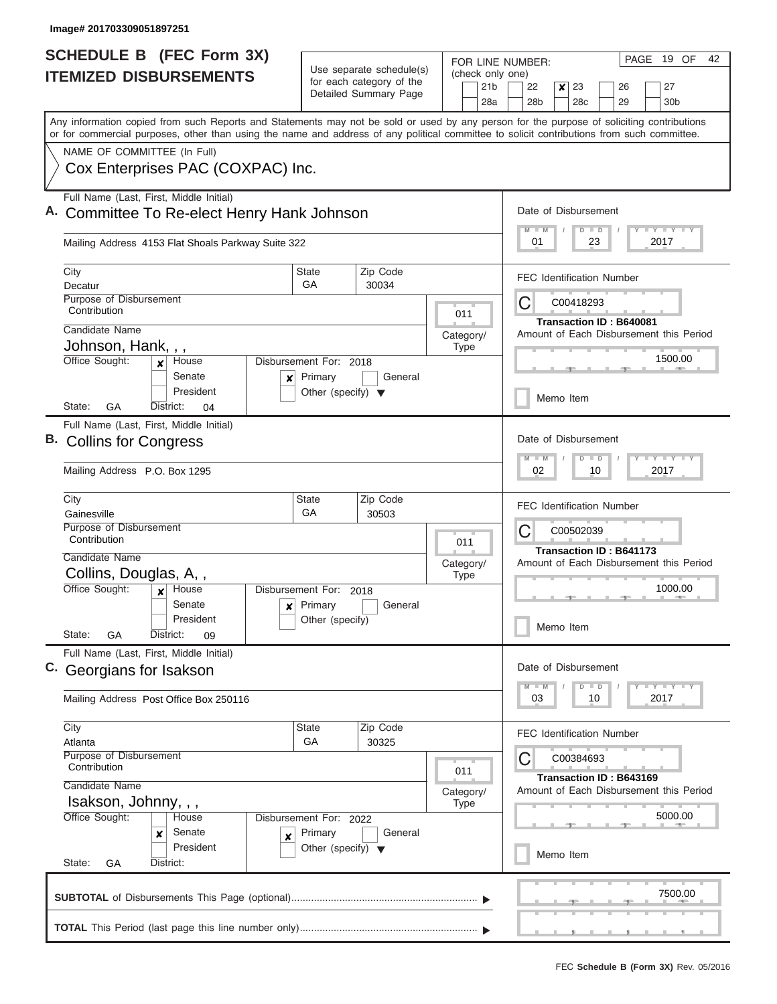|    | <b>SCHEDULE B</b> (FEC Form 3X)                                                                                                                                                                                                                                                         |                                                 | Use separate schedule(s)                                 | FOR LINE NUMBER:                           | PAGE 19 OF<br>42                                                                            |  |  |  |  |  |  |  |  |
|----|-----------------------------------------------------------------------------------------------------------------------------------------------------------------------------------------------------------------------------------------------------------------------------------------|-------------------------------------------------|----------------------------------------------------------|--------------------------------------------|---------------------------------------------------------------------------------------------|--|--|--|--|--|--|--|--|
|    | <b>ITEMIZED DISBURSEMENTS</b>                                                                                                                                                                                                                                                           |                                                 | for each category of the<br>Detailed Summary Page        | (check only one)<br>21 <sub>b</sub><br>28a | 23<br>22<br>$\boldsymbol{x}$<br>27<br>26<br>28 <sub>b</sub><br>28c<br>29<br>30 <sub>b</sub> |  |  |  |  |  |  |  |  |
|    | Any information copied from such Reports and Statements may not be sold or used by any person for the purpose of soliciting contributions<br>or for commercial purposes, other than using the name and address of any political committee to solicit contributions from such committee. |                                                 |                                                          |                                            |                                                                                             |  |  |  |  |  |  |  |  |
|    | NAME OF COMMITTEE (In Full)                                                                                                                                                                                                                                                             |                                                 |                                                          |                                            |                                                                                             |  |  |  |  |  |  |  |  |
|    | Cox Enterprises PAC (COXPAC) Inc.                                                                                                                                                                                                                                                       |                                                 |                                                          |                                            |                                                                                             |  |  |  |  |  |  |  |  |
|    | Full Name (Last, First, Middle Initial)<br>Committee To Re-elect Henry Hank Johnson                                                                                                                                                                                                     |                                                 | Date of Disbursement<br>Y LY LY LY<br>$M - M$<br>$D$ $D$ |                                            |                                                                                             |  |  |  |  |  |  |  |  |
|    | Mailing Address 4153 Flat Shoals Parkway Suite 322                                                                                                                                                                                                                                      |                                                 |                                                          |                                            | 01<br>23<br>2017                                                                            |  |  |  |  |  |  |  |  |
|    | City<br>Decatur                                                                                                                                                                                                                                                                         | <b>State</b><br>GA                              | Zip Code<br>30034                                        |                                            | <b>FEC Identification Number</b>                                                            |  |  |  |  |  |  |  |  |
|    | Purpose of Disbursement<br>Contribution                                                                                                                                                                                                                                                 |                                                 |                                                          | 011                                        | С<br>C00418293                                                                              |  |  |  |  |  |  |  |  |
|    | Candidate Name                                                                                                                                                                                                                                                                          |                                                 |                                                          | Category/                                  | Transaction ID: B640081<br>Amount of Each Disbursement this Period                          |  |  |  |  |  |  |  |  |
|    | Johnson, Hank, , ,<br>Office Sought:<br>House<br>$\mathbf{x}$                                                                                                                                                                                                                           | Disbursement For: 2018                          |                                                          | <b>Type</b>                                | 1500.00                                                                                     |  |  |  |  |  |  |  |  |
|    | Senate<br>$\boldsymbol{x}$<br>President                                                                                                                                                                                                                                                 | Primary<br>Other (specify) $\blacktriangledown$ | General                                                  |                                            | Memo Item                                                                                   |  |  |  |  |  |  |  |  |
|    | State:<br>GА<br>District:<br>04                                                                                                                                                                                                                                                         |                                                 |                                                          |                                            |                                                                                             |  |  |  |  |  |  |  |  |
| В. | Full Name (Last, First, Middle Initial)<br><b>Collins for Congress</b><br>Mailing Address P.O. Box 1295                                                                                                                                                                                 |                                                 |                                                          |                                            | Date of Disbursement<br>Y FY FY FY<br>$M - M$<br>$D$ $D$<br>02<br>10<br>2017                |  |  |  |  |  |  |  |  |
|    | City                                                                                                                                                                                                                                                                                    | <b>State</b>                                    | Zip Code                                                 |                                            | <b>FEC Identification Number</b>                                                            |  |  |  |  |  |  |  |  |
|    | Gainesville                                                                                                                                                                                                                                                                             | GA                                              | 30503                                                    |                                            |                                                                                             |  |  |  |  |  |  |  |  |
|    | Purpose of Disbursement<br>Contribution                                                                                                                                                                                                                                                 |                                                 |                                                          | 011                                        | С<br>C00502039<br>Transaction ID: B641173                                                   |  |  |  |  |  |  |  |  |
|    | Candidate Name                                                                                                                                                                                                                                                                          |                                                 |                                                          | Category/                                  | Amount of Each Disbursement this Period                                                     |  |  |  |  |  |  |  |  |
|    | Collins, Douglas, A,,<br>Office Sought:<br>House                                                                                                                                                                                                                                        | Disbursement For: 2018                          |                                                          | <b>Type</b>                                | 1000.00                                                                                     |  |  |  |  |  |  |  |  |
|    | Senate                                                                                                                                                                                                                                                                                  | $x$ Primary                                     | General                                                  |                                            |                                                                                             |  |  |  |  |  |  |  |  |
|    | President<br>State:<br>GA<br>District:<br>09                                                                                                                                                                                                                                            | Other (specify)                                 |                                                          |                                            | Memo Item                                                                                   |  |  |  |  |  |  |  |  |
|    | Full Name (Last, First, Middle Initial)<br>C. Georgians for Isakson                                                                                                                                                                                                                     |                                                 |                                                          |                                            | Date of Disbursement                                                                        |  |  |  |  |  |  |  |  |
|    | Mailing Address Post Office Box 250116                                                                                                                                                                                                                                                  |                                                 |                                                          |                                            | $Y$ $Y$ $Y$ $Y$ $Y$<br>$D$ $D$<br>$M - M$<br>03<br>10<br>2017                               |  |  |  |  |  |  |  |  |
|    | City<br>Atlanta                                                                                                                                                                                                                                                                         | State<br>GA                                     | Zip Code<br>30325                                        |                                            | <b>FEC Identification Number</b>                                                            |  |  |  |  |  |  |  |  |
|    | <b>Purpose of Disbursement</b><br>Contribution                                                                                                                                                                                                                                          |                                                 |                                                          | 011                                        | C<br>C00384693<br>Transaction ID: B643169                                                   |  |  |  |  |  |  |  |  |
|    | Candidate Name<br>Isakson, Johnny, , ,                                                                                                                                                                                                                                                  | Category/<br><b>Type</b>                        | Amount of Each Disbursement this Period                  |                                            |                                                                                             |  |  |  |  |  |  |  |  |
|    | Office Sought:<br>House                                                                                                                                                                                                                                                                 | Disbursement For: 2022                          |                                                          |                                            | 5000.00                                                                                     |  |  |  |  |  |  |  |  |
|    | Senate<br>x<br>X<br>President                                                                                                                                                                                                                                                           | Primary<br>Other (specify) $\blacktriangledown$ | General                                                  |                                            | Memo Item                                                                                   |  |  |  |  |  |  |  |  |
|    | State:<br>GA<br>District:                                                                                                                                                                                                                                                               |                                                 |                                                          |                                            |                                                                                             |  |  |  |  |  |  |  |  |
|    |                                                                                                                                                                                                                                                                                         |                                                 |                                                          |                                            | 7500.00                                                                                     |  |  |  |  |  |  |  |  |
|    |                                                                                                                                                                                                                                                                                         |                                                 |                                                          |                                            |                                                                                             |  |  |  |  |  |  |  |  |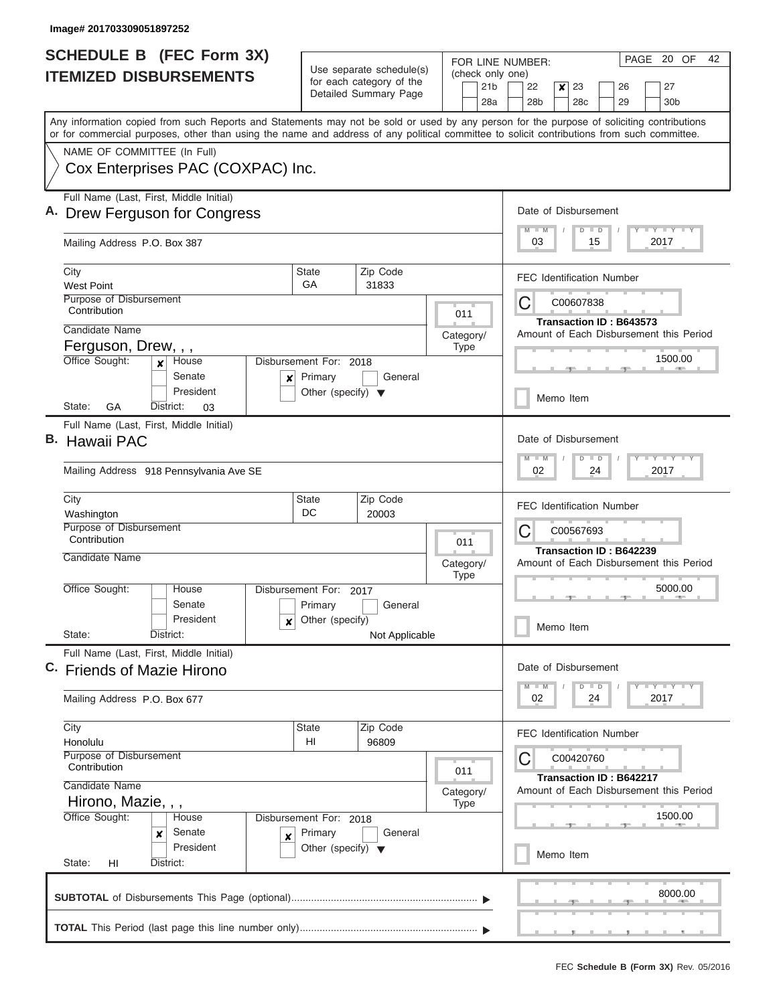| <b>SCHEDULE B</b> (FEC Form 3X)<br><b>ITEMIZED DISBURSEMENTS</b>                                                                                                                                                                                                                        |                                                 | Use separate schedule(s)                                                  | FOR LINE NUMBER:<br>(check only one) | PAGE 20 OF<br>42                                                                            |  |  |  |  |  |  |  |
|-----------------------------------------------------------------------------------------------------------------------------------------------------------------------------------------------------------------------------------------------------------------------------------------|-------------------------------------------------|---------------------------------------------------------------------------|--------------------------------------|---------------------------------------------------------------------------------------------|--|--|--|--|--|--|--|
|                                                                                                                                                                                                                                                                                         |                                                 | for each category of the<br>Detailed Summary Page                         | 21 <sub>b</sub><br>28a               | 23<br>22<br>$\boldsymbol{x}$<br>27<br>26<br>28 <sub>b</sub><br>28c<br>29<br>30 <sub>b</sub> |  |  |  |  |  |  |  |
| Any information copied from such Reports and Statements may not be sold or used by any person for the purpose of soliciting contributions<br>or for commercial purposes, other than using the name and address of any political committee to solicit contributions from such committee. |                                                 |                                                                           |                                      |                                                                                             |  |  |  |  |  |  |  |
| NAME OF COMMITTEE (In Full)                                                                                                                                                                                                                                                             |                                                 |                                                                           |                                      |                                                                                             |  |  |  |  |  |  |  |
| Cox Enterprises PAC (COXPAC) Inc.                                                                                                                                                                                                                                                       |                                                 |                                                                           |                                      |                                                                                             |  |  |  |  |  |  |  |
| Full Name (Last, First, Middle Initial)<br>A. Drew Ferguson for Congress                                                                                                                                                                                                                |                                                 | Date of Disbursement                                                      |                                      |                                                                                             |  |  |  |  |  |  |  |
| Mailing Address P.O. Box 387                                                                                                                                                                                                                                                            |                                                 |                                                                           |                                      | Y I Y I Y I Y<br>$M$ $M$<br>$D$ $D$<br>03<br>15<br>2017                                     |  |  |  |  |  |  |  |
| City<br><b>West Point</b>                                                                                                                                                                                                                                                               | State<br>GA                                     | Zip Code<br>31833                                                         |                                      | <b>FEC Identification Number</b>                                                            |  |  |  |  |  |  |  |
| Purpose of Disbursement<br>Contribution                                                                                                                                                                                                                                                 |                                                 |                                                                           | 011                                  | С<br>C00607838                                                                              |  |  |  |  |  |  |  |
| Candidate Name                                                                                                                                                                                                                                                                          |                                                 |                                                                           |                                      | Transaction ID: B643573<br>Amount of Each Disbursement this Period                          |  |  |  |  |  |  |  |
| Ferguson, Drew, , ,                                                                                                                                                                                                                                                                     |                                                 |                                                                           | Category/<br><b>Type</b>             |                                                                                             |  |  |  |  |  |  |  |
| Office Sought:<br>House<br>$\mathbf{x}$<br>Senate<br>$\boldsymbol{x}$                                                                                                                                                                                                                   | Disbursement For: 2018<br>Primary               | General                                                                   |                                      | 1500.00                                                                                     |  |  |  |  |  |  |  |
| President<br>GА<br>District:<br>State:<br>03                                                                                                                                                                                                                                            | Other (specify) $\blacktriangledown$            |                                                                           |                                      | Memo Item                                                                                   |  |  |  |  |  |  |  |
| Full Name (Last, First, Middle Initial)                                                                                                                                                                                                                                                 |                                                 |                                                                           |                                      |                                                                                             |  |  |  |  |  |  |  |
| B. Hawaii PAC                                                                                                                                                                                                                                                                           |                                                 |                                                                           |                                      | Date of Disbursement<br>Y FY FY FY<br>$M - M$<br>$D$ $D$                                    |  |  |  |  |  |  |  |
| Mailing Address 918 Pennsylvania Ave SE                                                                                                                                                                                                                                                 |                                                 |                                                                           |                                      | 02<br>24<br>2017                                                                            |  |  |  |  |  |  |  |
| City<br>Washington                                                                                                                                                                                                                                                                      | <b>State</b><br>DC                              | Zip Code<br>20003                                                         |                                      | <b>FEC Identification Number</b>                                                            |  |  |  |  |  |  |  |
| Purpose of Disbursement<br>Contribution                                                                                                                                                                                                                                                 |                                                 |                                                                           | 011                                  | С<br>C00567693                                                                              |  |  |  |  |  |  |  |
| Candidate Name                                                                                                                                                                                                                                                                          | Category/                                       |                                                                           |                                      | Transaction ID: B642239<br>Amount of Each Disbursement this Period                          |  |  |  |  |  |  |  |
| Office Sought:<br>House                                                                                                                                                                                                                                                                 | Disbursement For:                               | 2017                                                                      | <b>Type</b>                          | 5000.00                                                                                     |  |  |  |  |  |  |  |
| Senate<br>President<br>x                                                                                                                                                                                                                                                                | Primary<br>Other (specify)                      | General                                                                   |                                      | Memo Item                                                                                   |  |  |  |  |  |  |  |
| State:<br>District:                                                                                                                                                                                                                                                                     |                                                 | Not Applicable                                                            |                                      |                                                                                             |  |  |  |  |  |  |  |
| Full Name (Last, First, Middle Initial)<br>C. Friends of Mazie Hirono                                                                                                                                                                                                                   |                                                 |                                                                           |                                      | Date of Disbursement                                                                        |  |  |  |  |  |  |  |
| Mailing Address P.O. Box 677                                                                                                                                                                                                                                                            |                                                 |                                                                           |                                      | $Y$ $Y$ $Y$ $Y$ $Y$<br>$M - M$<br>$D$ $D$<br>02<br>24<br>2017                               |  |  |  |  |  |  |  |
| City<br>Honolulu                                                                                                                                                                                                                                                                        | State<br>HI                                     | Zip Code<br>96809                                                         |                                      | <b>FEC Identification Number</b>                                                            |  |  |  |  |  |  |  |
| <b>Purpose of Disbursement</b><br>Contribution                                                                                                                                                                                                                                          |                                                 |                                                                           | 011                                  | C<br>C00420760                                                                              |  |  |  |  |  |  |  |
| Candidate Name                                                                                                                                                                                                                                                                          | Category/                                       | <b>Transaction ID: B642217</b><br>Amount of Each Disbursement this Period |                                      |                                                                                             |  |  |  |  |  |  |  |
| Hirono, Mazie, , ,<br>Office Sought:<br>House                                                                                                                                                                                                                                           | Disbursement For: 2018                          |                                                                           | <b>Type</b>                          | 1500.00                                                                                     |  |  |  |  |  |  |  |
| Senate<br>x<br>X<br>President                                                                                                                                                                                                                                                           | Primary<br>Other (specify) $\blacktriangledown$ | General                                                                   |                                      | Memo Item                                                                                   |  |  |  |  |  |  |  |
| State:<br>HI<br>District:                                                                                                                                                                                                                                                               |                                                 |                                                                           |                                      |                                                                                             |  |  |  |  |  |  |  |
|                                                                                                                                                                                                                                                                                         |                                                 |                                                                           |                                      | 8000.00                                                                                     |  |  |  |  |  |  |  |
|                                                                                                                                                                                                                                                                                         |                                                 |                                                                           |                                      |                                                                                             |  |  |  |  |  |  |  |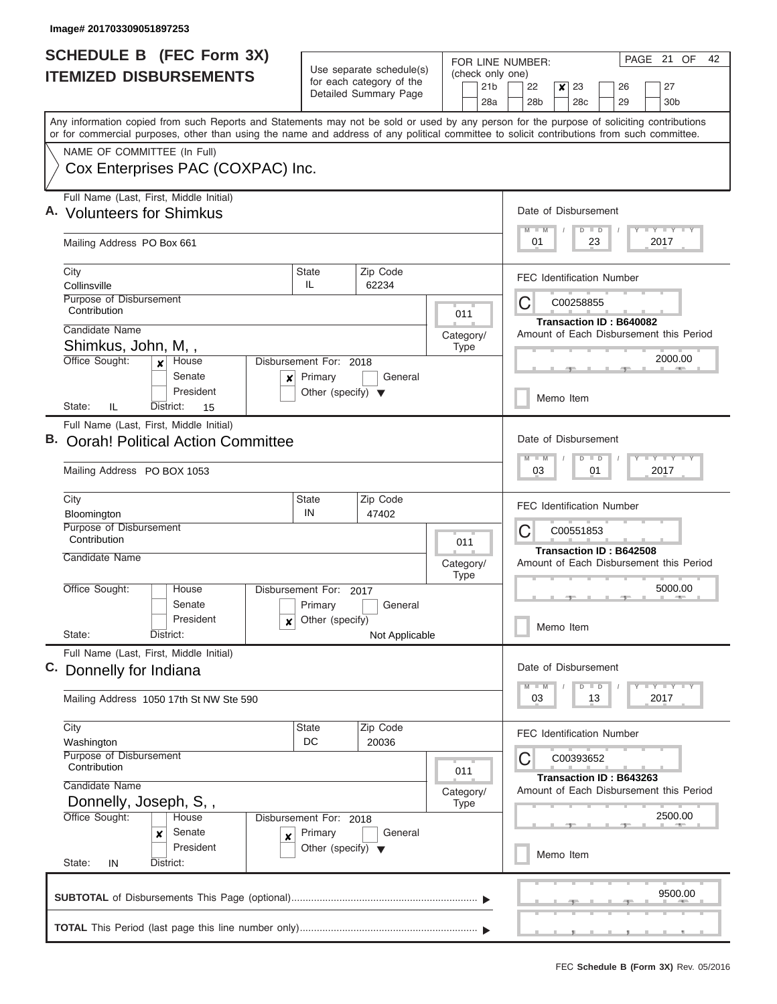|    | <b>SCHEDULE B (FEC Form 3X)</b>                                                                                                                                                                                                                                                         |                                                                           |                                                               |             |  | PAGE 21<br>OF<br>42<br>FOR LINE NUMBER: |                                                          |                                                    |                                                      |                      |    |                                  |  |                                         |  |  |  |
|----|-----------------------------------------------------------------------------------------------------------------------------------------------------------------------------------------------------------------------------------------------------------------------------------------|---------------------------------------------------------------------------|---------------------------------------------------------------|-------------|--|-----------------------------------------|----------------------------------------------------------|----------------------------------------------------|------------------------------------------------------|----------------------|----|----------------------------------|--|-----------------------------------------|--|--|--|
|    | <b>ITEMIZED DISBURSEMENTS</b>                                                                                                                                                                                                                                                           | Use separate schedule(s)<br>for each category of the                      |                                                               |             |  | 21 <sub>b</sub>                         | (check only one)<br>22<br>$\mathsf{x}$<br>23<br>27<br>26 |                                                    |                                                      |                      |    |                                  |  |                                         |  |  |  |
|    |                                                                                                                                                                                                                                                                                         |                                                                           | Detailed Summary Page                                         |             |  |                                         |                                                          | 28 <sub>b</sub>                                    |                                                      | 28c                  |    | 29                               |  | 30 <sub>b</sub>                         |  |  |  |
|    | Any information copied from such Reports and Statements may not be sold or used by any person for the purpose of soliciting contributions<br>or for commercial purposes, other than using the name and address of any political committee to solicit contributions from such committee. |                                                                           |                                                               |             |  |                                         |                                                          |                                                    |                                                      |                      |    |                                  |  |                                         |  |  |  |
|    | NAME OF COMMITTEE (In Full)                                                                                                                                                                                                                                                             |                                                                           |                                                               |             |  |                                         |                                                          |                                                    |                                                      |                      |    |                                  |  |                                         |  |  |  |
|    | Cox Enterprises PAC (COXPAC) Inc.                                                                                                                                                                                                                                                       |                                                                           |                                                               |             |  |                                         |                                                          |                                                    |                                                      |                      |    |                                  |  |                                         |  |  |  |
|    | Full Name (Last, First, Middle Initial)<br>A. Volunteers for Shimkus                                                                                                                                                                                                                    |                                                                           |                                                               |             |  |                                         | Date of Disbursement                                     |                                                    |                                                      |                      |    |                                  |  |                                         |  |  |  |
|    | Mailing Address PO Box 661                                                                                                                                                                                                                                                              |                                                                           |                                                               |             |  |                                         | Y L Y L Y L Y<br>$M - M$<br>$D$ $D$<br>01<br>23<br>2017  |                                                    |                                                      |                      |    |                                  |  |                                         |  |  |  |
|    | City<br>Collinsville                                                                                                                                                                                                                                                                    | State<br>IL.                                                              | Zip Code<br>62234                                             |             |  |                                         |                                                          |                                                    |                                                      |                      |    | <b>FEC Identification Number</b> |  |                                         |  |  |  |
|    | Purpose of Disbursement<br>Contribution                                                                                                                                                                                                                                                 |                                                                           |                                                               | 011         |  |                                         | C                                                        |                                                    |                                                      | C00258855            |    |                                  |  |                                         |  |  |  |
|    | Candidate Name                                                                                                                                                                                                                                                                          |                                                                           |                                                               | Category/   |  |                                         |                                                          |                                                    |                                                      |                      |    | Transaction ID: B640082          |  | Amount of Each Disbursement this Period |  |  |  |
|    | Shimkus, John, M,,                                                                                                                                                                                                                                                                      |                                                                           |                                                               | <b>Type</b> |  |                                         |                                                          |                                                    |                                                      |                      |    |                                  |  |                                         |  |  |  |
|    | Office Sought:<br>House<br>$\mathbf{x}$<br>Senate<br>×<br>President                                                                                                                                                                                                                     | Disbursement For: 2018<br>Primary<br>Other (specify) $\blacktriangledown$ | General                                                       |             |  |                                         |                                                          |                                                    |                                                      |                      |    |                                  |  | 2000.00                                 |  |  |  |
|    | IL<br>State:<br>District:<br>15                                                                                                                                                                                                                                                         |                                                                           |                                                               |             |  |                                         |                                                          |                                                    |                                                      | Memo Item            |    |                                  |  |                                         |  |  |  |
|    | Full Name (Last, First, Middle Initial)                                                                                                                                                                                                                                                 |                                                                           |                                                               |             |  |                                         |                                                          |                                                    |                                                      |                      |    |                                  |  |                                         |  |  |  |
| В. | <b>Oorah! Political Action Committee</b>                                                                                                                                                                                                                                                |                                                                           |                                                               |             |  |                                         | Date of Disbursement                                     |                                                    |                                                      |                      |    |                                  |  |                                         |  |  |  |
|    | Mailing Address PO BOX 1053                                                                                                                                                                                                                                                             |                                                                           |                                                               |             |  |                                         |                                                          |                                                    | Y FY FY FY<br>$M - M$<br>$D$ $D$<br>03<br>01<br>2017 |                      |    |                                  |  |                                         |  |  |  |
|    | City                                                                                                                                                                                                                                                                                    | <b>State</b>                                                              | Zip Code                                                      |             |  |                                         | <b>FEC Identification Number</b>                         |                                                    |                                                      |                      |    |                                  |  |                                         |  |  |  |
|    | Bloomington<br>Purpose of Disbursement                                                                                                                                                                                                                                                  |                                                                           | IN<br>47402                                                   |             |  |                                         |                                                          |                                                    | C00551853<br>C                                       |                      |    |                                  |  |                                         |  |  |  |
|    | Contribution                                                                                                                                                                                                                                                                            |                                                                           | 011<br>Category/<br><b>Type</b><br>2017<br>General<br>Primary |             |  |                                         |                                                          | Transaction ID: B642508                            |                                                      |                      |    |                                  |  |                                         |  |  |  |
|    | Candidate Name                                                                                                                                                                                                                                                                          |                                                                           |                                                               |             |  |                                         |                                                          | Amount of Each Disbursement this Period<br>5000.00 |                                                      |                      |    |                                  |  |                                         |  |  |  |
|    | Office Sought:<br>House                                                                                                                                                                                                                                                                 | Disbursement For:                                                         |                                                               |             |  |                                         |                                                          |                                                    |                                                      |                      |    |                                  |  |                                         |  |  |  |
|    | Senate                                                                                                                                                                                                                                                                                  |                                                                           |                                                               |             |  |                                         |                                                          |                                                    |                                                      |                      |    |                                  |  |                                         |  |  |  |
|    | President<br>x<br>State:<br>District:                                                                                                                                                                                                                                                   | Other (specify)                                                           | Not Applicable                                                |             |  |                                         | Memo Item                                                |                                                    |                                                      |                      |    |                                  |  |                                         |  |  |  |
|    | Full Name (Last, First, Middle Initial)<br>C. Donnelly for Indiana                                                                                                                                                                                                                      |                                                                           |                                                               |             |  |                                         |                                                          |                                                    |                                                      | Date of Disbursement |    |                                  |  |                                         |  |  |  |
|    |                                                                                                                                                                                                                                                                                         |                                                                           |                                                               |             |  |                                         |                                                          |                                                    |                                                      | $D$ $D$              |    |                                  |  | $Y = Y = Y = Y = I - Y$                 |  |  |  |
|    | Mailing Address 1050 17th St NW Ste 590                                                                                                                                                                                                                                                 |                                                                           |                                                               |             |  |                                         |                                                          | 03                                                 |                                                      |                      | 13 |                                  |  | 2017                                    |  |  |  |
|    | City<br>Washington                                                                                                                                                                                                                                                                      | <b>State</b><br>DC                                                        | Zip Code<br>20036                                             |             |  |                                         |                                                          |                                                    |                                                      |                      |    | <b>FEC Identification Number</b> |  |                                         |  |  |  |
|    | Purpose of Disbursement<br>Contribution                                                                                                                                                                                                                                                 |                                                                           |                                                               |             |  |                                         | C                                                        |                                                    |                                                      | C00393652            |    |                                  |  |                                         |  |  |  |
|    | 011<br>Candidate Name                                                                                                                                                                                                                                                                   |                                                                           |                                                               |             |  |                                         |                                                          |                                                    |                                                      |                      |    | Transaction ID: B643263          |  |                                         |  |  |  |
|    | Category/<br>Donnelly, Joseph, S,,<br><b>Type</b>                                                                                                                                                                                                                                       |                                                                           |                                                               |             |  |                                         |                                                          | Amount of Each Disbursement this Period            |                                                      |                      |    |                                  |  |                                         |  |  |  |
|    | Office Sought:<br>House<br>Disbursement For: 2018                                                                                                                                                                                                                                       |                                                                           |                                                               |             |  |                                         |                                                          |                                                    |                                                      |                      |    |                                  |  | 2500.00                                 |  |  |  |
|    | Senate<br>x<br>×<br>President                                                                                                                                                                                                                                                           | Primary<br>Other (specify) $\blacktriangledown$                           | General                                                       |             |  |                                         |                                                          |                                                    |                                                      | Memo Item            |    |                                  |  |                                         |  |  |  |
|    | State:<br>District:<br>IN                                                                                                                                                                                                                                                               |                                                                           |                                                               |             |  |                                         |                                                          |                                                    |                                                      |                      |    |                                  |  |                                         |  |  |  |
|    |                                                                                                                                                                                                                                                                                         |                                                                           |                                                               |             |  |                                         |                                                          |                                                    |                                                      |                      |    |                                  |  | 9500.00                                 |  |  |  |
|    |                                                                                                                                                                                                                                                                                         |                                                                           |                                                               |             |  |                                         |                                                          |                                                    |                                                      |                      |    |                                  |  |                                         |  |  |  |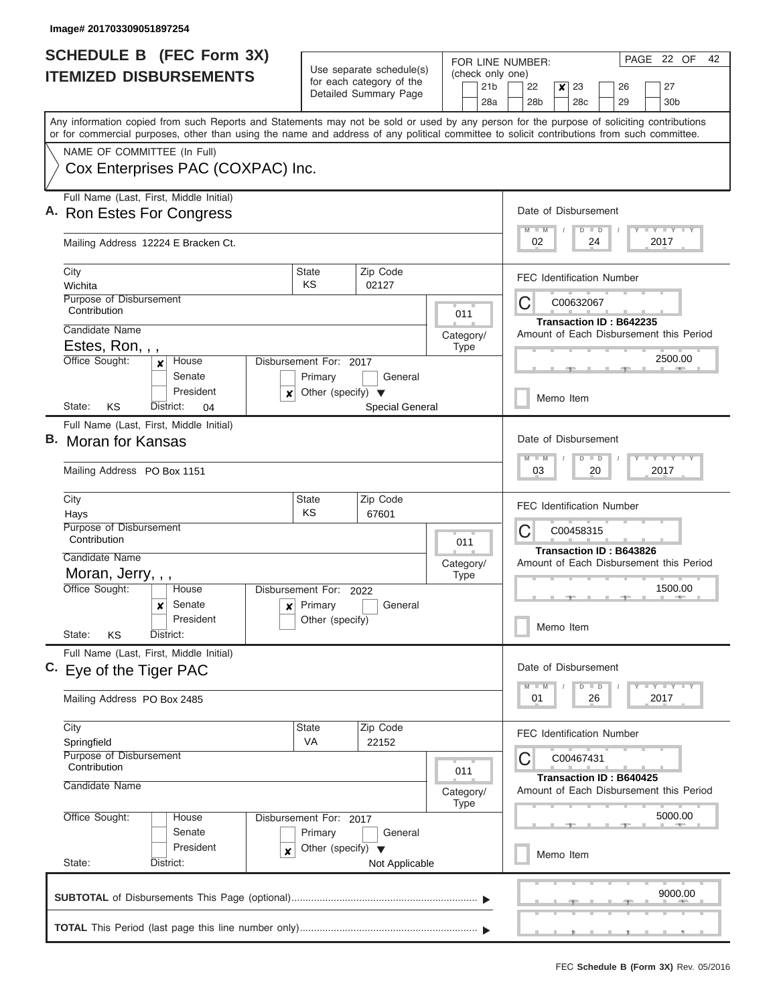| <b>SCHEDULE B (FEC Form 3X)</b>                                                                                                                                                                                                                                                         | Use separate schedule(s)                                                                  | FOR LINE NUMBER:                           | PAGE 22 OF<br>42                                                                                                         |  |  |  |  |  |  |  |  |
|-----------------------------------------------------------------------------------------------------------------------------------------------------------------------------------------------------------------------------------------------------------------------------------------|-------------------------------------------------------------------------------------------|--------------------------------------------|--------------------------------------------------------------------------------------------------------------------------|--|--|--|--|--|--|--|--|
| <b>ITEMIZED DISBURSEMENTS</b>                                                                                                                                                                                                                                                           | for each category of the<br>Detailed Summary Page                                         | (check only one)<br>21 <sub>b</sub><br>28a | 23<br>22<br>27<br>$\boldsymbol{x}$<br>26<br>28 <sub>b</sub><br>28c<br>29<br>30 <sub>b</sub>                              |  |  |  |  |  |  |  |  |
| Any information copied from such Reports and Statements may not be sold or used by any person for the purpose of soliciting contributions<br>or for commercial purposes, other than using the name and address of any political committee to solicit contributions from such committee. |                                                                                           |                                            |                                                                                                                          |  |  |  |  |  |  |  |  |
| NAME OF COMMITTEE (In Full)<br>Cox Enterprises PAC (COXPAC) Inc.                                                                                                                                                                                                                        |                                                                                           |                                            |                                                                                                                          |  |  |  |  |  |  |  |  |
| Full Name (Last, First, Middle Initial)<br>A. Ron Estes For Congress                                                                                                                                                                                                                    |                                                                                           |                                            | Date of Disbursement<br><b>TEY LY LY</b><br>$M$ $M$<br>$D$ $D$                                                           |  |  |  |  |  |  |  |  |
| Mailing Address 12224 E Bracken Ct.                                                                                                                                                                                                                                                     |                                                                                           |                                            | 2017<br>02<br>24                                                                                                         |  |  |  |  |  |  |  |  |
| City<br>Wichita                                                                                                                                                                                                                                                                         | Zip Code<br>State<br>KS<br>02127                                                          |                                            | <b>FEC Identification Number</b>                                                                                         |  |  |  |  |  |  |  |  |
| Purpose of Disbursement<br>Contribution                                                                                                                                                                                                                                                 |                                                                                           | 011                                        | C<br>C00632067<br>Transaction ID: B642235                                                                                |  |  |  |  |  |  |  |  |
| Candidate Name<br>Estes, Ron, , ,                                                                                                                                                                                                                                                       |                                                                                           | Category/<br><b>Type</b>                   | Amount of Each Disbursement this Period                                                                                  |  |  |  |  |  |  |  |  |
| Office Sought:<br>House<br>$\boldsymbol{x}$<br>Senate<br>President                                                                                                                                                                                                                      | Disbursement For: 2017<br>Primary<br>General<br>Other (specify) $\blacktriangledown$<br>x |                                            | 2500.00                                                                                                                  |  |  |  |  |  |  |  |  |
| KS<br>District:<br>State:<br>04                                                                                                                                                                                                                                                         | Special General                                                                           |                                            | Memo Item                                                                                                                |  |  |  |  |  |  |  |  |
| Full Name (Last, First, Middle Initial)<br>В.<br><b>Moran for Kansas</b><br>Mailing Address PO Box 1151                                                                                                                                                                                 |                                                                                           |                                            | Date of Disbursement<br>$T - Y = T - Y = T - Y$<br>$M - M$<br>$D$ $D$<br>03<br>20<br>2017                                |  |  |  |  |  |  |  |  |
| City<br>Hays                                                                                                                                                                                                                                                                            | Zip Code<br><b>State</b><br>KS<br>67601                                                   |                                            | <b>FEC Identification Number</b>                                                                                         |  |  |  |  |  |  |  |  |
| Purpose of Disbursement<br>Contribution<br>Candidate Name                                                                                                                                                                                                                               |                                                                                           | 011                                        | С<br>C00458315<br>Transaction ID: B643826<br>Amount of Each Disbursement this Period<br>1500.00                          |  |  |  |  |  |  |  |  |
| Moran, Jerry, , ,<br>Office Sought:<br>House                                                                                                                                                                                                                                            | Disbursement For:<br>2022                                                                 | Category/<br><b>Type</b>                   |                                                                                                                          |  |  |  |  |  |  |  |  |
| Senate<br>×<br>President<br>State:<br>KS<br>District:                                                                                                                                                                                                                                   | Primary<br>General<br>$\boldsymbol{\mathsf{x}}$<br>Other (specify)                        |                                            | Memo Item                                                                                                                |  |  |  |  |  |  |  |  |
| Full Name (Last, First, Middle Initial)<br>C. Eye of the Tiger PAC                                                                                                                                                                                                                      |                                                                                           |                                            | Date of Disbursement                                                                                                     |  |  |  |  |  |  |  |  |
| Mailing Address PO Box 2485                                                                                                                                                                                                                                                             |                                                                                           |                                            | $T$ $Y$ $Y$ $Y$ $T$<br>$M - M$<br>$D$ $D$<br>01<br>26<br>2017                                                            |  |  |  |  |  |  |  |  |
| City<br>Springfield<br>Purpose of Disbursement                                                                                                                                                                                                                                          | Zip Code<br>State<br>VA<br>22152                                                          |                                            | <b>FEC Identification Number</b><br>C<br>C00467431<br>Transaction ID: B640425<br>Amount of Each Disbursement this Period |  |  |  |  |  |  |  |  |
| Contribution<br>Candidate Name                                                                                                                                                                                                                                                          |                                                                                           | 011<br>Category/<br><b>Type</b>            |                                                                                                                          |  |  |  |  |  |  |  |  |
| Office Sought:<br>House<br>Senate<br>President                                                                                                                                                                                                                                          | Disbursement For: 2017<br>Primary<br>General<br>Other (specify) $\blacktriangledown$<br>x |                                            | 5000.00                                                                                                                  |  |  |  |  |  |  |  |  |
| State:<br>District:                                                                                                                                                                                                                                                                     | Not Applicable                                                                            |                                            | Memo Item                                                                                                                |  |  |  |  |  |  |  |  |
|                                                                                                                                                                                                                                                                                         |                                                                                           |                                            | 9000.00                                                                                                                  |  |  |  |  |  |  |  |  |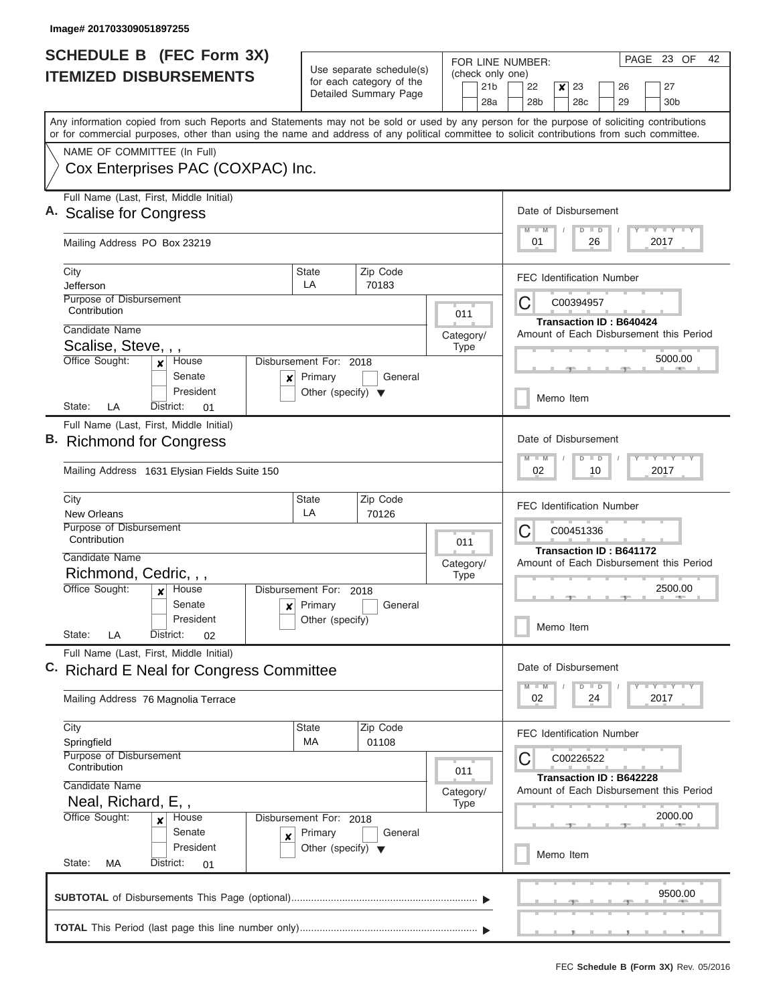| SCHEDULE B (FEC Form 3X)<br><b>ITEMIZED DISBURSEMENTS</b>                                                                                                                                                                                                                                                                                   | Use separate schedule(s)<br>for each category of the<br>Detailed Summary Page                                                   | PAGE 23 OF<br>FOR LINE NUMBER:<br>(check only one)<br>21 <sub>b</sub><br>23<br>27<br>22<br>$\boldsymbol{x}$<br>26<br>28a<br>28 <sub>b</sub><br>28 <sub>c</sub><br>29<br>30 <sub>b</sub>                                                                                                                                         | 42 |
|---------------------------------------------------------------------------------------------------------------------------------------------------------------------------------------------------------------------------------------------------------------------------------------------------------------------------------------------|---------------------------------------------------------------------------------------------------------------------------------|---------------------------------------------------------------------------------------------------------------------------------------------------------------------------------------------------------------------------------------------------------------------------------------------------------------------------------|----|
| NAME OF COMMITTEE (In Full)<br>Cox Enterprises PAC (COXPAC) Inc.                                                                                                                                                                                                                                                                            |                                                                                                                                 | Any information copied from such Reports and Statements may not be sold or used by any person for the purpose of soliciting contributions<br>or for commercial purposes, other than using the name and address of any political committee to solicit contributions from such committee.                                         |    |
| Full Name (Last, First, Middle Initial)<br>A. Scalise for Congress<br>Mailing Address PO Box 23219                                                                                                                                                                                                                                          | Date of Disbursement<br>$T$ $T$ $T$ $T$ $T$ $T$ $T$ $T$<br>$M$ $M$<br>$D$ $D$<br>01<br>26<br>2017                               |                                                                                                                                                                                                                                                                                                                                 |    |
| City<br>Jefferson<br>Purpose of Disbursement<br>Contribution<br>Candidate Name<br>Scalise, Steve, , ,<br>Office Sought:<br>House<br>x<br>Senate<br>$\pmb{\mathsf{x}}$<br>President<br>LA<br>State:<br>District:<br>01                                                                                                                       | Zip Code<br><b>State</b><br>LA<br>70183<br>Disbursement For: 2018<br>Primary<br>General<br>Other (specify) $\blacktriangledown$ | <b>FEC Identification Number</b><br>С<br>C00394957<br>011<br><b>Transaction ID: B640424</b><br>Amount of Each Disbursement this Period<br>Category/<br><b>Type</b><br>5000.00<br>Memo Item                                                                                                                                      |    |
| Full Name (Last, First, Middle Initial)<br><b>Richmond for Congress</b><br>Mailing Address 1631 Elysian Fields Suite 150<br>City<br><b>New Orleans</b><br>Purpose of Disbursement<br>Contribution<br>Candidate Name<br>Richmond, Cedric, , ,<br>Office Sought:<br>House<br>×<br>Senate<br>×<br>President<br>State:<br>LA<br>District:<br>02 | Zip Code<br><b>State</b><br>LA<br>70126<br>Disbursement For:<br>2018<br>Primary<br>General<br>Other (specify)                   | Date of Disbursement<br><b>TEY TEY TEY</b><br>$M - M$<br>$D$ $D$<br>02<br>10<br>2017<br><b>FEC Identification Number</b><br>С<br>C00451336<br>011<br><b>Transaction ID: B641172</b><br>Amount of Each Disbursement this Period<br>Category/<br><b>Type</b><br>2500.00<br>Memo Item                                              |    |
| Full Name (Last, First, Middle Initial)<br>C. Richard E Neal for Congress Committee<br>Mailing Address 76 Magnolia Terrace<br>City<br>Springfield<br>Purpose of Disbursement<br>Contribution<br>Candidate Name<br>Neal, Richard, E,,<br>Office Sought:<br>House<br>x<br>Senate<br>X<br>President<br>State:<br><b>MA</b><br>District:<br>01  | Zip Code<br><b>State</b><br>MA<br>01108<br>Disbursement For: 2018<br>Primary<br>General<br>Other (specify) $\blacktriangledown$ | Date of Disbursement<br>$\mathbf{I}$ $\mathbf{Y}$ $\mathbf{I}$ $\mathbf{Y}$ $\mathbf{I}$ $\mathbf{Y}$<br>$M$ $M$<br>$D$ $D$<br>02<br>2017<br>24<br><b>FEC Identification Number</b><br>С<br>C00226522<br>011<br>Transaction ID: B642228<br>Amount of Each Disbursement this Period<br>Category/<br>Type<br>2000.00<br>Memo Item |    |
|                                                                                                                                                                                                                                                                                                                                             |                                                                                                                                 | 9500.00                                                                                                                                                                                                                                                                                                                         |    |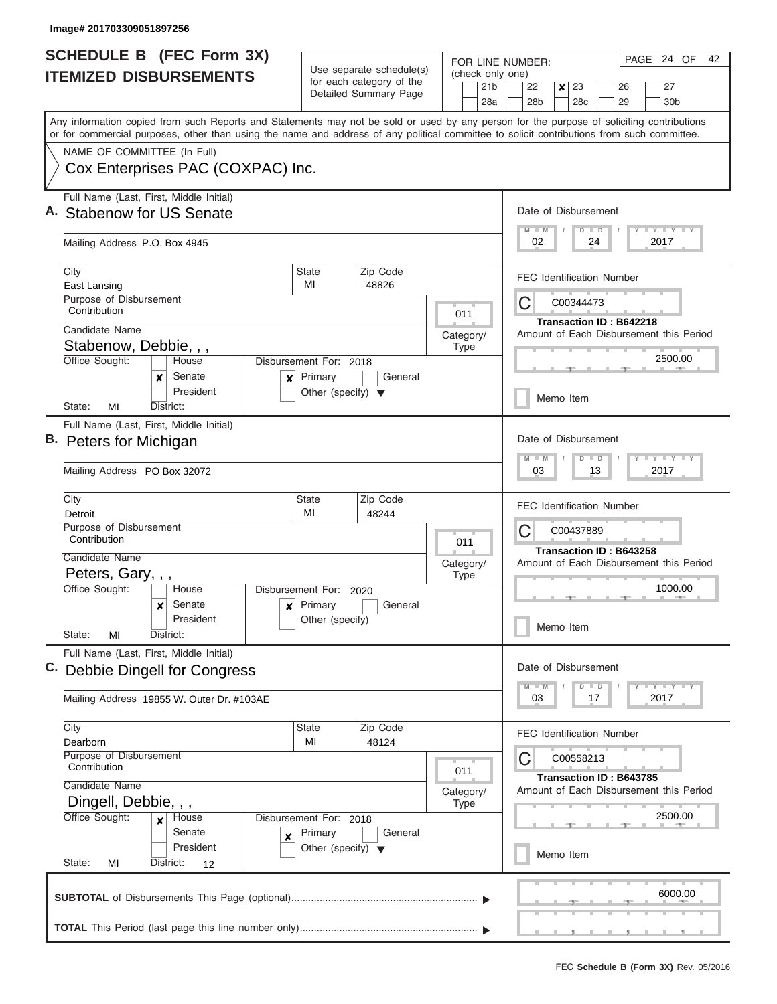|                                                  | <b>SCHEDULE B (FEC Form 3X)</b>                                                                                                                                                                                                                                                         |                                                      |                       |                             |     | PAGE 24 OF<br>42<br>FOR LINE NUMBER:                     |                                                                                      |  |           |    |                                |  |                         |  |  |  |
|--------------------------------------------------|-----------------------------------------------------------------------------------------------------------------------------------------------------------------------------------------------------------------------------------------------------------------------------------------|------------------------------------------------------|-----------------------|-----------------------------|-----|----------------------------------------------------------|--------------------------------------------------------------------------------------|--|-----------|----|--------------------------------|--|-------------------------|--|--|--|
|                                                  | <b>ITEMIZED DISBURSEMENTS</b>                                                                                                                                                                                                                                                           | Use separate schedule(s)<br>for each category of the |                       | 21 <sub>b</sub>             |     | (check only one)<br>22<br>$\mathsf{x}$<br>23<br>27<br>26 |                                                                                      |  |           |    |                                |  |                         |  |  |  |
|                                                  |                                                                                                                                                                                                                                                                                         |                                                      | Detailed Summary Page |                             | 28a |                                                          | 28b                                                                                  |  | 28c       |    | 29                             |  | 30 <sub>b</sub>         |  |  |  |
|                                                  | Any information copied from such Reports and Statements may not be sold or used by any person for the purpose of soliciting contributions<br>or for commercial purposes, other than using the name and address of any political committee to solicit contributions from such committee. |                                                      |                       |                             |     |                                                          |                                                                                      |  |           |    |                                |  |                         |  |  |  |
|                                                  | NAME OF COMMITTEE (In Full)                                                                                                                                                                                                                                                             |                                                      |                       |                             |     |                                                          |                                                                                      |  |           |    |                                |  |                         |  |  |  |
|                                                  | Cox Enterprises PAC (COXPAC) Inc.                                                                                                                                                                                                                                                       |                                                      |                       |                             |     |                                                          |                                                                                      |  |           |    |                                |  |                         |  |  |  |
|                                                  | Full Name (Last, First, Middle Initial)<br><b>Stabenow for US Senate</b>                                                                                                                                                                                                                |                                                      |                       |                             |     |                                                          | Date of Disbursement                                                                 |  |           |    |                                |  |                         |  |  |  |
|                                                  | Mailing Address P.O. Box 4945                                                                                                                                                                                                                                                           |                                                      |                       |                             |     | Y L Y L Y L Y<br>$M$ $M$<br>$D$ $D$<br>02<br>24<br>2017  |                                                                                      |  |           |    |                                |  |                         |  |  |  |
|                                                  | City<br>East Lansing                                                                                                                                                                                                                                                                    | <b>State</b><br>MI                                   | Zip Code<br>48826     |                             |     |                                                          | <b>FEC Identification Number</b>                                                     |  |           |    |                                |  |                         |  |  |  |
|                                                  | Purpose of Disbursement<br>Contribution                                                                                                                                                                                                                                                 |                                                      |                       | 011                         |     |                                                          | C                                                                                    |  | C00344473 |    |                                |  |                         |  |  |  |
|                                                  | Candidate Name                                                                                                                                                                                                                                                                          |                                                      |                       | Category/                   |     |                                                          | Amount of Each Disbursement this Period                                              |  |           |    | <b>Transaction ID: B642218</b> |  |                         |  |  |  |
|                                                  | Stabenow, Debbie, , ,                                                                                                                                                                                                                                                                   |                                                      |                       | <b>Type</b>                 |     |                                                          |                                                                                      |  |           |    |                                |  | 2500.00                 |  |  |  |
|                                                  | Office Sought:<br>House<br>Senate<br>x<br>×                                                                                                                                                                                                                                             | Disbursement For: 2018<br>Primary                    | General               |                             |     |                                                          |                                                                                      |  |           |    |                                |  |                         |  |  |  |
|                                                  | President<br>District:<br>State:<br>MI                                                                                                                                                                                                                                                  | Other (specify) $\blacktriangledown$                 |                       |                             |     |                                                          |                                                                                      |  | Memo Item |    |                                |  |                         |  |  |  |
|                                                  | Full Name (Last, First, Middle Initial)                                                                                                                                                                                                                                                 |                                                      |                       |                             |     |                                                          |                                                                                      |  |           |    |                                |  |                         |  |  |  |
|                                                  | B. Peters for Michigan                                                                                                                                                                                                                                                                  |                                                      |                       |                             |     | Date of Disbursement<br>Y FY FY FY<br>$M - M$            |                                                                                      |  |           |    |                                |  |                         |  |  |  |
|                                                  | Mailing Address PO Box 32072                                                                                                                                                                                                                                                            |                                                      |                       | $D$ $D$<br>13<br>2017<br>03 |     |                                                          |                                                                                      |  |           |    |                                |  |                         |  |  |  |
|                                                  | City<br>Detroit                                                                                                                                                                                                                                                                         | <b>State</b><br>MI                                   | Zip Code<br>48244     |                             |     |                                                          | <b>FEC Identification Number</b>                                                     |  |           |    |                                |  |                         |  |  |  |
|                                                  | Purpose of Disbursement<br>Contribution                                                                                                                                                                                                                                                 | 011<br>Category/                                     |                       |                             |     |                                                          | C00437889<br>C<br>Transaction ID: B643258<br>Amount of Each Disbursement this Period |  |           |    |                                |  |                         |  |  |  |
|                                                  | Candidate Name                                                                                                                                                                                                                                                                          |                                                      |                       |                             |     |                                                          |                                                                                      |  |           |    |                                |  |                         |  |  |  |
|                                                  | Peters, Gary, , ,<br>Office Sought:<br>House                                                                                                                                                                                                                                            |                                                      |                       | <b>Type</b>                 |     |                                                          | 1000.00                                                                              |  |           |    |                                |  |                         |  |  |  |
|                                                  | Senate<br>x<br>$\boldsymbol{\mathsf{x}}$                                                                                                                                                                                                                                                | Disbursement For:<br>2020<br>Primary<br>General      |                       |                             |     |                                                          |                                                                                      |  |           |    |                                |  |                         |  |  |  |
|                                                  | President<br>State:<br>MI<br>District:                                                                                                                                                                                                                                                  | Other (specify)                                      |                       |                             |     |                                                          | Memo Item                                                                            |  |           |    |                                |  |                         |  |  |  |
|                                                  | Full Name (Last, First, Middle Initial)                                                                                                                                                                                                                                                 |                                                      |                       |                             |     |                                                          | Date of Disbursement                                                                 |  |           |    |                                |  |                         |  |  |  |
|                                                  | C. Debbie Dingell for Congress                                                                                                                                                                                                                                                          |                                                      |                       |                             |     |                                                          |                                                                                      |  | $D$ $D$   |    |                                |  | $Y - Y - Y - Y - I - Y$ |  |  |  |
|                                                  | Mailing Address 19855 W. Outer Dr. #103AE                                                                                                                                                                                                                                               |                                                      |                       |                             |     |                                                          | 03                                                                                   |  |           | 17 |                                |  | 2017                    |  |  |  |
|                                                  | City<br>Dearborn                                                                                                                                                                                                                                                                        | <b>State</b><br>MI                                   | Zip Code<br>48124     |                             |     |                                                          | <b>FEC Identification Number</b>                                                     |  |           |    |                                |  |                         |  |  |  |
|                                                  | Purpose of Disbursement<br>Contribution                                                                                                                                                                                                                                                 |                                                      |                       |                             |     |                                                          | C                                                                                    |  | C00558213 |    |                                |  |                         |  |  |  |
|                                                  | 011<br>Candidate Name                                                                                                                                                                                                                                                                   |                                                      |                       |                             |     |                                                          |                                                                                      |  |           |    | Transaction ID: B643785        |  |                         |  |  |  |
| Category/<br>Dingell, Debbie, , ,<br><b>Type</b> |                                                                                                                                                                                                                                                                                         |                                                      |                       |                             |     |                                                          | Amount of Each Disbursement this Period                                              |  |           |    |                                |  |                         |  |  |  |
|                                                  | Office Sought:<br>Disbursement For: 2018<br>House<br>$\boldsymbol{x}$<br>Senate                                                                                                                                                                                                         |                                                      |                       |                             |     |                                                          |                                                                                      |  |           |    |                                |  | 2500.00                 |  |  |  |
|                                                  | ×<br>President                                                                                                                                                                                                                                                                          | Primary<br>Other (specify) $\blacktriangledown$      | General               |                             |     |                                                          |                                                                                      |  | Memo Item |    |                                |  |                         |  |  |  |
|                                                  | State:<br>District:<br>MI<br>12                                                                                                                                                                                                                                                         |                                                      |                       |                             |     |                                                          |                                                                                      |  |           |    |                                |  |                         |  |  |  |
|                                                  |                                                                                                                                                                                                                                                                                         |                                                      |                       |                             |     |                                                          |                                                                                      |  |           |    |                                |  | 6000.00                 |  |  |  |
|                                                  |                                                                                                                                                                                                                                                                                         |                                                      |                       |                             |     |                                                          |                                                                                      |  |           |    |                                |  |                         |  |  |  |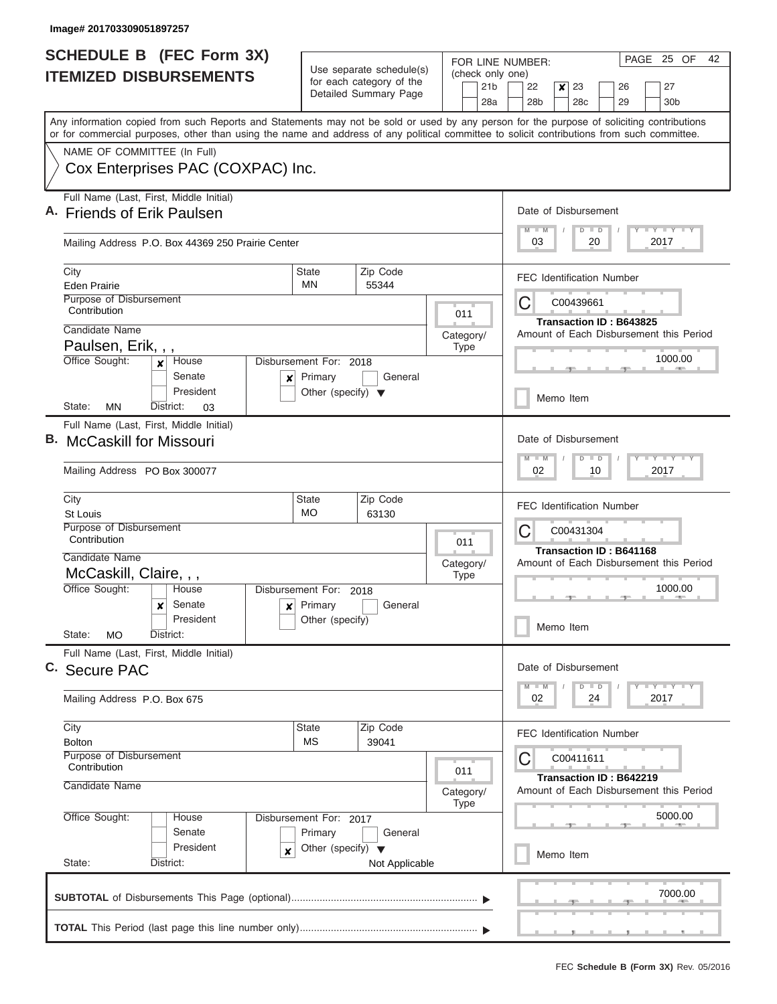|    | <b>SCHEDULE B</b> (FEC Form 3X)                                                                                                                                                                                                                                                         |                                                      |                                       |                  |             | PAGE 25 OF<br>42<br>FOR LINE NUMBER: |                                                                    |                                           |   |                                 |    |                                         |  |                             |  |
|----|-----------------------------------------------------------------------------------------------------------------------------------------------------------------------------------------------------------------------------------------------------------------------------------------|------------------------------------------------------|---------------------------------------|------------------|-------------|--------------------------------------|--------------------------------------------------------------------|-------------------------------------------|---|---------------------------------|----|-----------------------------------------|--|-----------------------------|--|
|    | <b>ITEMIZED DISBURSEMENTS</b>                                                                                                                                                                                                                                                           | Use separate schedule(s)<br>for each category of the |                                       |                  |             | (check only one)<br>22               |                                                                    |                                           |   |                                 |    |                                         |  |                             |  |
|    |                                                                                                                                                                                                                                                                                         |                                                      | Detailed Summary Page                 |                  |             | 21 <sub>b</sub><br>28a               |                                                                    | 28 <sub>b</sub>                           | x | 23<br>28c                       |    | 26<br>29                                |  | 27<br>30 <sub>b</sub>       |  |
|    | Any information copied from such Reports and Statements may not be sold or used by any person for the purpose of soliciting contributions<br>or for commercial purposes, other than using the name and address of any political committee to solicit contributions from such committee. |                                                      |                                       |                  |             |                                      |                                                                    |                                           |   |                                 |    |                                         |  |                             |  |
|    | NAME OF COMMITTEE (In Full)                                                                                                                                                                                                                                                             |                                                      |                                       |                  |             |                                      |                                                                    |                                           |   |                                 |    |                                         |  |                             |  |
|    | Cox Enterprises PAC (COXPAC) Inc.                                                                                                                                                                                                                                                       |                                                      |                                       |                  |             |                                      |                                                                    |                                           |   |                                 |    |                                         |  |                             |  |
|    | Full Name (Last, First, Middle Initial)<br>A. Friends of Erik Paulsen                                                                                                                                                                                                                   |                                                      |                                       |                  |             |                                      |                                                                    |                                           |   | Date of Disbursement            |    |                                         |  |                             |  |
|    | Mailing Address P.O. Box 44369 250 Prairie Center                                                                                                                                                                                                                                       |                                                      |                                       |                  |             |                                      | Y I Y I Y I Y<br>$M - M$<br>$D$ $D$<br>2017<br>20<br>03            |                                           |   |                                 |    |                                         |  |                             |  |
|    | City<br>Eden Prairie                                                                                                                                                                                                                                                                    | Zip Code<br><b>State</b><br>MN<br>55344              |                                       |                  |             |                                      |                                                                    |                                           |   |                                 |    | <b>FEC Identification Number</b>        |  |                             |  |
|    | Purpose of Disbursement<br>Contribution                                                                                                                                                                                                                                                 |                                                      |                                       |                  | 011         |                                      | C00439661<br>C<br><b>Transaction ID: B643825</b>                   |                                           |   |                                 |    |                                         |  |                             |  |
|    | Candidate Name                                                                                                                                                                                                                                                                          | Category/                                            |                                       |                  |             |                                      |                                                                    |                                           |   |                                 |    | Amount of Each Disbursement this Period |  |                             |  |
|    | Paulsen, Erik, , ,<br>Office Sought:<br>House<br>$\mathbf{x}$                                                                                                                                                                                                                           | Disbursement For: 2018                               |                                       |                  | <b>Type</b> |                                      |                                                                    |                                           |   |                                 |    |                                         |  | 1000.00                     |  |
|    | Senate<br>×<br>President                                                                                                                                                                                                                                                                | Primary<br>Other (specify) $\blacktriangledown$      | General                               |                  |             |                                      | Memo Item                                                          |                                           |   |                                 |    |                                         |  |                             |  |
|    | MN<br>State:<br>District:<br>03                                                                                                                                                                                                                                                         |                                                      |                                       |                  |             |                                      |                                                                    |                                           |   |                                 |    |                                         |  |                             |  |
| В. | Full Name (Last, First, Middle Initial)<br><b>McCaskill for Missouri</b>                                                                                                                                                                                                                |                                                      |                                       |                  |             |                                      |                                                                    |                                           |   | Date of Disbursement<br>$D$ $D$ |    |                                         |  | Y FY FY FY                  |  |
|    | Mailing Address PO Box 300077                                                                                                                                                                                                                                                           |                                                      |                                       | 02<br>10<br>2017 |             |                                      |                                                                    |                                           |   |                                 |    |                                         |  |                             |  |
|    | City<br><b>St Louis</b>                                                                                                                                                                                                                                                                 | <b>State</b><br>MO                                   | Zip Code<br>63130                     |                  |             |                                      |                                                                    |                                           |   |                                 |    | <b>FEC Identification Number</b>        |  |                             |  |
|    | Purpose of Disbursement<br>Contribution                                                                                                                                                                                                                                                 |                                                      | 011                                   |                  |             |                                      |                                                                    | C<br>C00431304<br>Transaction ID: B641168 |   |                                 |    |                                         |  |                             |  |
|    | Candidate Name                                                                                                                                                                                                                                                                          |                                                      |                                       | Category/        |             |                                      |                                                                    |                                           |   |                                 |    | Amount of Each Disbursement this Period |  |                             |  |
|    | McCaskill, Claire, , ,<br>Office Sought:<br>House                                                                                                                                                                                                                                       |                                                      | <b>Type</b><br>Disbursement For: 2018 |                  |             |                                      |                                                                    |                                           |   |                                 |    |                                         |  | 1000.00                     |  |
|    | Senate<br>x                                                                                                                                                                                                                                                                             | $x$ Primary<br>General                               |                                       |                  |             |                                      |                                                                    |                                           |   |                                 |    |                                         |  |                             |  |
|    | President<br>State:<br><b>MO</b><br>District:                                                                                                                                                                                                                                           | Other (specify)                                      |                                       |                  |             |                                      |                                                                    |                                           |   | Memo Item                       |    |                                         |  |                             |  |
|    | Full Name (Last, First, Middle Initial)<br>C. Secure PAC                                                                                                                                                                                                                                |                                                      |                                       |                  |             |                                      |                                                                    |                                           |   | Date of Disbursement            |    |                                         |  |                             |  |
|    | Mailing Address P.O. Box 675                                                                                                                                                                                                                                                            |                                                      |                                       |                  |             |                                      |                                                                    | $M - M$<br>02                             |   | $D$ $D$                         | 24 |                                         |  | $Y$ $Y$ $Y$ $Y$ $Y$<br>2017 |  |
|    | City<br><b>Bolton</b>                                                                                                                                                                                                                                                                   | <b>State</b><br><b>MS</b>                            | Zip Code<br>39041                     |                  |             |                                      |                                                                    |                                           |   |                                 |    | <b>FEC Identification Number</b>        |  |                             |  |
|    | Purpose of Disbursement<br>Contribution                                                                                                                                                                                                                                                 |                                                      |                                       |                  | 011         |                                      | С                                                                  |                                           |   | C00411611                       |    |                                         |  |                             |  |
|    | Candidate Name                                                                                                                                                                                                                                                                          |                                                      |                                       | Category/        | Type        |                                      | Transaction ID: B642219<br>Amount of Each Disbursement this Period |                                           |   |                                 |    |                                         |  |                             |  |
|    | Office Sought:<br>House                                                                                                                                                                                                                                                                 | Disbursement For: 2017                               |                                       |                  |             |                                      |                                                                    |                                           |   |                                 |    |                                         |  | 5000.00                     |  |
|    | Senate<br>President                                                                                                                                                                                                                                                                     | Primary<br>Other (specify) $\blacktriangledown$      | General                               |                  |             |                                      |                                                                    |                                           |   |                                 |    |                                         |  |                             |  |
|    | x<br>State:<br>District:                                                                                                                                                                                                                                                                |                                                      | Not Applicable                        |                  |             |                                      |                                                                    |                                           |   | Memo Item                       |    |                                         |  |                             |  |
|    |                                                                                                                                                                                                                                                                                         |                                                      |                                       |                  |             |                                      |                                                                    |                                           |   |                                 |    |                                         |  | 7000.00                     |  |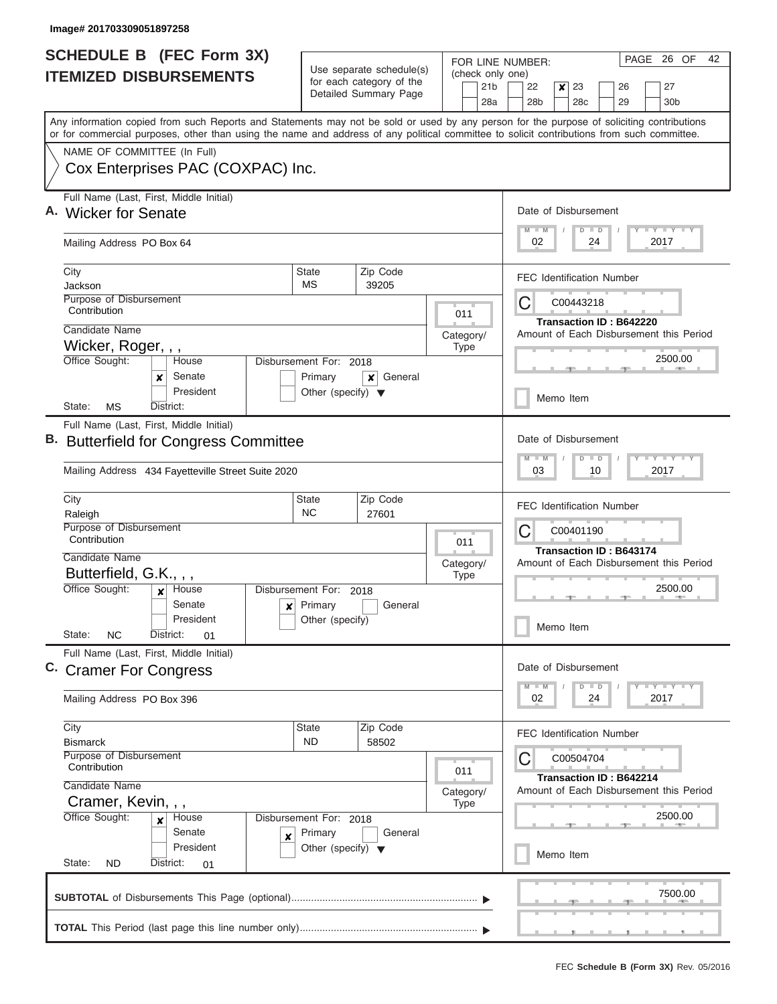| <b>SCHEDULE B (FEC Form 3X)</b>                                                                                                            |                                                      |                       |                          |             |                 | PAGE<br>26 OF<br>42<br>FOR LINE NUMBER: |                                                                                   |                                                              |                  |    |                                |  |      |                         |  |
|--------------------------------------------------------------------------------------------------------------------------------------------|------------------------------------------------------|-----------------------|--------------------------|-------------|-----------------|-----------------------------------------|-----------------------------------------------------------------------------------|--------------------------------------------------------------|------------------|----|--------------------------------|--|------|-------------------------|--|
| <b>ITEMIZED DISBURSEMENTS</b>                                                                                                              | Use separate schedule(s)<br>for each category of the |                       |                          |             | 21 <sub>b</sub> | (check only one)                        | 22<br>$\boldsymbol{x}$<br>23<br>27<br>26                                          |                                                              |                  |    |                                |  |      |                         |  |
|                                                                                                                                            |                                                      | Detailed Summary Page |                          |             | 28a             |                                         | 28b                                                                               |                                                              | 28 <sub>c</sub>  |    | 29                             |  |      | 30 <sub>b</sub>         |  |
| Any information copied from such Reports and Statements may not be sold or used by any person for the purpose of soliciting contributions  |                                                      |                       |                          |             |                 |                                         |                                                                                   |                                                              |                  |    |                                |  |      |                         |  |
| or for commercial purposes, other than using the name and address of any political committee to solicit contributions from such committee. |                                                      |                       |                          |             |                 |                                         |                                                                                   |                                                              |                  |    |                                |  |      |                         |  |
| NAME OF COMMITTEE (In Full)                                                                                                                |                                                      |                       |                          |             |                 |                                         |                                                                                   |                                                              |                  |    |                                |  |      |                         |  |
| Cox Enterprises PAC (COXPAC) Inc.                                                                                                          |                                                      |                       |                          |             |                 |                                         |                                                                                   |                                                              |                  |    |                                |  |      |                         |  |
| Full Name (Last, First, Middle Initial)                                                                                                    |                                                      |                       |                          |             |                 |                                         |                                                                                   |                                                              |                  |    |                                |  |      |                         |  |
| A. Wicker for Senate                                                                                                                       |                                                      |                       | Date of Disbursement     |             |                 |                                         |                                                                                   |                                                              |                  |    |                                |  |      |                         |  |
| Mailing Address PO Box 64                                                                                                                  |                                                      |                       |                          |             |                 |                                         |                                                                                   | <b>TAY TAY TAY</b><br>$M$ $M$<br>$D$ $D$<br>02<br>24<br>2017 |                  |    |                                |  |      |                         |  |
| City                                                                                                                                       | <b>State</b>                                         | Zip Code              |                          |             |                 |                                         | <b>FEC Identification Number</b>                                                  |                                                              |                  |    |                                |  |      |                         |  |
| Jackson<br>Purpose of Disbursement                                                                                                         | МS                                                   | 39205                 |                          |             |                 |                                         |                                                                                   |                                                              |                  |    |                                |  |      |                         |  |
| Contribution                                                                                                                               |                                                      |                       |                          | 011         |                 |                                         | С                                                                                 |                                                              | C00443218        |    |                                |  |      |                         |  |
| Candidate Name                                                                                                                             |                                                      |                       | Category/                |             |                 |                                         | Amount of Each Disbursement this Period                                           |                                                              |                  |    | Transaction ID: B642220        |  |      |                         |  |
| Wicker, Roger, , ,                                                                                                                         |                                                      |                       |                          | <b>Type</b> |                 |                                         |                                                                                   |                                                              |                  |    |                                |  |      |                         |  |
| Office Sought:<br>House<br>Senate                                                                                                          | Disbursement For: 2018<br>Primary                    | General               |                          |             |                 |                                         |                                                                                   |                                                              |                  |    |                                |  |      | 2500.00                 |  |
| ×<br>President                                                                                                                             | Other (specify) $\blacktriangledown$                 | ×                     |                          |             |                 |                                         | Memo Item                                                                         |                                                              |                  |    |                                |  |      |                         |  |
| State:<br>МS<br>District:                                                                                                                  |                                                      |                       |                          |             |                 |                                         |                                                                                   |                                                              |                  |    |                                |  |      |                         |  |
| Full Name (Last, First, Middle Initial)                                                                                                    |                                                      |                       |                          |             |                 |                                         |                                                                                   |                                                              |                  |    |                                |  |      |                         |  |
| <b>Butterfield for Congress Committee</b>                                                                                                  |                                                      |                       |                          |             |                 |                                         | Date of Disbursement<br>$T$ $T$ $T$ $T$ $T$ $T$ $T$ $T$ $T$<br>$M - M$<br>$D$ $D$ |                                                              |                  |    |                                |  |      |                         |  |
| Mailing Address 434 Fayetteville Street Suite 2020                                                                                         |                                                      |                       |                          |             |                 |                                         |                                                                                   |                                                              | 03<br>10<br>2017 |    |                                |  |      |                         |  |
| City<br>Raleigh                                                                                                                            | <b>State</b><br><b>NC</b>                            | Zip Code<br>27601     |                          |             |                 |                                         | <b>FEC Identification Number</b>                                                  |                                                              |                  |    |                                |  |      |                         |  |
| Purpose of Disbursement                                                                                                                    |                                                      |                       |                          |             |                 |                                         | С<br>C00401190                                                                    |                                                              |                  |    |                                |  |      |                         |  |
| Contribution                                                                                                                               |                                                      |                       | 011                      |             |                 |                                         | <b>Transaction ID: B643174</b>                                                    |                                                              |                  |    |                                |  |      |                         |  |
| Candidate Name<br>Butterfield, G.K., , ,                                                                                                   |                                                      |                       | Category/<br><b>Type</b> |             |                 |                                         | Amount of Each Disbursement this Period                                           |                                                              |                  |    |                                |  |      |                         |  |
| Office Sought:<br>House<br>$\mathbf{x}$                                                                                                    | Disbursement For: 2018                               |                       |                          |             |                 |                                         | 2500.00                                                                           |                                                              |                  |    |                                |  |      |                         |  |
| Senate<br>$\pmb{\times}$                                                                                                                   | Primary                                              | General               |                          |             |                 |                                         |                                                                                   |                                                              |                  |    |                                |  |      |                         |  |
| President<br>State:<br><b>NC</b><br>District:<br>01                                                                                        | Other (specify)                                      |                       |                          |             |                 |                                         | Memo Item                                                                         |                                                              |                  |    |                                |  |      |                         |  |
| Full Name (Last, First, Middle Initial)                                                                                                    |                                                      |                       |                          |             |                 |                                         |                                                                                   |                                                              |                  |    |                                |  |      |                         |  |
| C. Cramer For Congress                                                                                                                     |                                                      |                       |                          |             |                 |                                         | Date of Disbursement                                                              |                                                              |                  |    |                                |  |      |                         |  |
|                                                                                                                                            |                                                      |                       |                          |             |                 |                                         | $M - M$                                                                           |                                                              | $D$ $D$          |    |                                |  |      | $T$ $Y$ $T$ $Y$ $T$ $Y$ |  |
| Mailing Address PO Box 396                                                                                                                 |                                                      |                       |                          |             |                 |                                         | 02                                                                                |                                                              |                  | 24 |                                |  | 2017 |                         |  |
| City                                                                                                                                       | <b>State</b>                                         | Zip Code              |                          |             |                 |                                         | <b>FEC Identification Number</b>                                                  |                                                              |                  |    |                                |  |      |                         |  |
| <b>Bismarck</b><br>Purpose of Disbursement                                                                                                 | ND.                                                  | 58502                 |                          |             |                 |                                         | С                                                                                 |                                                              | C00504704        |    |                                |  |      |                         |  |
| Contribution                                                                                                                               |                                                      |                       |                          | 011         |                 |                                         |                                                                                   |                                                              |                  |    | <b>Transaction ID: B642214</b> |  |      |                         |  |
| Candidate Name                                                                                                                             |                                                      |                       |                          |             |                 |                                         | Amount of Each Disbursement this Period                                           |                                                              |                  |    |                                |  |      |                         |  |
| Cramer, Kevin, , ,<br><b>Type</b><br>Office Sought:<br>House<br>Disbursement For: 2018<br>×                                                |                                                      |                       |                          |             |                 |                                         |                                                                                   |                                                              |                  |    |                                |  |      | 2500.00                 |  |
| Senate<br>×                                                                                                                                | Primary                                              | General               |                          |             |                 |                                         |                                                                                   |                                                              |                  |    |                                |  |      |                         |  |
| President                                                                                                                                  | Other (specify) $\blacktriangledown$                 |                       |                          |             |                 |                                         |                                                                                   |                                                              | Memo Item        |    |                                |  |      |                         |  |
| State:<br>District:<br><b>ND</b><br>01                                                                                                     |                                                      |                       |                          |             |                 |                                         |                                                                                   |                                                              |                  |    |                                |  |      |                         |  |
|                                                                                                                                            |                                                      |                       |                          |             |                 |                                         |                                                                                   |                                                              |                  |    |                                |  |      | 7500.00                 |  |
|                                                                                                                                            |                                                      |                       |                          |             |                 |                                         |                                                                                   |                                                              |                  |    |                                |  |      |                         |  |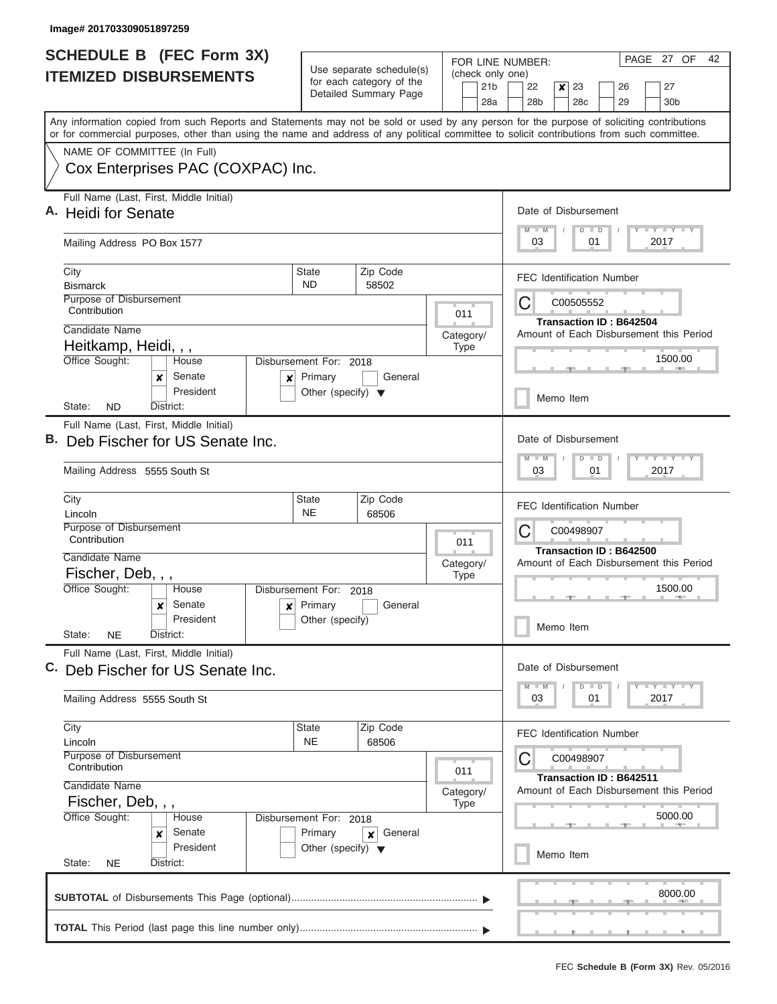| <b>SCHEDULE B (FEC Form 3X)</b>                                                                                                                                                                                                                                                         |                                                                               |                                                                           | PAGE 27 OF<br>42<br>FOR LINE NUMBER:                                                                    |  |  |  |  |  |  |
|-----------------------------------------------------------------------------------------------------------------------------------------------------------------------------------------------------------------------------------------------------------------------------------------|-------------------------------------------------------------------------------|---------------------------------------------------------------------------|---------------------------------------------------------------------------------------------------------|--|--|--|--|--|--|
| <b>ITEMIZED DISBURSEMENTS</b>                                                                                                                                                                                                                                                           | Use separate schedule(s)<br>for each category of the<br>Detailed Summary Page | (check only one)<br>21 <sub>b</sub>                                       | 22<br>$\boldsymbol{x}$<br>23<br>27<br>26                                                                |  |  |  |  |  |  |
|                                                                                                                                                                                                                                                                                         |                                                                               | 28a                                                                       | 28b<br>28 <sub>c</sub><br>29<br>30 <sub>b</sub>                                                         |  |  |  |  |  |  |
| Any information copied from such Reports and Statements may not be sold or used by any person for the purpose of soliciting contributions<br>or for commercial purposes, other than using the name and address of any political committee to solicit contributions from such committee. |                                                                               |                                                                           |                                                                                                         |  |  |  |  |  |  |
| NAME OF COMMITTEE (In Full)                                                                                                                                                                                                                                                             |                                                                               |                                                                           |                                                                                                         |  |  |  |  |  |  |
| Cox Enterprises PAC (COXPAC) Inc.                                                                                                                                                                                                                                                       |                                                                               |                                                                           |                                                                                                         |  |  |  |  |  |  |
| Full Name (Last, First, Middle Initial)                                                                                                                                                                                                                                                 |                                                                               |                                                                           |                                                                                                         |  |  |  |  |  |  |
| A. Heidi for Senate                                                                                                                                                                                                                                                                     |                                                                               |                                                                           | Date of Disbursement<br><b>TY TY TY</b><br>$M$ $M$<br>$D$ $D$                                           |  |  |  |  |  |  |
| Mailing Address PO Box 1577                                                                                                                                                                                                                                                             |                                                                               |                                                                           | 03<br>01<br>2017                                                                                        |  |  |  |  |  |  |
| City<br><b>Bismarck</b>                                                                                                                                                                                                                                                                 | Zip Code<br><b>State</b><br><b>ND</b><br>58502                                |                                                                           | <b>FEC Identification Number</b>                                                                        |  |  |  |  |  |  |
| Purpose of Disbursement                                                                                                                                                                                                                                                                 |                                                                               |                                                                           | С<br>C00505552                                                                                          |  |  |  |  |  |  |
| Contribution<br>Candidate Name                                                                                                                                                                                                                                                          |                                                                               | 011                                                                       | Transaction ID: B642504                                                                                 |  |  |  |  |  |  |
| Heitkamp, Heidi, , ,                                                                                                                                                                                                                                                                    |                                                                               | Category/<br><b>Type</b>                                                  | Amount of Each Disbursement this Period                                                                 |  |  |  |  |  |  |
| Office Sought:<br>House                                                                                                                                                                                                                                                                 | Disbursement For: 2018                                                        |                                                                           | 1500.00                                                                                                 |  |  |  |  |  |  |
| Senate<br>x<br>×<br>President                                                                                                                                                                                                                                                           | Primary<br>General<br>Other (specify) $\blacktriangledown$                    |                                                                           | Memo Item                                                                                               |  |  |  |  |  |  |
| District:<br>State:<br>ND.                                                                                                                                                                                                                                                              |                                                                               |                                                                           |                                                                                                         |  |  |  |  |  |  |
| Full Name (Last, First, Middle Initial)<br>В.<br>Deb Fischer for US Senate Inc.                                                                                                                                                                                                         |                                                                               |                                                                           | Date of Disbursement                                                                                    |  |  |  |  |  |  |
|                                                                                                                                                                                                                                                                                         |                                                                               | $T$ $T$ $T$ $T$ $T$ $T$ $T$ $T$ $T$<br>$M - M$<br>$D$ $D$                 |                                                                                                         |  |  |  |  |  |  |
| Mailing Address 5555 South St                                                                                                                                                                                                                                                           |                                                                               |                                                                           |                                                                                                         |  |  |  |  |  |  |
| City<br>Lincoln                                                                                                                                                                                                                                                                         | Zip Code<br><b>State</b><br><b>NE</b><br>68506                                |                                                                           | <b>FEC Identification Number</b>                                                                        |  |  |  |  |  |  |
| Purpose of Disbursement<br>Contribution                                                                                                                                                                                                                                                 |                                                                               |                                                                           | C<br>C00498907<br>Transaction ID: B642500<br>Amount of Each Disbursement this Period<br>1500.00<br>$-1$ |  |  |  |  |  |  |
| Candidate Name                                                                                                                                                                                                                                                                          |                                                                               | 011                                                                       |                                                                                                         |  |  |  |  |  |  |
| Fischer, Deb, , ,                                                                                                                                                                                                                                                                       |                                                                               | Category/<br><b>Type</b>                                                  |                                                                                                         |  |  |  |  |  |  |
| Office Sought:<br>House                                                                                                                                                                                                                                                                 | Disbursement For: 2018                                                        |                                                                           |                                                                                                         |  |  |  |  |  |  |
| Senate<br>x<br>$\pmb{\times}$<br>President                                                                                                                                                                                                                                              | Primary<br>General<br>Other (specify)                                         |                                                                           |                                                                                                         |  |  |  |  |  |  |
| State:<br><b>NE</b><br>District:                                                                                                                                                                                                                                                        |                                                                               |                                                                           | Memo Item                                                                                               |  |  |  |  |  |  |
| Full Name (Last, First, Middle Initial)                                                                                                                                                                                                                                                 |                                                                               |                                                                           | Date of Disbursement                                                                                    |  |  |  |  |  |  |
| C. Deb Fischer for US Senate Inc.                                                                                                                                                                                                                                                       |                                                                               |                                                                           | $T$ $Y$ $T$ $Y$ $T$ $Y$<br>$D$ $D$<br>$M - M$                                                           |  |  |  |  |  |  |
| Mailing Address 5555 South St                                                                                                                                                                                                                                                           |                                                                               |                                                                           | 03<br>01<br>2017                                                                                        |  |  |  |  |  |  |
| City<br>Lincoln                                                                                                                                                                                                                                                                         | Zip Code<br><b>State</b><br><b>NE</b><br>68506                                |                                                                           | <b>FEC Identification Number</b>                                                                        |  |  |  |  |  |  |
| Purpose of Disbursement<br>Contribution                                                                                                                                                                                                                                                 |                                                                               |                                                                           | C<br>C00498907                                                                                          |  |  |  |  |  |  |
| Candidate Name                                                                                                                                                                                                                                                                          | 011<br>Category/                                                              | <b>Transaction ID: B642511</b><br>Amount of Each Disbursement this Period |                                                                                                         |  |  |  |  |  |  |
| Fischer, Deb, , ,                                                                                                                                                                                                                                                                       |                                                                               |                                                                           |                                                                                                         |  |  |  |  |  |  |
| Office Sought:<br>House                                                                                                                                                                                                                                                                 | Disbursement For: 2018                                                        |                                                                           | 5000.00                                                                                                 |  |  |  |  |  |  |
| Senate<br>x<br>President                                                                                                                                                                                                                                                                | Primary<br>General<br>×<br>Other (specify) $\blacktriangledown$               |                                                                           |                                                                                                         |  |  |  |  |  |  |
| State:<br>District:<br><b>NE</b>                                                                                                                                                                                                                                                        |                                                                               |                                                                           | Memo Item                                                                                               |  |  |  |  |  |  |
|                                                                                                                                                                                                                                                                                         |                                                                               |                                                                           | 8000.00                                                                                                 |  |  |  |  |  |  |
|                                                                                                                                                                                                                                                                                         |                                                                               |                                                                           |                                                                                                         |  |  |  |  |  |  |
|                                                                                                                                                                                                                                                                                         |                                                                               |                                                                           |                                                                                                         |  |  |  |  |  |  |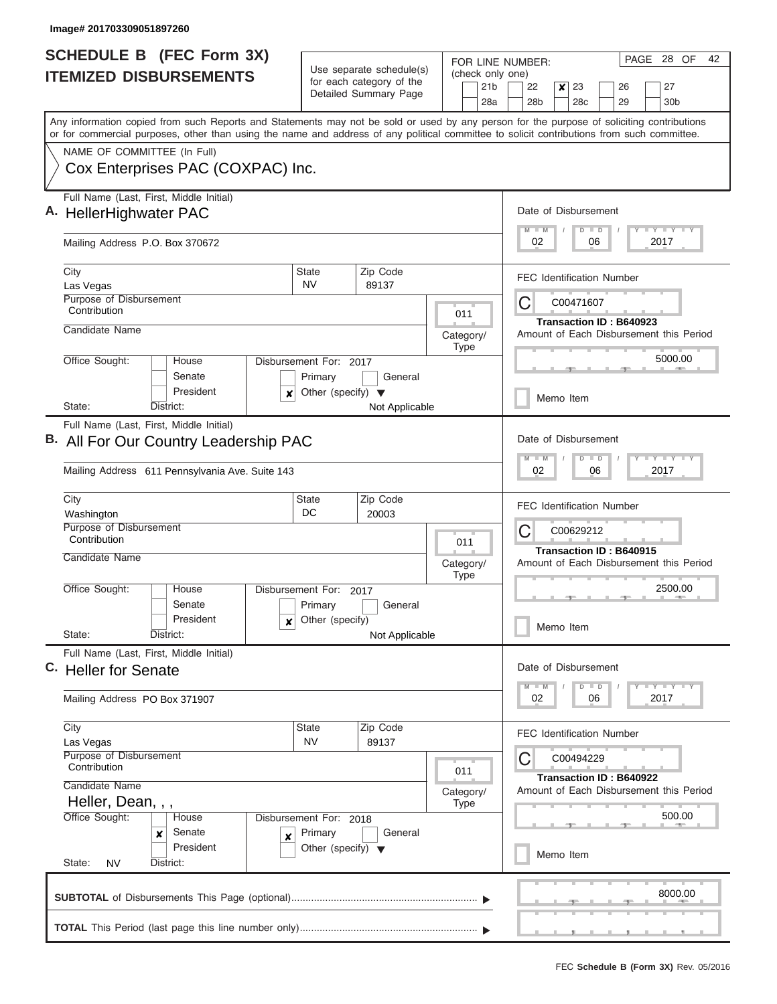| <b>SCHEDULE B</b> (FEC Form 3X)                                                                                                            |                                                      |                          | 28 OF<br>PAGE<br>42<br>FOR LINE NUMBER:                                                                                 |  |  |  |  |  |  |  |
|--------------------------------------------------------------------------------------------------------------------------------------------|------------------------------------------------------|--------------------------|-------------------------------------------------------------------------------------------------------------------------|--|--|--|--|--|--|--|
| <b>ITEMIZED DISBURSEMENTS</b>                                                                                                              | Use separate schedule(s)<br>for each category of the |                          | (check only one)<br>21 <sub>b</sub><br>22<br>$\pmb{\times}$<br>23<br>27<br>26                                           |  |  |  |  |  |  |  |
|                                                                                                                                            | Detailed Summary Page                                | 28a                      | 28 <sub>b</sub><br>28c<br>29<br>30 <sub>b</sub>                                                                         |  |  |  |  |  |  |  |
| Any information copied from such Reports and Statements may not be sold or used by any person for the purpose of soliciting contributions  |                                                      |                          |                                                                                                                         |  |  |  |  |  |  |  |
| or for commercial purposes, other than using the name and address of any political committee to solicit contributions from such committee. |                                                      |                          |                                                                                                                         |  |  |  |  |  |  |  |
| NAME OF COMMITTEE (In Full)<br>Cox Enterprises PAC (COXPAC) Inc.                                                                           |                                                      |                          |                                                                                                                         |  |  |  |  |  |  |  |
|                                                                                                                                            |                                                      |                          |                                                                                                                         |  |  |  |  |  |  |  |
| Full Name (Last, First, Middle Initial)                                                                                                    |                                                      |                          | Date of Disbursement                                                                                                    |  |  |  |  |  |  |  |
| A. HellerHighwater PAC                                                                                                                     |                                                      |                          | $M$ $M$<br>$T + Y = Y + Y$<br>$D$ $D$<br>02<br>06<br>2017                                                               |  |  |  |  |  |  |  |
| Mailing Address P.O. Box 370672                                                                                                            |                                                      |                          |                                                                                                                         |  |  |  |  |  |  |  |
| City                                                                                                                                       | Zip Code<br>State                                    |                          | <b>FEC Identification Number</b>                                                                                        |  |  |  |  |  |  |  |
| Las Vegas<br>Purpose of Disbursement                                                                                                       | <b>NV</b><br>89137                                   |                          |                                                                                                                         |  |  |  |  |  |  |  |
| Contribution                                                                                                                               |                                                      | 011                      | С<br>C00471607                                                                                                          |  |  |  |  |  |  |  |
| Candidate Name                                                                                                                             |                                                      | Category/                | Transaction ID: B640923<br>Amount of Each Disbursement this Period                                                      |  |  |  |  |  |  |  |
| Office Sought:<br>House                                                                                                                    | Disbursement For: 2017                               | Type                     |                                                                                                                         |  |  |  |  |  |  |  |
| Senate                                                                                                                                     | Primary<br>General                                   |                          | 5000.00                                                                                                                 |  |  |  |  |  |  |  |
| President<br>$\boldsymbol{x}$                                                                                                              | Other (specify) $\blacktriangledown$                 |                          | Memo Item                                                                                                               |  |  |  |  |  |  |  |
| State:<br>District:                                                                                                                        | Not Applicable                                       |                          |                                                                                                                         |  |  |  |  |  |  |  |
| Full Name (Last, First, Middle Initial)<br>B. All For Our Country Leadership PAC                                                           |                                                      |                          | Date of Disbursement<br>$T$ $Y$ $T$ $Y$ $T$<br>$M - M$<br>$D$ $D$                                                       |  |  |  |  |  |  |  |
|                                                                                                                                            |                                                      |                          |                                                                                                                         |  |  |  |  |  |  |  |
|                                                                                                                                            | Mailing Address 611 Pennsylvania Ave. Suite 143      |                          |                                                                                                                         |  |  |  |  |  |  |  |
| City<br>Washington                                                                                                                         | Zip Code<br>State<br>DC<br>20003                     |                          | <b>FEC Identification Number</b>                                                                                        |  |  |  |  |  |  |  |
| Purpose of Disbursement                                                                                                                    |                                                      |                          | С<br>C00629212                                                                                                          |  |  |  |  |  |  |  |
| Contribution<br>Candidate Name                                                                                                             |                                                      | 011                      | Transaction ID: B640915                                                                                                 |  |  |  |  |  |  |  |
|                                                                                                                                            |                                                      | Category/<br><b>Type</b> | Amount of Each Disbursement this Period                                                                                 |  |  |  |  |  |  |  |
| Office Sought:<br>House                                                                                                                    | Disbursement For:<br>2017                            |                          | 2500.00<br>- 7 -                                                                                                        |  |  |  |  |  |  |  |
| Senate                                                                                                                                     | Primary<br>General                                   |                          |                                                                                                                         |  |  |  |  |  |  |  |
| President<br>×<br>State:<br>District:                                                                                                      | Other (specify)<br>Not Applicable                    |                          | Memo Item                                                                                                               |  |  |  |  |  |  |  |
| Full Name (Last, First, Middle Initial)                                                                                                    |                                                      |                          |                                                                                                                         |  |  |  |  |  |  |  |
| C. Heller for Senate                                                                                                                       |                                                      |                          | Date of Disbursement                                                                                                    |  |  |  |  |  |  |  |
| Mailing Address PO Box 371907                                                                                                              |                                                      |                          | $\mathbf{I}$ $\mathbf{Y}$ $\mathbf{I}$ $\mathbf{Y}$ $\mathbf{I}$ $\mathbf{Y}$<br>$M - M$<br>$D$ $D$<br>02<br>06<br>2017 |  |  |  |  |  |  |  |
| City                                                                                                                                       | Zip Code<br>State<br><b>NV</b><br>89137              |                          | <b>FEC Identification Number</b>                                                                                        |  |  |  |  |  |  |  |
| Las Vegas<br>Purpose of Disbursement                                                                                                       |                                                      |                          | С<br>C00494229                                                                                                          |  |  |  |  |  |  |  |
| Contribution                                                                                                                               |                                                      | 011                      | Transaction ID: B640922                                                                                                 |  |  |  |  |  |  |  |
| Candidate Name<br>Heller, Dean, , ,                                                                                                        |                                                      | Category/                | Amount of Each Disbursement this Period                                                                                 |  |  |  |  |  |  |  |
| Office Sought:<br>House<br>Disbursement For: 2018                                                                                          | Type                                                 | 500.00                   |                                                                                                                         |  |  |  |  |  |  |  |
| Senate<br>×<br>X                                                                                                                           | Primary<br>General                                   |                          |                                                                                                                         |  |  |  |  |  |  |  |
| President<br>State:<br>District:<br><b>NV</b>                                                                                              | Other (specify) $\blacktriangledown$                 |                          | Memo Item                                                                                                               |  |  |  |  |  |  |  |
|                                                                                                                                            |                                                      |                          | 8000.00                                                                                                                 |  |  |  |  |  |  |  |
|                                                                                                                                            |                                                      |                          |                                                                                                                         |  |  |  |  |  |  |  |
|                                                                                                                                            |                                                      |                          | , , , , , , , ,                                                                                                         |  |  |  |  |  |  |  |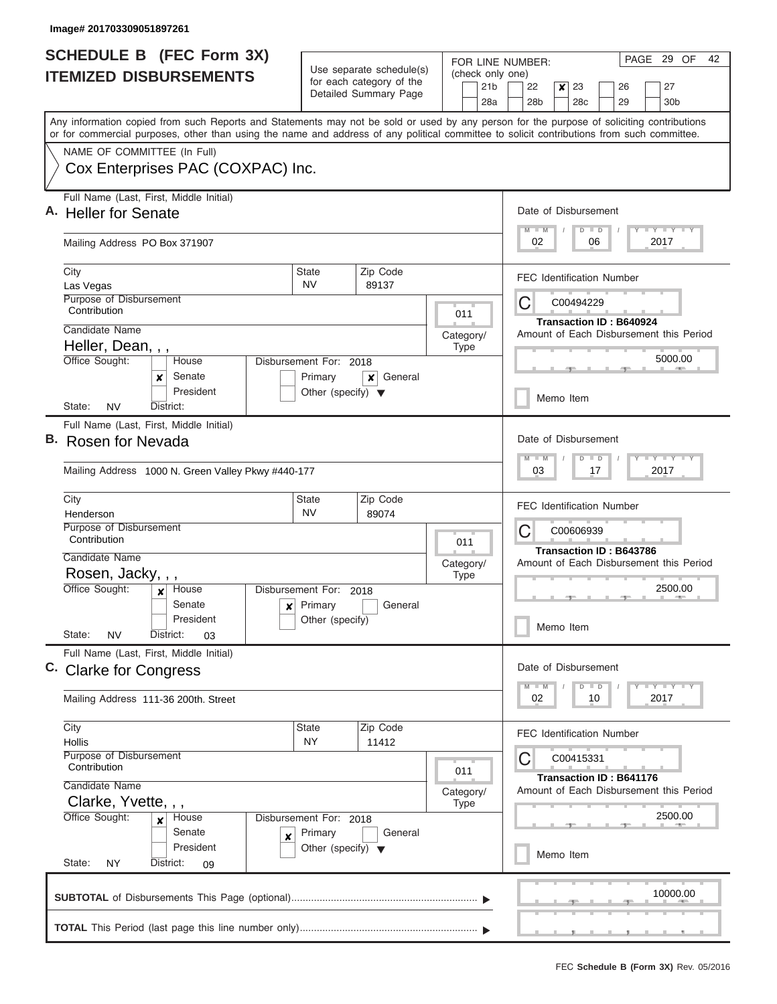| <b>SCHEDULE B (FEC Form 3X)</b><br><b>ITEMIZED DISBURSEMENTS</b> |                                                                                                                                                                                                                                                                                                                        | Use separate schedule(s)<br>for each category of the                      |                                                              |           |             | PAGE 29 OF<br>42<br>FOR LINE NUMBER:<br>(check only one) |                                  |                  |           |    |                         |  |                                                    |  |
|------------------------------------------------------------------|------------------------------------------------------------------------------------------------------------------------------------------------------------------------------------------------------------------------------------------------------------------------------------------------------------------------|---------------------------------------------------------------------------|--------------------------------------------------------------|-----------|-------------|----------------------------------------------------------|----------------------------------|------------------|-----------|----|-------------------------|--|----------------------------------------------------|--|
|                                                                  |                                                                                                                                                                                                                                                                                                                        |                                                                           | Detailed Summary Page                                        |           |             | 21 <sub>b</sub><br>28a                                   | 22<br>28 <sub>b</sub>            | $\boldsymbol{x}$ | 23<br>28c |    | 26<br>29                |  | 27<br>30 <sub>b</sub>                              |  |
|                                                                  | Any information copied from such Reports and Statements may not be sold or used by any person for the purpose of soliciting contributions<br>or for commercial purposes, other than using the name and address of any political committee to solicit contributions from such committee.<br>NAME OF COMMITTEE (In Full) |                                                                           |                                                              |           |             |                                                          |                                  |                  |           |    |                         |  |                                                    |  |
|                                                                  | Cox Enterprises PAC (COXPAC) Inc.                                                                                                                                                                                                                                                                                      |                                                                           |                                                              |           |             |                                                          |                                  |                  |           |    |                         |  |                                                    |  |
|                                                                  | Full Name (Last, First, Middle Initial)<br>A. Heller for Senate                                                                                                                                                                                                                                                        |                                                                           |                                                              |           |             |                                                          | Date of Disbursement<br>$M$ $M$  |                  | $D$ $D$   |    |                         |  | Y FY FY FY                                         |  |
|                                                                  | Mailing Address PO Box 371907                                                                                                                                                                                                                                                                                          |                                                                           |                                                              |           |             |                                                          | 02<br>06<br>2017                 |                  |           |    |                         |  |                                                    |  |
|                                                                  | City<br>Las Vegas                                                                                                                                                                                                                                                                                                      | State<br><b>NV</b>                                                        | Zip Code<br>89137                                            |           |             |                                                          | <b>FEC Identification Number</b> |                  |           |    |                         |  |                                                    |  |
|                                                                  | Purpose of Disbursement<br>Contribution                                                                                                                                                                                                                                                                                |                                                                           |                                                              |           | 011         |                                                          | C                                |                  | C00494229 |    | Transaction ID: B640924 |  |                                                    |  |
|                                                                  | Candidate Name<br>Heller, Dean, , ,                                                                                                                                                                                                                                                                                    |                                                                           |                                                              | Category/ | <b>Type</b> |                                                          |                                  |                  |           |    |                         |  | Amount of Each Disbursement this Period            |  |
|                                                                  | Office Sought:<br>House<br>Senate<br>x<br>President                                                                                                                                                                                                                                                                    | Disbursement For: 2018<br>Primary<br>Other (specify) $\blacktriangledown$ | General<br>×                                                 |           |             |                                                          |                                  |                  | Memo Item |    |                         |  | 5000.00                                            |  |
|                                                                  | <b>NV</b><br>District:<br>State:                                                                                                                                                                                                                                                                                       |                                                                           |                                                              |           |             |                                                          |                                  |                  |           |    |                         |  |                                                    |  |
|                                                                  | Full Name (Last, First, Middle Initial)<br>B. Rosen for Nevada                                                                                                                                                                                                                                                         |                                                                           | Date of Disbursement<br>Y FY FY FY<br>$M - M$<br>$\Box$<br>D |           |             |                                                          |                                  |                  |           |    |                         |  |                                                    |  |
|                                                                  | Mailing Address 1000 N. Green Valley Pkwy #440-177                                                                                                                                                                                                                                                                     |                                                                           |                                                              |           |             |                                                          | 03                               |                  |           | 17 |                         |  | 2017                                               |  |
|                                                                  | City<br>Henderson                                                                                                                                                                                                                                                                                                      | <b>State</b><br><b>NV</b>                                                 | Zip Code<br>89074                                            |           |             |                                                          | <b>FEC Identification Number</b> |                  |           |    |                         |  |                                                    |  |
|                                                                  | Purpose of Disbursement<br>Contribution<br>Candidate Name                                                                                                                                                                                                                                                              |                                                                           |                                                              | 011       |             | C<br>C00606939<br><b>Transaction ID: B643786</b>         |                                  |                  |           |    |                         |  |                                                    |  |
|                                                                  | Rosen, Jacky, , ,                                                                                                                                                                                                                                                                                                      |                                                                           |                                                              | Category/ | <b>Type</b> | Amount of Each Disbursement this Period                  |                                  |                  |           |    |                         |  |                                                    |  |
|                                                                  | Office Sought:<br>House<br>x<br>Senate<br>$\boldsymbol{x}$<br>President                                                                                                                                                                                                                                                | Disbursement For:<br>Primary<br>Other (specify)                           | 2018<br>General                                              |           |             |                                                          | 2500.00                          |                  |           |    |                         |  |                                                    |  |
|                                                                  | State:<br><b>NV</b><br>District:<br>03                                                                                                                                                                                                                                                                                 |                                                                           |                                                              |           |             |                                                          |                                  |                  | Memo Item |    |                         |  |                                                    |  |
|                                                                  | Full Name (Last, First, Middle Initial)<br>C. Clarke for Congress                                                                                                                                                                                                                                                      |                                                                           |                                                              |           |             |                                                          | Date of Disbursement<br>$M - M$  |                  | $D$ $D$   |    |                         |  | Y TY TY TY                                         |  |
|                                                                  | Mailing Address 111-36 200th. Street                                                                                                                                                                                                                                                                                   |                                                                           |                                                              |           |             |                                                          | 02                               |                  |           | 10 |                         |  | 2017                                               |  |
|                                                                  | City<br>Hollis                                                                                                                                                                                                                                                                                                         | State<br>NY                                                               | Zip Code<br>11412                                            |           |             |                                                          | <b>FEC Identification Number</b> |                  |           |    |                         |  |                                                    |  |
|                                                                  | Purpose of Disbursement<br>Contribution                                                                                                                                                                                                                                                                                |                                                                           |                                                              |           | 011         |                                                          | С                                |                  | C00415331 |    | Transaction ID: B641176 |  |                                                    |  |
|                                                                  | Candidate Name<br>Clarke, Yvette, , ,<br>Office Sought:<br>House<br>×                                                                                                                                                                                                                                                  | Disbursement For: 2018                                                    |                                                              |           |             | Category/                                                |                                  |                  |           |    |                         |  | Amount of Each Disbursement this Period<br>2500.00 |  |
|                                                                  | Senate<br>X<br>President<br>State:<br>NY<br>District:<br>09                                                                                                                                                                                                                                                            | Primary<br>Other (specify) $\blacktriangledown$                           | General                                                      |           |             |                                                          |                                  |                  | Memo Item |    |                         |  |                                                    |  |
|                                                                  |                                                                                                                                                                                                                                                                                                                        |                                                                           |                                                              |           |             |                                                          |                                  |                  |           |    |                         |  | 10000.00                                           |  |
|                                                                  |                                                                                                                                                                                                                                                                                                                        |                                                                           |                                                              |           |             |                                                          |                                  |                  |           |    | __                      |  |                                                    |  |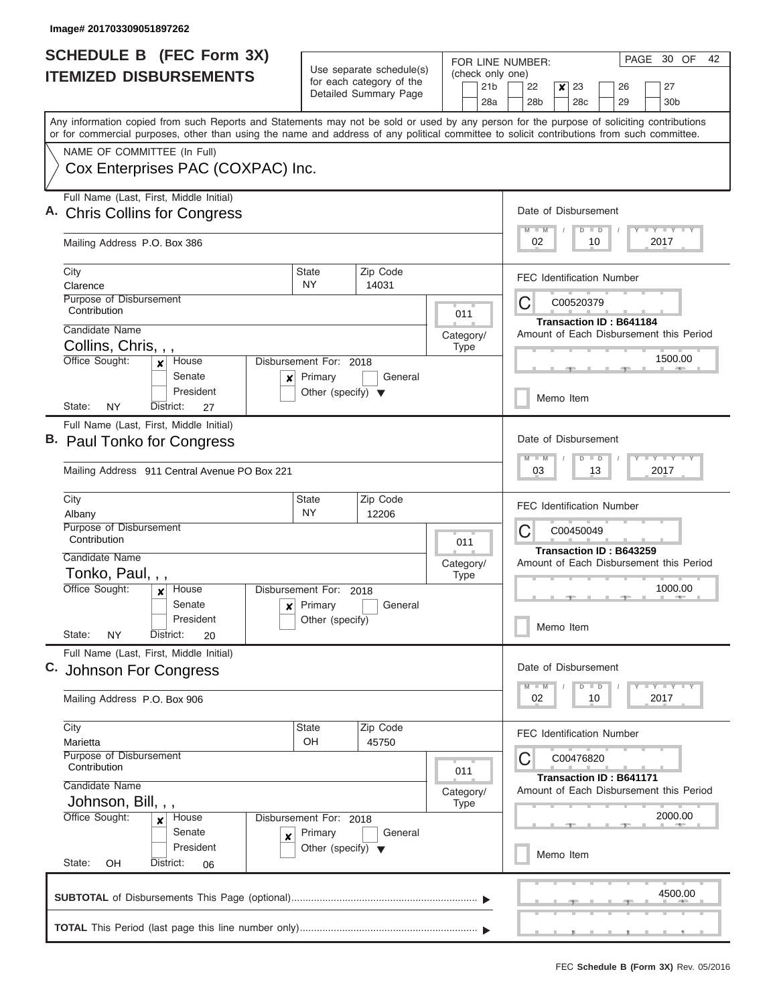| <b>SCHEDULE B (FEC Form 3X)</b>                                                                                                                                                                                                                                                         |                                                                           | Use separate schedule(s)                                                     | FOR LINE NUMBER:                           | PAGE 30 OF<br>42                                                                            |  |  |  |  |  |
|-----------------------------------------------------------------------------------------------------------------------------------------------------------------------------------------------------------------------------------------------------------------------------------------|---------------------------------------------------------------------------|------------------------------------------------------------------------------|--------------------------------------------|---------------------------------------------------------------------------------------------|--|--|--|--|--|
| <b>ITEMIZED DISBURSEMENTS</b>                                                                                                                                                                                                                                                           |                                                                           | for each category of the<br>Detailed Summary Page                            | (check only one)<br>21 <sub>b</sub><br>28a | 22<br>23<br>27<br>$\boldsymbol{x}$<br>26<br>28 <sub>b</sub><br>28c<br>29<br>30 <sub>b</sub> |  |  |  |  |  |
| Any information copied from such Reports and Statements may not be sold or used by any person for the purpose of soliciting contributions<br>or for commercial purposes, other than using the name and address of any political committee to solicit contributions from such committee. |                                                                           |                                                                              |                                            |                                                                                             |  |  |  |  |  |
| NAME OF COMMITTEE (In Full)<br>Cox Enterprises PAC (COXPAC) Inc.                                                                                                                                                                                                                        |                                                                           |                                                                              |                                            |                                                                                             |  |  |  |  |  |
| Full Name (Last, First, Middle Initial)<br><b>Chris Collins for Congress</b>                                                                                                                                                                                                            |                                                                           |                                                                              |                                            |                                                                                             |  |  |  |  |  |
| Mailing Address P.O. Box 386                                                                                                                                                                                                                                                            | 02<br>10<br>2017                                                          |                                                                              |                                            |                                                                                             |  |  |  |  |  |
| City<br>Clarence<br>Purpose of Disbursement                                                                                                                                                                                                                                             | <b>State</b><br>NY.                                                       | Zip Code<br>14031                                                            |                                            | <b>FEC Identification Number</b><br>C00520379                                               |  |  |  |  |  |
| Contribution<br>Candidate Name                                                                                                                                                                                                                                                          |                                                                           |                                                                              | 011<br>Category/                           | C<br><b>Transaction ID: B641184</b><br>Amount of Each Disbursement this Period              |  |  |  |  |  |
| Collins, Chris, , ,<br>Office Sought:<br>House<br>$\boldsymbol{x}$<br>Senate<br>×                                                                                                                                                                                                       | Disbursement For: 2018<br>Primary                                         | General                                                                      | <b>Type</b>                                | 1500.00                                                                                     |  |  |  |  |  |
| President<br><b>NY</b><br>State:<br>District:<br>27                                                                                                                                                                                                                                     | Other (specify) $\blacktriangledown$                                      |                                                                              |                                            | Memo Item                                                                                   |  |  |  |  |  |
| Full Name (Last, First, Middle Initial)<br>B. Paul Tonko for Congress<br>Mailing Address 911 Central Avenue PO Box 221                                                                                                                                                                  |                                                                           | Date of Disbursement<br>Y FY FY FY<br>$M - M$<br>$D$ $D$<br>03<br>13<br>2017 |                                            |                                                                                             |  |  |  |  |  |
| City<br>Albany<br>Purpose of Disbursement                                                                                                                                                                                                                                               |                                                                           | <b>FEC Identification Number</b><br>C<br>C00450049                           |                                            |                                                                                             |  |  |  |  |  |
| Contribution<br>Candidate Name<br>Tonko, Paul, , ,<br>Office Sought:<br>House<br>$\mathbf{x}$                                                                                                                                                                                           | Disbursement For: 2018                                                    |                                                                              | 011<br>Category/<br><b>Type</b>            | Transaction ID: B643259<br>Amount of Each Disbursement this Period<br>1000.00               |  |  |  |  |  |
| Senate<br>×<br>President<br>State:<br>NY<br>District:<br>20                                                                                                                                                                                                                             | Primary<br>Other (specify)                                                | General                                                                      |                                            | Memo Item                                                                                   |  |  |  |  |  |
| Full Name (Last, First, Middle Initial)<br>C. Johnson For Congress                                                                                                                                                                                                                      |                                                                           |                                                                              |                                            | Date of Disbursement<br>$Y$ $Y$ $Y$ $Y$ $Y$ $Y$<br>$D$ $D$<br>$M$ $M$                       |  |  |  |  |  |
| Mailing Address P.O. Box 906                                                                                                                                                                                                                                                            |                                                                           |                                                                              |                                            | 02<br>2017<br>10                                                                            |  |  |  |  |  |
| City<br>Marietta                                                                                                                                                                                                                                                                        | State<br>OH                                                               | Zip Code<br>45750                                                            |                                            | <b>FEC Identification Number</b><br>C00476820<br>C                                          |  |  |  |  |  |
| Contribution<br>Candidate Name<br>Johnson, Bill, , ,                                                                                                                                                                                                                                    | Purpose of Disbursement<br>011<br>Category/<br><b>Type</b>                |                                                                              |                                            |                                                                                             |  |  |  |  |  |
| Office Sought:<br>House<br>×<br>Senate<br>X<br>President<br>State:<br>OH<br>District:<br>06                                                                                                                                                                                             | Disbursement For: 2018<br>Primary<br>Other (specify) $\blacktriangledown$ | General                                                                      |                                            | 2000.00<br>Memo Item                                                                        |  |  |  |  |  |
|                                                                                                                                                                                                                                                                                         |                                                                           |                                                                              |                                            | 4500.00                                                                                     |  |  |  |  |  |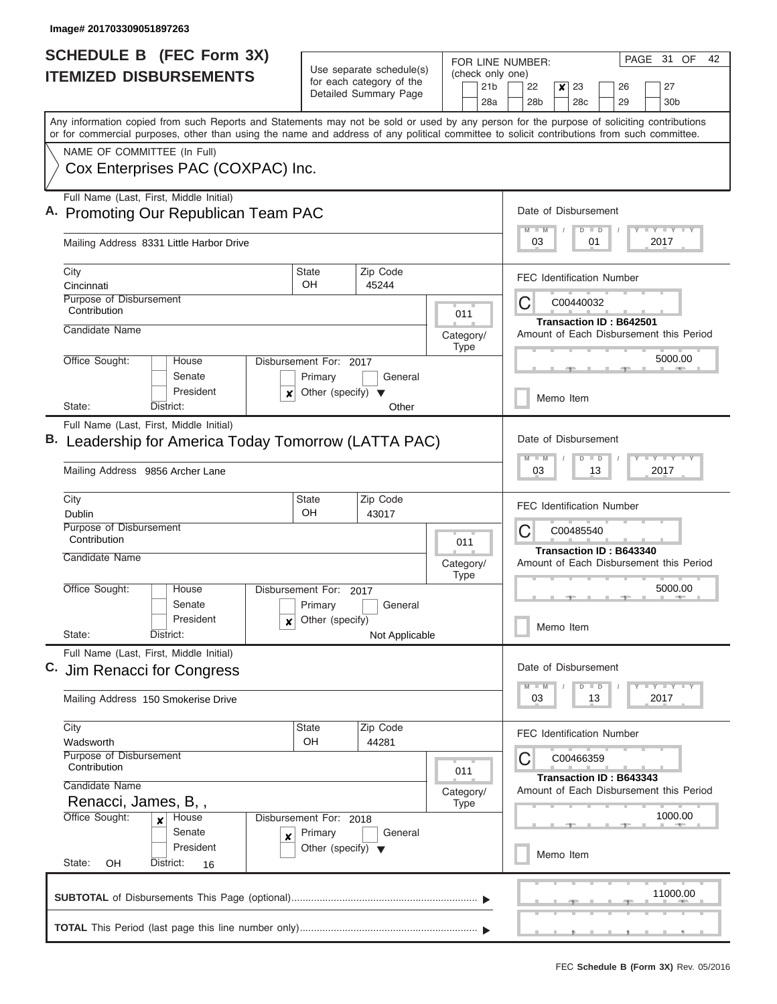| <b>SCHEDULE B (FEC Form 3X)</b>                                                                                                                                                                                                                                                         |                                                                           | Use separate schedule(s)                                                             | FOR LINE NUMBER:<br>(check only one) | PAGE 31<br>OF<br>42                                                                         |  |  |  |  |  |
|-----------------------------------------------------------------------------------------------------------------------------------------------------------------------------------------------------------------------------------------------------------------------------------------|---------------------------------------------------------------------------|--------------------------------------------------------------------------------------|--------------------------------------|---------------------------------------------------------------------------------------------|--|--|--|--|--|
| <b>ITEMIZED DISBURSEMENTS</b>                                                                                                                                                                                                                                                           |                                                                           | for each category of the<br>Detailed Summary Page                                    | 21 <sub>b</sub><br>28a               | 23<br>27<br>22<br>$\boldsymbol{x}$<br>26<br>28 <sub>b</sub><br>28c<br>29<br>30 <sub>b</sub> |  |  |  |  |  |
| Any information copied from such Reports and Statements may not be sold or used by any person for the purpose of soliciting contributions<br>or for commercial purposes, other than using the name and address of any political committee to solicit contributions from such committee. |                                                                           |                                                                                      |                                      |                                                                                             |  |  |  |  |  |
| NAME OF COMMITTEE (In Full)<br>Cox Enterprises PAC (COXPAC) Inc.                                                                                                                                                                                                                        |                                                                           |                                                                                      |                                      |                                                                                             |  |  |  |  |  |
| Full Name (Last, First, Middle Initial)<br>A. Promoting Our Republican Team PAC                                                                                                                                                                                                         |                                                                           |                                                                                      |                                      | Date of Disbursement<br><b>TEY LY LY</b><br>$M$ $M$<br>$D$ $D$                              |  |  |  |  |  |
| Mailing Address 8331 Little Harbor Drive                                                                                                                                                                                                                                                |                                                                           |                                                                                      |                                      | 2017<br>03<br>01                                                                            |  |  |  |  |  |
| City<br>Cincinnati                                                                                                                                                                                                                                                                      | <b>State</b><br>OH                                                        | Zip Code<br>45244                                                                    |                                      | <b>FEC Identification Number</b>                                                            |  |  |  |  |  |
| Purpose of Disbursement<br>Contribution                                                                                                                                                                                                                                                 |                                                                           |                                                                                      | 011                                  | C<br>C00440032<br><b>Transaction ID: B642501</b>                                            |  |  |  |  |  |
| Candidate Name                                                                                                                                                                                                                                                                          |                                                                           |                                                                                      | Category/<br><b>Type</b>             | Amount of Each Disbursement this Period                                                     |  |  |  |  |  |
| Office Sought:<br>House<br>Senate<br>President<br>x                                                                                                                                                                                                                                     | Disbursement For: 2017<br>Primary<br>Other (specify) $\blacktriangledown$ | General                                                                              |                                      | 5000.00                                                                                     |  |  |  |  |  |
| District:<br>State:                                                                                                                                                                                                                                                                     |                                                                           | Other                                                                                |                                      | Memo Item                                                                                   |  |  |  |  |  |
| Full Name (Last, First, Middle Initial)<br>Leadership for America Today Tomorrow (LATTA PAC)<br>Mailing Address 9856 Archer Lane                                                                                                                                                        |                                                                           | Date of Disbursement<br><b>TEY TEY TEY</b><br>$M - M$<br>$D$ $D$<br>2017<br>03<br>13 |                                      |                                                                                             |  |  |  |  |  |
| City<br>Dublin<br>Purpose of Disbursement                                                                                                                                                                                                                                               | <b>State</b><br>OH                                                        | Zip Code<br>43017                                                                    |                                      | <b>FEC Identification Number</b>                                                            |  |  |  |  |  |
| Contribution<br>Candidate Name                                                                                                                                                                                                                                                          |                                                                           |                                                                                      | 011<br>Category/<br><b>Type</b>      | C<br>C00485540<br>Transaction ID: B643340<br>Amount of Each Disbursement this Period        |  |  |  |  |  |
| Office Sought:<br>House<br>Senate<br>President<br>x                                                                                                                                                                                                                                     | Disbursement For:<br>Primary<br>Other (specify)                           | 2017<br>General                                                                      |                                      | 5000.00<br>Memo Item                                                                        |  |  |  |  |  |
| State:<br>District:                                                                                                                                                                                                                                                                     |                                                                           | Not Applicable                                                                       |                                      |                                                                                             |  |  |  |  |  |
| Full Name (Last, First, Middle Initial)<br>Jim Renacci for Congress                                                                                                                                                                                                                     |                                                                           |                                                                                      |                                      | Date of Disbursement<br>$Y - Y - Y - Y - I$<br>$M - M$<br>$D$ $D$                           |  |  |  |  |  |
| Mailing Address 150 Smokerise Drive                                                                                                                                                                                                                                                     |                                                                           |                                                                                      |                                      | 03<br>2017<br>13                                                                            |  |  |  |  |  |
| City<br>Wadsworth<br>Purpose of Disbursement                                                                                                                                                                                                                                            | <b>State</b><br>OH                                                        | Zip Code<br>44281                                                                    |                                      | <b>FEC Identification Number</b><br>С<br>C00466359                                          |  |  |  |  |  |
| Contribution<br>Candidate Name<br>Renacci, James, B,,                                                                                                                                                                                                                                   |                                                                           |                                                                                      | 011<br>Category/<br><b>Type</b>      | Transaction ID: B643343<br>Amount of Each Disbursement this Period                          |  |  |  |  |  |
| Office Sought:<br>House<br>$\boldsymbol{x}$<br>Senate<br>X<br>President                                                                                                                                                                                                                 | Disbursement For: 2018<br>Primary<br>Other (specify) $\blacktriangledown$ | General                                                                              |                                      | 1000.00<br>Memo Item                                                                        |  |  |  |  |  |
| State:<br>District:<br>OH<br>16                                                                                                                                                                                                                                                         |                                                                           |                                                                                      |                                      |                                                                                             |  |  |  |  |  |
|                                                                                                                                                                                                                                                                                         |                                                                           |                                                                                      |                                      | 11000.00                                                                                    |  |  |  |  |  |
|                                                                                                                                                                                                                                                                                         |                                                                           |                                                                                      |                                      |                                                                                             |  |  |  |  |  |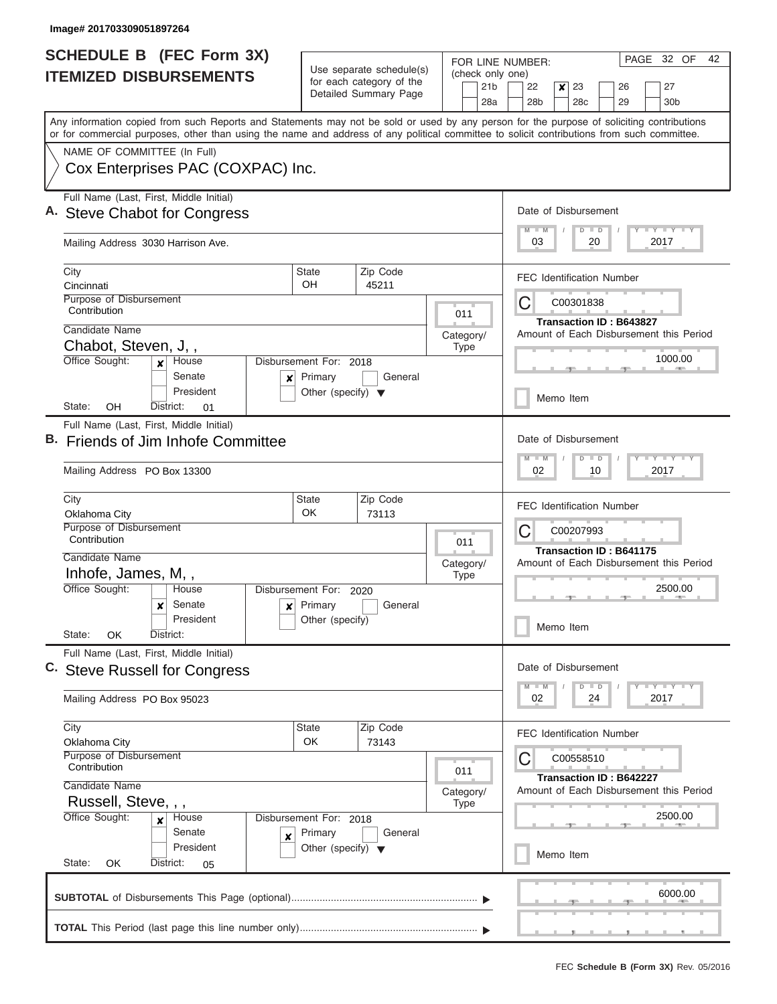| <b>SCHEDULE B</b> (FEC Form 3X)                                                                                                                                                                                                                                                         |                                                                   |                                                                               | FOR LINE NUMBER:                           | PAGE 32 OF<br>42                                                             |  |  |  |
|-----------------------------------------------------------------------------------------------------------------------------------------------------------------------------------------------------------------------------------------------------------------------------------------|-------------------------------------------------------------------|-------------------------------------------------------------------------------|--------------------------------------------|------------------------------------------------------------------------------|--|--|--|
| <b>ITEMIZED DISBURSEMENTS</b>                                                                                                                                                                                                                                                           |                                                                   | Use separate schedule(s)<br>for each category of the<br>Detailed Summary Page | (check only one)<br>21 <sub>b</sub><br>28a | 22<br>23<br>27<br>×<br>26<br>28 <sub>b</sub><br>28c<br>29<br>30 <sub>b</sub> |  |  |  |
| Any information copied from such Reports and Statements may not be sold or used by any person for the purpose of soliciting contributions<br>or for commercial purposes, other than using the name and address of any political committee to solicit contributions from such committee. |                                                                   |                                                                               |                                            |                                                                              |  |  |  |
| NAME OF COMMITTEE (In Full)                                                                                                                                                                                                                                                             |                                                                   |                                                                               |                                            |                                                                              |  |  |  |
| Cox Enterprises PAC (COXPAC) Inc.                                                                                                                                                                                                                                                       |                                                                   |                                                                               |                                            |                                                                              |  |  |  |
| Full Name (Last, First, Middle Initial)<br>A. Steve Chabot for Congress                                                                                                                                                                                                                 | Date of Disbursement                                              |                                                                               |                                            |                                                                              |  |  |  |
| Mailing Address 3030 Harrison Ave.                                                                                                                                                                                                                                                      | Y L Y L Y L Y<br>$M$ $M$<br>$D$ $D$<br>03<br>20<br>2017           |                                                                               |                                            |                                                                              |  |  |  |
| City<br>Cincinnati                                                                                                                                                                                                                                                                      | <b>State</b><br>OH                                                | Zip Code<br>45211                                                             |                                            | <b>FEC Identification Number</b>                                             |  |  |  |
| Purpose of Disbursement<br>Contribution                                                                                                                                                                                                                                                 |                                                                   |                                                                               | 011                                        | C<br>C00301838                                                               |  |  |  |
| Candidate Name                                                                                                                                                                                                                                                                          |                                                                   |                                                                               |                                            | <b>Transaction ID: B643827</b><br>Amount of Each Disbursement this Period    |  |  |  |
| Chabot, Steven, J,,                                                                                                                                                                                                                                                                     |                                                                   |                                                                               | Category/<br><b>Type</b>                   |                                                                              |  |  |  |
| Office Sought:<br>House<br>$\mathbf{x}$<br>Senate<br>×                                                                                                                                                                                                                                  | Disbursement For: 2018<br>Primary                                 | General                                                                       |                                            | 1000.00                                                                      |  |  |  |
| President<br>OH<br>State:<br>District:<br>01                                                                                                                                                                                                                                            | Other (specify) $\blacktriangledown$                              |                                                                               |                                            | Memo Item                                                                    |  |  |  |
| Full Name (Last, First, Middle Initial)                                                                                                                                                                                                                                                 |                                                                   |                                                                               |                                            |                                                                              |  |  |  |
| Friends of Jim Inhofe Committee                                                                                                                                                                                                                                                         | Date of Disbursement                                              |                                                                               |                                            |                                                                              |  |  |  |
| Mailing Address PO Box 13300                                                                                                                                                                                                                                                            | $Y = Y = Y = Y = I - Y$<br>$M - M$<br>$D$ $D$<br>02<br>10<br>2017 |                                                                               |                                            |                                                                              |  |  |  |
| City<br>Oklahoma City                                                                                                                                                                                                                                                                   | <b>State</b><br><b>OK</b>                                         | Zip Code<br>73113                                                             |                                            | <b>FEC Identification Number</b>                                             |  |  |  |
| Purpose of Disbursement<br>Contribution                                                                                                                                                                                                                                                 | 011                                                               | C<br>C00207993                                                                |                                            |                                                                              |  |  |  |
| Candidate Name                                                                                                                                                                                                                                                                          |                                                                   |                                                                               | Category/                                  | Transaction ID: B641175<br>Amount of Each Disbursement this Period           |  |  |  |
| Inhofe, James, M,,                                                                                                                                                                                                                                                                      |                                                                   |                                                                               | <b>Type</b>                                |                                                                              |  |  |  |
| Office Sought:<br>House                                                                                                                                                                                                                                                                 | Disbursement For: 2020                                            |                                                                               |                                            | 2500.00                                                                      |  |  |  |
| Senate<br>x<br>x<br>President                                                                                                                                                                                                                                                           | Primary<br>Other (specify)                                        | General                                                                       |                                            | Memo Item                                                                    |  |  |  |
| State:<br>OK<br>District:<br>Full Name (Last, First, Middle Initial)                                                                                                                                                                                                                    |                                                                   |                                                                               |                                            |                                                                              |  |  |  |
| C. Steve Russell for Congress                                                                                                                                                                                                                                                           |                                                                   |                                                                               |                                            | Date of Disbursement<br>Y LY LY LY<br>$D$ $D$<br>$M$ $M$                     |  |  |  |
| Mailing Address PO Box 95023                                                                                                                                                                                                                                                            |                                                                   |                                                                               |                                            | 2017<br>02<br>24                                                             |  |  |  |
| City<br>Oklahoma City                                                                                                                                                                                                                                                                   | State<br>OK                                                       | Zip Code<br>73143                                                             |                                            | <b>FEC Identification Number</b>                                             |  |  |  |
| Purpose of Disbursement<br>Contribution                                                                                                                                                                                                                                                 |                                                                   |                                                                               | 011                                        | C<br>C00558510                                                               |  |  |  |
| Candidate Name                                                                                                                                                                                                                                                                          |                                                                   |                                                                               | Category/                                  | Transaction ID: B642227<br>Amount of Each Disbursement this Period           |  |  |  |
|                                                                                                                                                                                                                                                                                         | Russell, Steve, , ,<br><b>Type</b>                                |                                                                               |                                            |                                                                              |  |  |  |
| Office Sought:<br>House<br>×<br>Senate<br>X                                                                                                                                                                                                                                             | Disbursement For: 2018<br>Primary                                 | General                                                                       |                                            | 2500.00                                                                      |  |  |  |
| President<br>State:<br>OK<br>District:<br>05                                                                                                                                                                                                                                            | Other (specify) $\blacktriangledown$                              |                                                                               |                                            | Memo Item                                                                    |  |  |  |
|                                                                                                                                                                                                                                                                                         |                                                                   |                                                                               |                                            | 6000.00                                                                      |  |  |  |
|                                                                                                                                                                                                                                                                                         |                                                                   |                                                                               |                                            |                                                                              |  |  |  |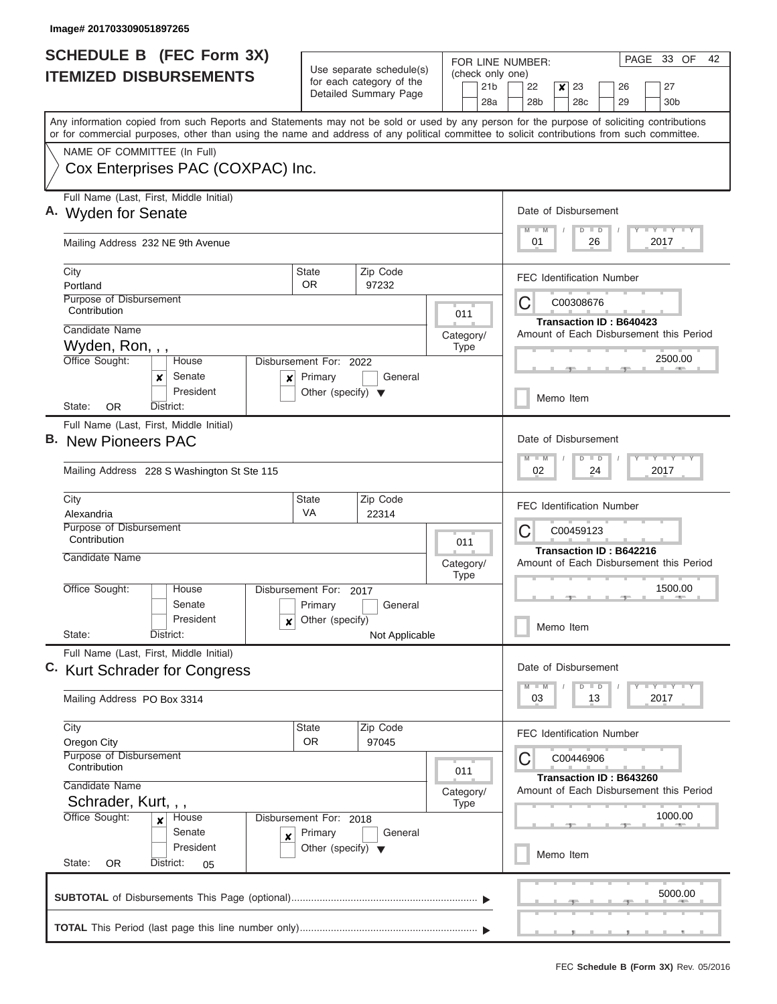| SCHEDULE B (FEC Form 3X)<br><b>ITEMIZED DISBURSEMENTS</b>                                                                                                                                                                                                                               | Use separate schedule(s)                                                                  | FOR LINE NUMBER:<br>(check only one)                                                      | PAGE 33 OF<br>42                                                                                        |  |  |  |  |  |
|-----------------------------------------------------------------------------------------------------------------------------------------------------------------------------------------------------------------------------------------------------------------------------------------|-------------------------------------------------------------------------------------------|-------------------------------------------------------------------------------------------|---------------------------------------------------------------------------------------------------------|--|--|--|--|--|
|                                                                                                                                                                                                                                                                                         | for each category of the<br>Detailed Summary Page                                         | 21 <sub>b</sub><br>28a                                                                    | 22<br>$\boldsymbol{x}$<br>23<br>27<br>26<br>28b<br>28c<br>29<br>30 <sub>b</sub>                         |  |  |  |  |  |
| Any information copied from such Reports and Statements may not be sold or used by any person for the purpose of soliciting contributions<br>or for commercial purposes, other than using the name and address of any political committee to solicit contributions from such committee. |                                                                                           |                                                                                           |                                                                                                         |  |  |  |  |  |
| NAME OF COMMITTEE (In Full)<br>Cox Enterprises PAC (COXPAC) Inc.                                                                                                                                                                                                                        |                                                                                           |                                                                                           |                                                                                                         |  |  |  |  |  |
| Full Name (Last, First, Middle Initial)<br>A. Wyden for Senate                                                                                                                                                                                                                          |                                                                                           |                                                                                           | Date of Disbursement<br>$T$ $Y$ $T$ $Y$ $T$ $Y$<br>$M$ $M$<br>$D$ $D$                                   |  |  |  |  |  |
| Mailing Address 232 NE 9th Avenue                                                                                                                                                                                                                                                       |                                                                                           |                                                                                           | 01<br>26<br>2017                                                                                        |  |  |  |  |  |
| City<br>Portland<br>Purpose of Disbursement                                                                                                                                                                                                                                             | Zip Code<br><b>State</b><br>0R<br>97232                                                   |                                                                                           | <b>FEC Identification Number</b>                                                                        |  |  |  |  |  |
| Contribution<br>Candidate Name                                                                                                                                                                                                                                                          |                                                                                           | 011<br>Category/                                                                          | С<br>C00308676<br><b>Transaction ID: B640423</b><br>Amount of Each Disbursement this Period             |  |  |  |  |  |
| Wyden, Ron, , ,<br>Office Sought:<br>House<br>Disbursement For: 2022<br>Senate<br>$x$ Primary<br>x                                                                                                                                                                                      | <b>Type</b>                                                                               | 2500.00                                                                                   |                                                                                                         |  |  |  |  |  |
| President<br>District:<br>State:<br><b>OR</b>                                                                                                                                                                                                                                           | Other (specify) $\blacktriangledown$                                                      |                                                                                           | Memo Item                                                                                               |  |  |  |  |  |
| Full Name (Last, First, Middle Initial)<br>В.<br><b>New Pioneers PAC</b><br>Mailing Address 228 S Washington St Ste 115                                                                                                                                                                 |                                                                                           | Date of Disbursement<br>$T - Y$ $T - Y$ $T - Y$<br>$M - M$<br>$D$ $D$<br>02<br>24<br>2017 |                                                                                                         |  |  |  |  |  |
| City<br>Alexandria                                                                                                                                                                                                                                                                      | Zip Code<br><b>State</b><br><b>VA</b><br>22314                                            |                                                                                           | <b>FEC Identification Number</b>                                                                        |  |  |  |  |  |
| <b>Purpose of Disbursement</b><br>Contribution                                                                                                                                                                                                                                          |                                                                                           | 011                                                                                       | C<br>C00459123<br>Transaction ID: B642216                                                               |  |  |  |  |  |
| Candidate Name                                                                                                                                                                                                                                                                          |                                                                                           | Category/<br><b>Type</b>                                                                  | Amount of Each Disbursement this Period                                                                 |  |  |  |  |  |
| Office Sought:<br>House<br>Senate<br>President<br>State:<br>District:                                                                                                                                                                                                                   | Disbursement For:<br>2017<br>Primary<br>General<br>Other (specify)<br>x<br>Not Applicable |                                                                                           | 1500.00<br>一<br>Memo Item                                                                               |  |  |  |  |  |
| Full Name (Last, First, Middle Initial)<br>C. Kurt Schrader for Congress                                                                                                                                                                                                                |                                                                                           |                                                                                           | Date of Disbursement<br>$\Box$ $\Upsilon$ $\Box$ $\Upsilon$ $\Upsilon$ $\Upsilon$<br>$D$ $D$<br>$M$ $M$ |  |  |  |  |  |
| Mailing Address PO Box 3314                                                                                                                                                                                                                                                             |                                                                                           |                                                                                           | 03<br>13<br>2017                                                                                        |  |  |  |  |  |
| City<br>Oregon City                                                                                                                                                                                                                                                                     | Zip Code<br><b>State</b><br><b>OR</b><br>97045                                            |                                                                                           | <b>FEC Identification Number</b>                                                                        |  |  |  |  |  |
| Purpose of Disbursement<br>Contribution<br>Candidate Name                                                                                                                                                                                                                               |                                                                                           | 011                                                                                       | С<br>C00446906<br>Transaction ID: B643260<br>Amount of Each Disbursement this Period                    |  |  |  |  |  |
| Schrader, Kurt, , ,<br>Office Sought:<br>House<br>x<br>Senate                                                                                                                                                                                                                           | Disbursement For: 2018<br>Primary<br>General<br>X                                         | Category/<br><b>Type</b>                                                                  | 1000.00                                                                                                 |  |  |  |  |  |
| President<br>State:<br><b>OR</b><br>District:<br>05                                                                                                                                                                                                                                     | Other (specify) $\blacktriangledown$                                                      |                                                                                           | Memo Item                                                                                               |  |  |  |  |  |
|                                                                                                                                                                                                                                                                                         |                                                                                           |                                                                                           | 5000.00                                                                                                 |  |  |  |  |  |
|                                                                                                                                                                                                                                                                                         |                                                                                           |                                                                                           |                                                                                                         |  |  |  |  |  |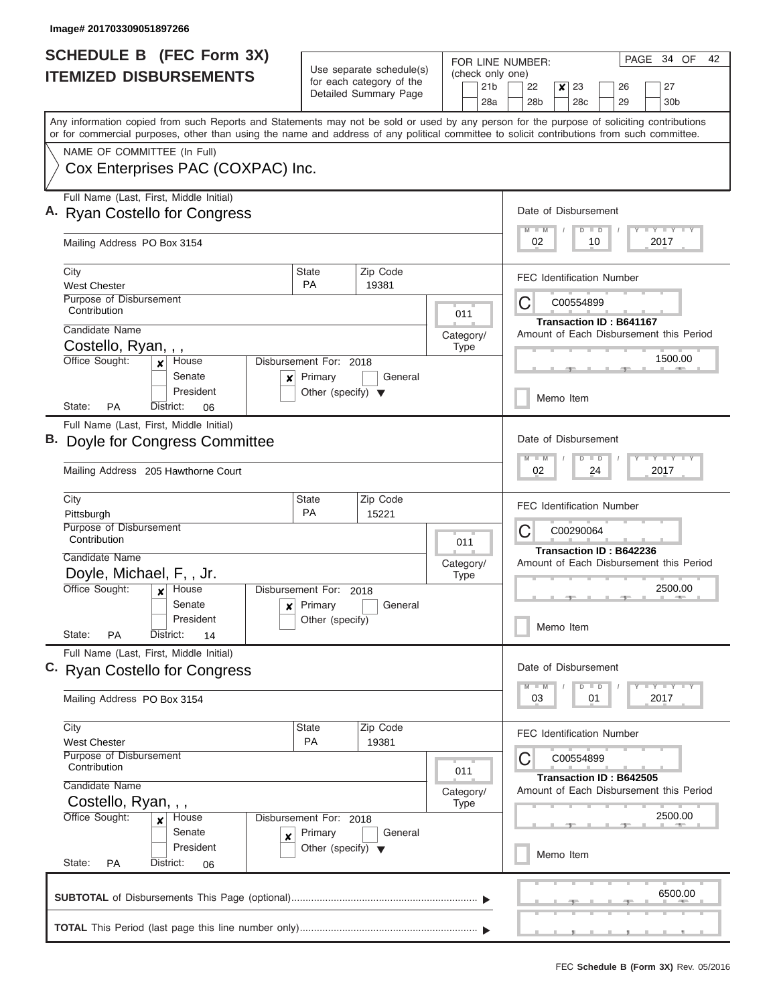| <b>SCHEDULE B (FEC Form 3X)</b>                                                                                                                                                                                                                                                         |                                        | Use separate schedule(s)                          | FOR LINE NUMBER:                           | PAGE 34 OF<br>42                                                                            |  |  |  |  |  |
|-----------------------------------------------------------------------------------------------------------------------------------------------------------------------------------------------------------------------------------------------------------------------------------------|----------------------------------------|---------------------------------------------------|--------------------------------------------|---------------------------------------------------------------------------------------------|--|--|--|--|--|
| <b>ITEMIZED DISBURSEMENTS</b>                                                                                                                                                                                                                                                           |                                        | for each category of the<br>Detailed Summary Page | (check only one)<br>21 <sub>b</sub><br>28a | 22<br>23<br>27<br>$\boldsymbol{x}$<br>26<br>28 <sub>b</sub><br>28c<br>29<br>30 <sub>b</sub> |  |  |  |  |  |
| Any information copied from such Reports and Statements may not be sold or used by any person for the purpose of soliciting contributions<br>or for commercial purposes, other than using the name and address of any political committee to solicit contributions from such committee. |                                        |                                                   |                                            |                                                                                             |  |  |  |  |  |
| NAME OF COMMITTEE (In Full)                                                                                                                                                                                                                                                             |                                        |                                                   |                                            |                                                                                             |  |  |  |  |  |
| Cox Enterprises PAC (COXPAC) Inc.                                                                                                                                                                                                                                                       |                                        |                                                   |                                            |                                                                                             |  |  |  |  |  |
| Full Name (Last, First, Middle Initial)<br>A. Ryan Costello for Congress                                                                                                                                                                                                                |                                        |                                                   |                                            | Date of Disbursement<br>Y L Y L Y L Y<br>$M$ $M$<br>$D$ $D$                                 |  |  |  |  |  |
| Mailing Address PO Box 3154                                                                                                                                                                                                                                                             | 02<br>10<br>2017                       |                                                   |                                            |                                                                                             |  |  |  |  |  |
| City<br><b>West Chester</b>                                                                                                                                                                                                                                                             | <b>State</b><br><b>PA</b>              | Zip Code<br>19381                                 |                                            | <b>FEC Identification Number</b>                                                            |  |  |  |  |  |
| Purpose of Disbursement<br>Contribution                                                                                                                                                                                                                                                 |                                        |                                                   | 011                                        | C<br>C00554899                                                                              |  |  |  |  |  |
| Candidate Name                                                                                                                                                                                                                                                                          |                                        |                                                   | Category/                                  | Transaction ID: B641167<br>Amount of Each Disbursement this Period                          |  |  |  |  |  |
| Costello, Ryan, , ,                                                                                                                                                                                                                                                                     |                                        |                                                   | <b>Type</b>                                |                                                                                             |  |  |  |  |  |
| Office Sought:<br>House<br>x<br>Senate                                                                                                                                                                                                                                                  | Disbursement For: 2018<br>Primary<br>× | General                                           |                                            | 1500.00                                                                                     |  |  |  |  |  |
| President<br>State:<br><b>PA</b><br>District:<br>06                                                                                                                                                                                                                                     | Other (specify) $\blacktriangledown$   |                                                   |                                            | Memo Item                                                                                   |  |  |  |  |  |
| Full Name (Last, First, Middle Initial)                                                                                                                                                                                                                                                 |                                        |                                                   |                                            | Date of Disbursement                                                                        |  |  |  |  |  |
| B. Doyle for Congress Committee                                                                                                                                                                                                                                                         |                                        |                                                   |                                            |                                                                                             |  |  |  |  |  |
| Mailing Address 205 Hawthorne Court                                                                                                                                                                                                                                                     |                                        |                                                   |                                            | Y FY FY FY<br>$M - M$<br>$D$ $D$<br>02<br>24<br>2017                                        |  |  |  |  |  |
| City<br>Pittsburgh                                                                                                                                                                                                                                                                      | <b>State</b><br><b>PA</b>              | Zip Code<br>15221                                 |                                            | <b>FEC Identification Number</b>                                                            |  |  |  |  |  |
| Purpose of Disbursement<br>Contribution                                                                                                                                                                                                                                                 | 011                                    | C<br>C00290064                                    |                                            |                                                                                             |  |  |  |  |  |
| Candidate Name                                                                                                                                                                                                                                                                          |                                        |                                                   | Category/                                  | Transaction ID: B642236<br>Amount of Each Disbursement this Period                          |  |  |  |  |  |
| Doyle, Michael, F,, Jr.                                                                                                                                                                                                                                                                 |                                        |                                                   | <b>Type</b>                                |                                                                                             |  |  |  |  |  |
| Office Sought:<br>House<br>$\mathbf{x}$<br>Senate                                                                                                                                                                                                                                       | Disbursement For: 2018<br>Primary<br>× | General                                           |                                            | 2500.00                                                                                     |  |  |  |  |  |
| President<br>State:<br>PA<br>District:<br>14                                                                                                                                                                                                                                            | Other (specify)                        |                                                   |                                            | Memo Item                                                                                   |  |  |  |  |  |
| Full Name (Last, First, Middle Initial)                                                                                                                                                                                                                                                 |                                        |                                                   |                                            |                                                                                             |  |  |  |  |  |
| C. Ryan Costello for Congress                                                                                                                                                                                                                                                           |                                        |                                                   |                                            | Date of Disbursement<br>$Y$ $Y$ $Y$ $Y$ $Y$<br>$D$ $D$<br>$M - M$                           |  |  |  |  |  |
| Mailing Address PO Box 3154                                                                                                                                                                                                                                                             |                                        |                                                   |                                            | 03<br>2017<br>01                                                                            |  |  |  |  |  |
| City<br><b>West Chester</b>                                                                                                                                                                                                                                                             | State<br><b>PA</b>                     | Zip Code<br>19381                                 |                                            | <b>FEC Identification Number</b>                                                            |  |  |  |  |  |
| Purpose of Disbursement<br>Contribution                                                                                                                                                                                                                                                 |                                        |                                                   | 011                                        | C00554899<br>C                                                                              |  |  |  |  |  |
| Candidate Name                                                                                                                                                                                                                                                                          |                                        |                                                   | Category/                                  | Transaction ID: B642505<br>Amount of Each Disbursement this Period                          |  |  |  |  |  |
| Costello, Ryan, , ,<br>Office Sought:                                                                                                                                                                                                                                                   |                                        |                                                   | <b>Type</b>                                | 2500.00                                                                                     |  |  |  |  |  |
| House<br>x<br>Senate<br>X                                                                                                                                                                                                                                                               | Disbursement For: 2018<br>Primary      | General                                           |                                            |                                                                                             |  |  |  |  |  |
| President<br>State:<br>PA<br>District:<br>06                                                                                                                                                                                                                                            | Other (specify) $\blacktriangledown$   |                                                   |                                            | Memo Item                                                                                   |  |  |  |  |  |
|                                                                                                                                                                                                                                                                                         |                                        |                                                   |                                            | 6500.00                                                                                     |  |  |  |  |  |
|                                                                                                                                                                                                                                                                                         |                                        |                                                   |                                            |                                                                                             |  |  |  |  |  |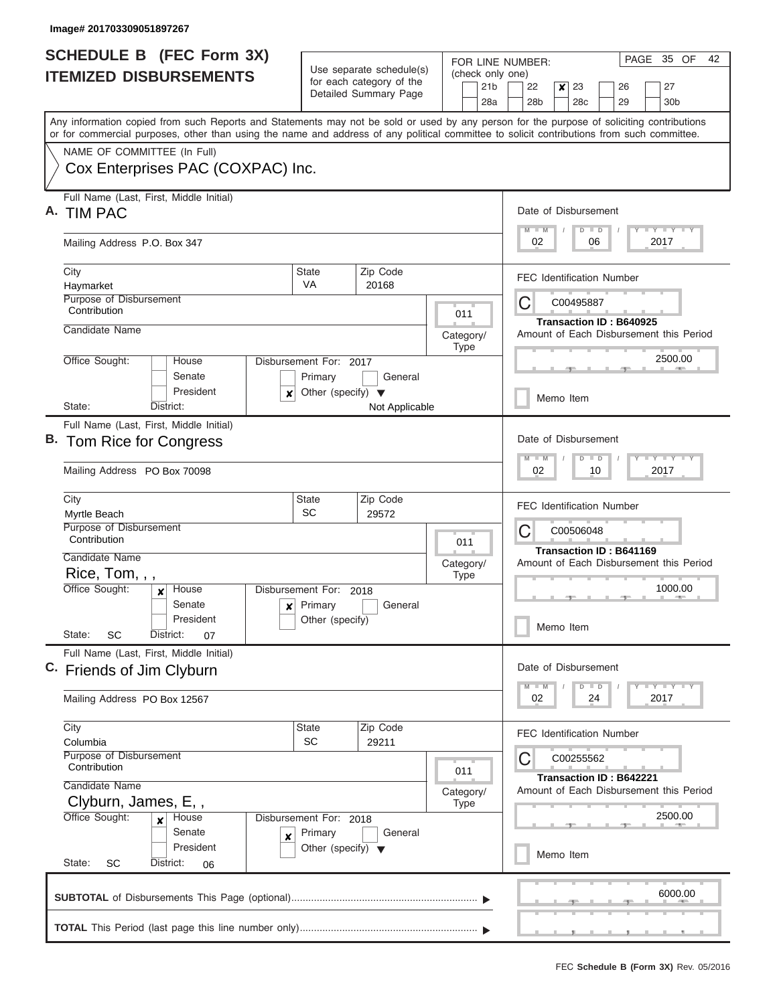| <b>SCHEDULE B (FEC Form 3X)</b>                                                                                                                                                                                                                                                         |                                                 | Use separate schedule(s)                                                     | FOR LINE NUMBER:                           | PAGE 35 OF<br>42                                                                         |  |  |  |  |  |
|-----------------------------------------------------------------------------------------------------------------------------------------------------------------------------------------------------------------------------------------------------------------------------------------|-------------------------------------------------|------------------------------------------------------------------------------|--------------------------------------------|------------------------------------------------------------------------------------------|--|--|--|--|--|
| <b>ITEMIZED DISBURSEMENTS</b>                                                                                                                                                                                                                                                           |                                                 | for each category of the<br>Detailed Summary Page                            | (check only one)<br>21 <sub>b</sub><br>28a | 22<br>23<br>26<br>27<br>×<br>28 <sub>b</sub><br>28 <sub>c</sub><br>29<br>30 <sub>b</sub> |  |  |  |  |  |
| Any information copied from such Reports and Statements may not be sold or used by any person for the purpose of soliciting contributions<br>or for commercial purposes, other than using the name and address of any political committee to solicit contributions from such committee. |                                                 |                                                                              |                                            |                                                                                          |  |  |  |  |  |
| NAME OF COMMITTEE (In Full)                                                                                                                                                                                                                                                             |                                                 |                                                                              |                                            |                                                                                          |  |  |  |  |  |
| Cox Enterprises PAC (COXPAC) Inc.                                                                                                                                                                                                                                                       |                                                 |                                                                              |                                            |                                                                                          |  |  |  |  |  |
| Full Name (Last, First, Middle Initial)<br>А.<br><b>TIM PAC</b>                                                                                                                                                                                                                         |                                                 |                                                                              |                                            |                                                                                          |  |  |  |  |  |
| Mailing Address P.O. Box 347                                                                                                                                                                                                                                                            |                                                 |                                                                              |                                            | Y I Y I Y I Y<br>$M$ $M$<br>$D$ $D$<br>02<br>06<br>2017                                  |  |  |  |  |  |
| City<br>Haymarket                                                                                                                                                                                                                                                                       | State<br>VA                                     | Zip Code<br>20168                                                            |                                            | <b>FEC Identification Number</b>                                                         |  |  |  |  |  |
| Purpose of Disbursement<br>Contribution                                                                                                                                                                                                                                                 |                                                 |                                                                              | 011                                        | C<br>C00495887                                                                           |  |  |  |  |  |
| Candidate Name                                                                                                                                                                                                                                                                          |                                                 |                                                                              | Category/<br><b>Type</b>                   | <b>Transaction ID: B640925</b><br>Amount of Each Disbursement this Period                |  |  |  |  |  |
| Office Sought:<br>House<br>Senate                                                                                                                                                                                                                                                       | Disbursement For: 2017<br>Primary               | General                                                                      |                                            | 2500.00                                                                                  |  |  |  |  |  |
| President<br>x<br>State:<br>District:                                                                                                                                                                                                                                                   | Other (specify) $\blacktriangledown$            | Not Applicable                                                               |                                            | Memo Item                                                                                |  |  |  |  |  |
| Full Name (Last, First, Middle Initial)<br>B. Tom Rice for Congress<br>Mailing Address PO Box 70098                                                                                                                                                                                     |                                                 | Date of Disbursement<br>Y FY FY FY<br>$M - M$<br>$D$ $D$<br>02<br>10<br>2017 |                                            |                                                                                          |  |  |  |  |  |
| City<br>Myrtle Beach                                                                                                                                                                                                                                                                    | <b>State</b><br><b>SC</b>                       | Zip Code<br>29572                                                            |                                            | <b>FEC Identification Number</b>                                                         |  |  |  |  |  |
| Purpose of Disbursement<br>Contribution                                                                                                                                                                                                                                                 |                                                 |                                                                              | 011                                        | C<br>C00506048<br><b>Transaction ID: B641169</b>                                         |  |  |  |  |  |
| Candidate Name<br>Rice, Tom, , ,                                                                                                                                                                                                                                                        |                                                 |                                                                              | Category/<br><b>Type</b>                   | Amount of Each Disbursement this Period                                                  |  |  |  |  |  |
| Office Sought:<br>House<br>$\mathbf x$<br>Senate<br>$\boldsymbol{x}$                                                                                                                                                                                                                    | Disbursement For: 2018<br>Primary               | General                                                                      |                                            | 1000.00                                                                                  |  |  |  |  |  |
| President<br>State:<br>SC<br>District:<br>07                                                                                                                                                                                                                                            | Other (specify)                                 |                                                                              |                                            | Memo Item                                                                                |  |  |  |  |  |
| Full Name (Last, First, Middle Initial)<br>C. Friends of Jim Clyburn                                                                                                                                                                                                                    |                                                 |                                                                              |                                            | Date of Disbursement                                                                     |  |  |  |  |  |
| Mailing Address PO Box 12567                                                                                                                                                                                                                                                            |                                                 |                                                                              |                                            | $Y - Y - Y - Y - Y$<br>$M - M$<br>$D$ $D$<br>02<br>2017<br>24                            |  |  |  |  |  |
| City<br>Columbia                                                                                                                                                                                                                                                                        | State<br>SC                                     | Zip Code<br>29211                                                            |                                            | <b>FEC Identification Number</b>                                                         |  |  |  |  |  |
| Purpose of Disbursement<br>Contribution                                                                                                                                                                                                                                                 |                                                 |                                                                              | 011                                        | C00255562<br>C<br>Transaction ID: B642221                                                |  |  |  |  |  |
| Candidate Name<br>Clyburn, James, E,,<br>Office Sought:<br>House                                                                                                                                                                                                                        | Disbursement For: 2018                          |                                                                              |                                            | Amount of Each Disbursement this Period<br>2500.00                                       |  |  |  |  |  |
| $\boldsymbol{x}$<br>Senate<br>X<br>President<br>State:<br>SC<br>District:<br>06                                                                                                                                                                                                         | Primary<br>Other (specify) $\blacktriangledown$ | General                                                                      |                                            | Memo Item                                                                                |  |  |  |  |  |
|                                                                                                                                                                                                                                                                                         |                                                 |                                                                              |                                            | 6000.00                                                                                  |  |  |  |  |  |
|                                                                                                                                                                                                                                                                                         |                                                 |                                                                              |                                            |                                                                                          |  |  |  |  |  |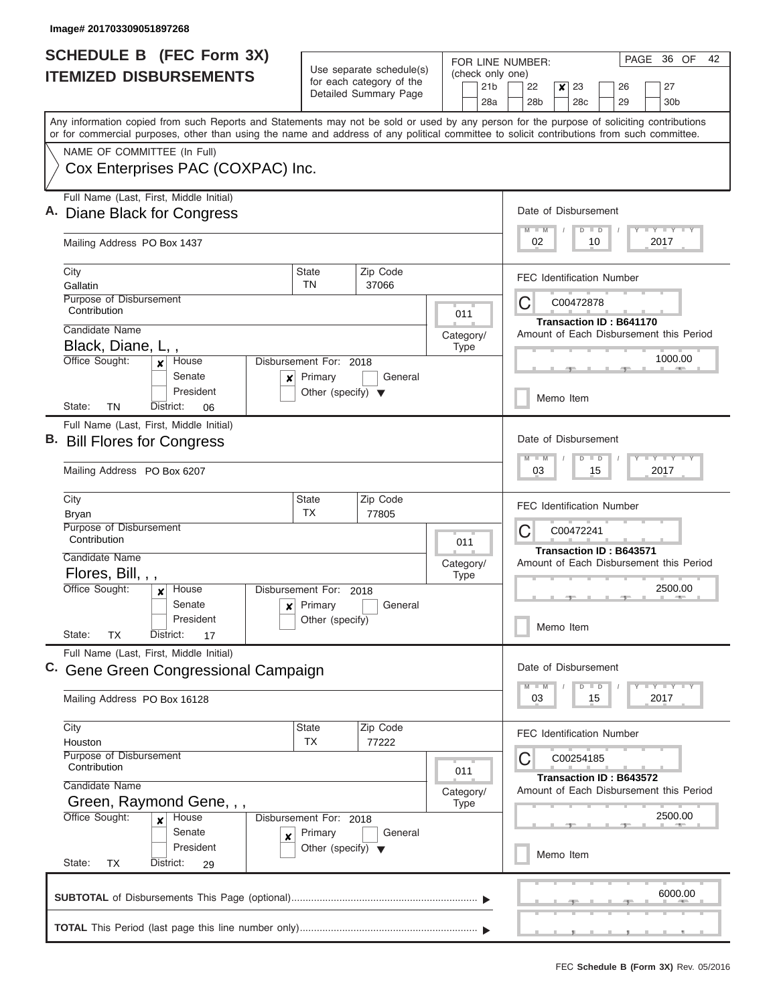|    | <b>SCHEDULE B (FEC Form 3X)</b>                                                                                                                                                                                                                                                         |                                                 |                                                                               |                                     | PAGE 36 OF<br>42<br>FOR LINE NUMBER:                              |  |  |  |  |  |  |
|----|-----------------------------------------------------------------------------------------------------------------------------------------------------------------------------------------------------------------------------------------------------------------------------------------|-------------------------------------------------|-------------------------------------------------------------------------------|-------------------------------------|-------------------------------------------------------------------|--|--|--|--|--|--|
|    | <b>ITEMIZED DISBURSEMENTS</b>                                                                                                                                                                                                                                                           |                                                 | Use separate schedule(s)<br>for each category of the<br>Detailed Summary Page | (check only one)<br>21 <sub>b</sub> | 22<br>23<br>27<br>$\boldsymbol{x}$<br>26                          |  |  |  |  |  |  |
|    |                                                                                                                                                                                                                                                                                         |                                                 |                                                                               | 28a                                 | 28 <sub>b</sub><br>28 <sub>c</sub><br>29<br>30 <sub>b</sub>       |  |  |  |  |  |  |
|    | Any information copied from such Reports and Statements may not be sold or used by any person for the purpose of soliciting contributions<br>or for commercial purposes, other than using the name and address of any political committee to solicit contributions from such committee. |                                                 |                                                                               |                                     |                                                                   |  |  |  |  |  |  |
|    | NAME OF COMMITTEE (In Full)                                                                                                                                                                                                                                                             |                                                 |                                                                               |                                     |                                                                   |  |  |  |  |  |  |
|    | Cox Enterprises PAC (COXPAC) Inc.                                                                                                                                                                                                                                                       |                                                 |                                                                               |                                     |                                                                   |  |  |  |  |  |  |
|    | Full Name (Last, First, Middle Initial)                                                                                                                                                                                                                                                 |                                                 |                                                                               |                                     | Date of Disbursement                                              |  |  |  |  |  |  |
|    | Diane Black for Congress                                                                                                                                                                                                                                                                |                                                 |                                                                               |                                     | $M$ $M$<br>$T$ $Y$ $T$ $Y$ $T$ $Y$<br>$D$ $D$<br>02<br>10<br>2017 |  |  |  |  |  |  |
|    | Mailing Address PO Box 1437                                                                                                                                                                                                                                                             |                                                 |                                                                               |                                     |                                                                   |  |  |  |  |  |  |
|    | City<br>Gallatin                                                                                                                                                                                                                                                                        | <b>State</b><br><b>TN</b>                       | Zip Code<br>37066                                                             |                                     | <b>FEC Identification Number</b>                                  |  |  |  |  |  |  |
|    | Purpose of Disbursement<br>Contribution                                                                                                                                                                                                                                                 |                                                 |                                                                               |                                     | C<br>C00472878                                                    |  |  |  |  |  |  |
|    | Candidate Name                                                                                                                                                                                                                                                                          |                                                 |                                                                               | 011                                 | <b>Transaction ID: B641170</b>                                    |  |  |  |  |  |  |
|    | Black, Diane, L,,                                                                                                                                                                                                                                                                       |                                                 |                                                                               | Category/<br><b>Type</b>            | Amount of Each Disbursement this Period                           |  |  |  |  |  |  |
|    | Office Sought:<br>House<br>x<br>Senate                                                                                                                                                                                                                                                  | Disbursement For: 2018<br>Primary               | General                                                                       |                                     | 1000.00                                                           |  |  |  |  |  |  |
|    | ×<br>President                                                                                                                                                                                                                                                                          | Other (specify) $\blacktriangledown$            |                                                                               |                                     | Memo Item                                                         |  |  |  |  |  |  |
|    | TN<br>District:<br>State:<br>06                                                                                                                                                                                                                                                         |                                                 |                                                                               |                                     |                                                                   |  |  |  |  |  |  |
| В. | Full Name (Last, First, Middle Initial)<br><b>Bill Flores for Congress</b>                                                                                                                                                                                                              |                                                 |                                                                               |                                     | Date of Disbursement                                              |  |  |  |  |  |  |
|    | Mailing Address PO Box 6207                                                                                                                                                                                                                                                             |                                                 |                                                                               |                                     | $+Y+Y+Y$<br>$M - M$<br>$D$ $D$<br>03<br>15<br>2017                |  |  |  |  |  |  |
|    | City                                                                                                                                                                                                                                                                                    | <b>State</b><br><b>TX</b>                       | Zip Code<br>77805                                                             |                                     | <b>FEC Identification Number</b>                                  |  |  |  |  |  |  |
|    | Bryan<br>Purpose of Disbursement                                                                                                                                                                                                                                                        |                                                 | С<br>C00472241                                                                |                                     |                                                                   |  |  |  |  |  |  |
|    | Contribution                                                                                                                                                                                                                                                                            |                                                 |                                                                               | 011                                 | <b>Transaction ID: B643571</b>                                    |  |  |  |  |  |  |
|    | Candidate Name                                                                                                                                                                                                                                                                          |                                                 |                                                                               | Category/                           | Amount of Each Disbursement this Period                           |  |  |  |  |  |  |
|    | Flores, Bill, , ,<br>Office Sought:<br>House                                                                                                                                                                                                                                            | Disbursement For:                               |                                                                               | <b>Type</b>                         | 2500.00                                                           |  |  |  |  |  |  |
|    | ×<br>Senate<br>x                                                                                                                                                                                                                                                                        | Primary                                         | 2018<br>General                                                               |                                     |                                                                   |  |  |  |  |  |  |
|    | President                                                                                                                                                                                                                                                                               | Other (specify)                                 |                                                                               |                                     | Memo Item                                                         |  |  |  |  |  |  |
|    | State:<br>TX<br>District:<br>17                                                                                                                                                                                                                                                         |                                                 |                                                                               |                                     |                                                                   |  |  |  |  |  |  |
|    | Full Name (Last, First, Middle Initial)<br>C. Gene Green Congressional Campaign                                                                                                                                                                                                         |                                                 |                                                                               |                                     | Date of Disbursement                                              |  |  |  |  |  |  |
|    |                                                                                                                                                                                                                                                                                         |                                                 |                                                                               |                                     | $T - Y$ $T - Y$<br>$D$ $D$<br>$M - M$                             |  |  |  |  |  |  |
|    | Mailing Address PO Box 16128                                                                                                                                                                                                                                                            |                                                 |                                                                               |                                     | 03<br>15<br>2017                                                  |  |  |  |  |  |  |
|    | City<br>Houston                                                                                                                                                                                                                                                                         | <b>State</b><br><b>TX</b>                       | Zip Code<br>77222                                                             |                                     | <b>FEC Identification Number</b>                                  |  |  |  |  |  |  |
|    | Purpose of Disbursement                                                                                                                                                                                                                                                                 |                                                 |                                                                               |                                     | С<br>C00254185                                                    |  |  |  |  |  |  |
|    | Contribution                                                                                                                                                                                                                                                                            |                                                 |                                                                               | 011                                 | Transaction ID: B643572                                           |  |  |  |  |  |  |
|    | Candidate Name<br>Green, Raymond Gene, , ,                                                                                                                                                                                                                                              |                                                 |                                                                               | Category/<br><b>Type</b>            | Amount of Each Disbursement this Period                           |  |  |  |  |  |  |
|    | Office Sought:<br>House<br>x                                                                                                                                                                                                                                                            | Disbursement For: 2018                          |                                                                               |                                     | 2500.00                                                           |  |  |  |  |  |  |
|    | Senate<br>×                                                                                                                                                                                                                                                                             | Primary<br>Other (specify) $\blacktriangledown$ | General                                                                       |                                     |                                                                   |  |  |  |  |  |  |
|    | President<br>State:<br>District:<br>TX<br>29                                                                                                                                                                                                                                            |                                                 | Memo Item                                                                     |                                     |                                                                   |  |  |  |  |  |  |
|    |                                                                                                                                                                                                                                                                                         |                                                 |                                                                               |                                     | 6000.00                                                           |  |  |  |  |  |  |
|    |                                                                                                                                                                                                                                                                                         |                                                 |                                                                               |                                     |                                                                   |  |  |  |  |  |  |
|    |                                                                                                                                                                                                                                                                                         |                                                 |                                                                               |                                     |                                                                   |  |  |  |  |  |  |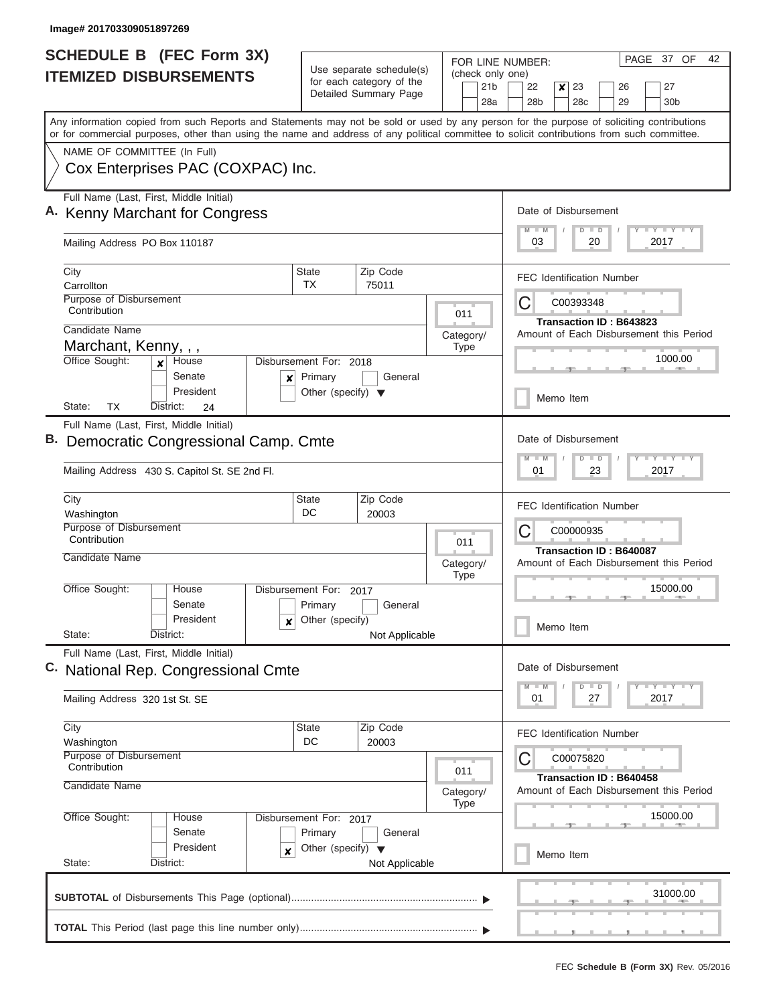| <b>SCHEDULE B (FEC Form 3X)</b>                                                                                                                                                                                                                                                         |                                        |                                                                               | FOR LINE NUMBER:                                                   | PAGE 37 OF<br>42                                                                            |  |  |  |  |  |  |
|-----------------------------------------------------------------------------------------------------------------------------------------------------------------------------------------------------------------------------------------------------------------------------------------|----------------------------------------|-------------------------------------------------------------------------------|--------------------------------------------------------------------|---------------------------------------------------------------------------------------------|--|--|--|--|--|--|
| <b>ITEMIZED DISBURSEMENTS</b>                                                                                                                                                                                                                                                           |                                        | Use separate schedule(s)<br>for each category of the<br>Detailed Summary Page | (check only one)<br>21 <sub>b</sub><br>28a                         | 22<br>23<br>26<br>27<br>×<br>28 <sub>b</sub><br>28c<br>29<br>30 <sub>b</sub>                |  |  |  |  |  |  |
| Any information copied from such Reports and Statements may not be sold or used by any person for the purpose of soliciting contributions<br>or for commercial purposes, other than using the name and address of any political committee to solicit contributions from such committee. |                                        |                                                                               |                                                                    |                                                                                             |  |  |  |  |  |  |
| NAME OF COMMITTEE (In Full)                                                                                                                                                                                                                                                             |                                        |                                                                               |                                                                    |                                                                                             |  |  |  |  |  |  |
| Cox Enterprises PAC (COXPAC) Inc.                                                                                                                                                                                                                                                       |                                        |                                                                               |                                                                    |                                                                                             |  |  |  |  |  |  |
| Full Name (Last, First, Middle Initial)<br>A. Kenny Marchant for Congress                                                                                                                                                                                                               |                                        |                                                                               |                                                                    | Date of Disbursement                                                                        |  |  |  |  |  |  |
| Mailing Address PO Box 110187                                                                                                                                                                                                                                                           |                                        |                                                                               |                                                                    | Y I Y I Y I Y<br>$M$ $M$<br>$D$ $D$<br>03<br>20<br>2017                                     |  |  |  |  |  |  |
| City<br>Carrollton                                                                                                                                                                                                                                                                      | State<br>TX                            | Zip Code<br>75011                                                             |                                                                    | <b>FEC Identification Number</b>                                                            |  |  |  |  |  |  |
| Purpose of Disbursement<br>Contribution                                                                                                                                                                                                                                                 |                                        |                                                                               | 011                                                                | C<br>C00393348                                                                              |  |  |  |  |  |  |
| Candidate Name                                                                                                                                                                                                                                                                          |                                        |                                                                               | Category/                                                          | Transaction ID: B643823<br>Amount of Each Disbursement this Period                          |  |  |  |  |  |  |
| Marchant, Kenny, , ,                                                                                                                                                                                                                                                                    |                                        |                                                                               | <b>Type</b>                                                        |                                                                                             |  |  |  |  |  |  |
| Office Sought:<br>House<br>$\mathbf{x}$<br>Senate<br>×                                                                                                                                                                                                                                  | Disbursement For: 2018<br>Primary      | General                                                                       |                                                                    | 1000.00                                                                                     |  |  |  |  |  |  |
| President<br>TX<br>State:<br>District:<br>24                                                                                                                                                                                                                                            | Other (specify) $\blacktriangledown$   |                                                                               |                                                                    | Memo Item                                                                                   |  |  |  |  |  |  |
| Full Name (Last, First, Middle Initial)<br>B. Democratic Congressional Camp. Cmte<br>Mailing Address 430 S. Capitol St. SE 2nd Fl.                                                                                                                                                      |                                        | Date of Disbursement<br>Y FY FY FY<br>$M - M$<br>$D$ $D$<br>01<br>23<br>2017  |                                                                    |                                                                                             |  |  |  |  |  |  |
| City<br>Washington                                                                                                                                                                                                                                                                      | <b>State</b><br>DC                     | Zip Code<br>20003                                                             |                                                                    | <b>FEC Identification Number</b>                                                            |  |  |  |  |  |  |
| Purpose of Disbursement<br>Contribution<br>Candidate Name                                                                                                                                                                                                                               |                                        |                                                                               | 011                                                                | С<br>C00000935<br><b>Transaction ID: B640087</b><br>Amount of Each Disbursement this Period |  |  |  |  |  |  |
|                                                                                                                                                                                                                                                                                         |                                        |                                                                               | Category/<br><b>Type</b>                                           |                                                                                             |  |  |  |  |  |  |
| Office Sought:<br>House<br>Senate                                                                                                                                                                                                                                                       | Disbursement For: 2017<br>Primary      | General                                                                       |                                                                    | 15000.00                                                                                    |  |  |  |  |  |  |
| President<br>State:<br>District:                                                                                                                                                                                                                                                        | Other (specify)<br>×<br>Not Applicable |                                                                               |                                                                    |                                                                                             |  |  |  |  |  |  |
| Full Name (Last, First, Middle Initial)<br>C. National Rep. Congressional Cmte                                                                                                                                                                                                          |                                        | Date of Disbursement                                                          |                                                                    |                                                                                             |  |  |  |  |  |  |
| Mailing Address 320 1st St. SE                                                                                                                                                                                                                                                          |                                        | $D$ $D$<br>Y FY FY FY<br>$M$ $M$<br>01<br>2017<br>27                          |                                                                    |                                                                                             |  |  |  |  |  |  |
| City<br>Washington                                                                                                                                                                                                                                                                      | State<br>DC                            | Zip Code<br>20003                                                             |                                                                    | <b>FEC Identification Number</b>                                                            |  |  |  |  |  |  |
| Purpose of Disbursement<br>Contribution                                                                                                                                                                                                                                                 |                                        |                                                                               | 011                                                                | C00075820                                                                                   |  |  |  |  |  |  |
| Candidate Name                                                                                                                                                                                                                                                                          |                                        | Category/<br><b>Type</b>                                                      | Transaction ID: B640458<br>Amount of Each Disbursement this Period |                                                                                             |  |  |  |  |  |  |
| Office Sought:<br>House<br>Senate                                                                                                                                                                                                                                                       | Disbursement For: 2017<br>Primary      |                                                                               | 15000.00                                                           |                                                                                             |  |  |  |  |  |  |
| President<br>×<br>State:<br>District:                                                                                                                                                                                                                                                   | Other (specify) $\blacktriangledown$   | Not Applicable                                                                |                                                                    | Memo Item                                                                                   |  |  |  |  |  |  |
|                                                                                                                                                                                                                                                                                         |                                        |                                                                               |                                                                    | 31000.00                                                                                    |  |  |  |  |  |  |
|                                                                                                                                                                                                                                                                                         |                                        |                                                                               |                                                                    |                                                                                             |  |  |  |  |  |  |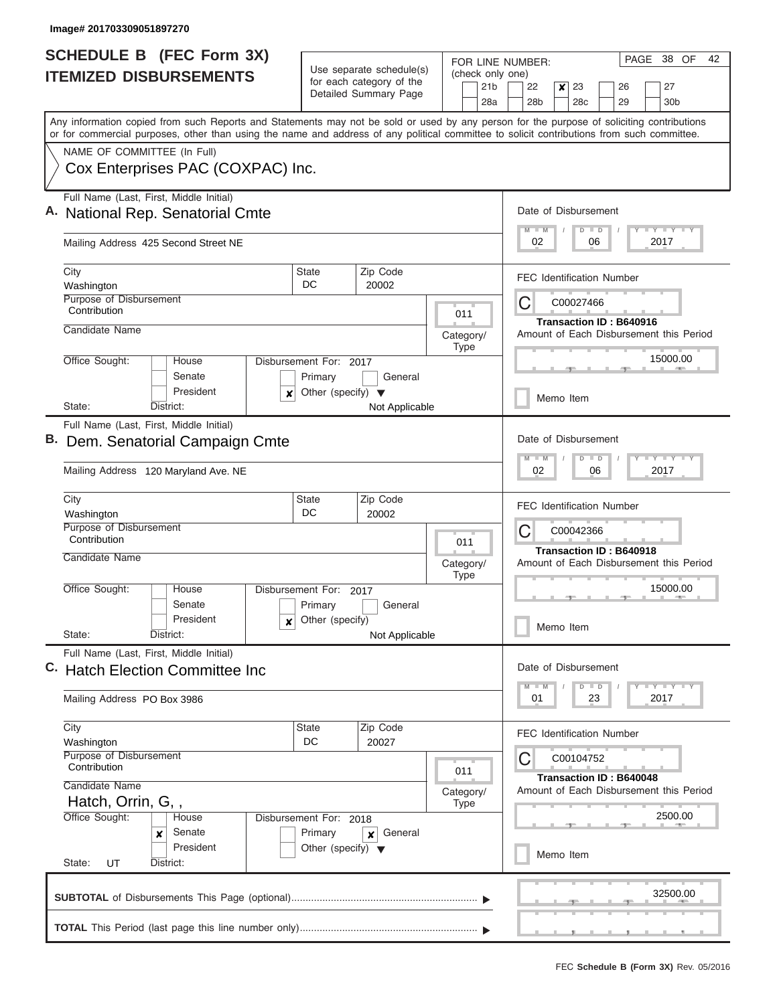| <b>SCHEDULE B (FEC Form 3X)</b>                                                                                                                                                                                                                                                         |                                                   |                                                                               | FOR LINE NUMBER:                           | PAGE 38 OF<br>42                                                                                        |  |  |  |  |  |  |  |  |
|-----------------------------------------------------------------------------------------------------------------------------------------------------------------------------------------------------------------------------------------------------------------------------------------|---------------------------------------------------|-------------------------------------------------------------------------------|--------------------------------------------|---------------------------------------------------------------------------------------------------------|--|--|--|--|--|--|--|--|
| <b>ITEMIZED DISBURSEMENTS</b>                                                                                                                                                                                                                                                           |                                                   | Use separate schedule(s)<br>for each category of the<br>Detailed Summary Page | (check only one)<br>21 <sub>b</sub><br>28a | 22<br>$\boldsymbol{x}$<br>23<br>27<br>26<br>28 <sub>b</sub><br>28 <sub>c</sub><br>29<br>30 <sub>b</sub> |  |  |  |  |  |  |  |  |
| Any information copied from such Reports and Statements may not be sold or used by any person for the purpose of soliciting contributions<br>or for commercial purposes, other than using the name and address of any political committee to solicit contributions from such committee. |                                                   |                                                                               |                                            |                                                                                                         |  |  |  |  |  |  |  |  |
| NAME OF COMMITTEE (In Full)                                                                                                                                                                                                                                                             |                                                   |                                                                               |                                            |                                                                                                         |  |  |  |  |  |  |  |  |
| Cox Enterprises PAC (COXPAC) Inc.                                                                                                                                                                                                                                                       |                                                   |                                                                               |                                            |                                                                                                         |  |  |  |  |  |  |  |  |
| Full Name (Last, First, Middle Initial)<br><b>National Rep. Senatorial Cmte</b>                                                                                                                                                                                                         |                                                   |                                                                               |                                            | Date of Disbursement<br>Y LY LY LY<br>$M$ $M$<br>$D$ $D$                                                |  |  |  |  |  |  |  |  |
| Mailing Address 425 Second Street NE                                                                                                                                                                                                                                                    |                                                   |                                                                               |                                            | 02<br>06<br>2017                                                                                        |  |  |  |  |  |  |  |  |
| City                                                                                                                                                                                                                                                                                    | State                                             | Zip Code                                                                      |                                            | <b>FEC Identification Number</b>                                                                        |  |  |  |  |  |  |  |  |
| Washington<br>Purpose of Disbursement                                                                                                                                                                                                                                                   | DC                                                | 20002                                                                         |                                            |                                                                                                         |  |  |  |  |  |  |  |  |
| Contribution                                                                                                                                                                                                                                                                            |                                                   |                                                                               | 011                                        | С<br>C00027466                                                                                          |  |  |  |  |  |  |  |  |
| Candidate Name                                                                                                                                                                                                                                                                          |                                                   |                                                                               | Category/                                  | Transaction ID: B640916<br>Amount of Each Disbursement this Period                                      |  |  |  |  |  |  |  |  |
| Office Sought:<br>House                                                                                                                                                                                                                                                                 | Disbursement For: 2017                            |                                                                               | <b>Type</b>                                | 15000.00                                                                                                |  |  |  |  |  |  |  |  |
| Senate<br>President<br>×                                                                                                                                                                                                                                                                | Primary<br>Other (specify) $\blacktriangledown$   | General                                                                       |                                            |                                                                                                         |  |  |  |  |  |  |  |  |
| State:<br>District:                                                                                                                                                                                                                                                                     |                                                   | Not Applicable                                                                |                                            | Memo Item                                                                                               |  |  |  |  |  |  |  |  |
| Full Name (Last, First, Middle Initial)<br>B. Dem. Senatorial Campaign Cmte<br>Mailing Address 120 Maryland Ave. NE                                                                                                                                                                     |                                                   | Date of Disbursement<br>Y FY FY FY<br>$M - M$<br>$D$ $D$<br>02<br>06<br>2017  |                                            |                                                                                                         |  |  |  |  |  |  |  |  |
| City<br>Washington                                                                                                                                                                                                                                                                      | State<br>DC                                       | Zip Code<br>20002                                                             |                                            | <b>FEC Identification Number</b>                                                                        |  |  |  |  |  |  |  |  |
| Purpose of Disbursement<br>Contribution                                                                                                                                                                                                                                                 |                                                   |                                                                               | 011                                        | C<br>C00042366<br><b>Transaction ID: B640918</b>                                                        |  |  |  |  |  |  |  |  |
| Candidate Name                                                                                                                                                                                                                                                                          |                                                   |                                                                               | Category/<br><b>Type</b>                   | Amount of Each Disbursement this Period                                                                 |  |  |  |  |  |  |  |  |
| Office Sought:<br>House<br>Senate                                                                                                                                                                                                                                                       | Disbursement For: 2017<br>Primary                 | General                                                                       |                                            | 15000.00                                                                                                |  |  |  |  |  |  |  |  |
| President<br>x<br>State:<br>District:                                                                                                                                                                                                                                                   | Other (specify)                                   |                                                                               | Memo Item                                  |                                                                                                         |  |  |  |  |  |  |  |  |
| Full Name (Last, First, Middle Initial)                                                                                                                                                                                                                                                 | Not Applicable<br>C. Hatch Election Committee Inc |                                                                               |                                            |                                                                                                         |  |  |  |  |  |  |  |  |
|                                                                                                                                                                                                                                                                                         |                                                   |                                                                               |                                            |                                                                                                         |  |  |  |  |  |  |  |  |
| Mailing Address PO Box 3986                                                                                                                                                                                                                                                             |                                                   |                                                                               |                                            | 01<br>23<br>2017                                                                                        |  |  |  |  |  |  |  |  |
| City<br>Washington                                                                                                                                                                                                                                                                      | State<br>DC                                       | Zip Code<br>20027                                                             |                                            | <b>FEC Identification Number</b>                                                                        |  |  |  |  |  |  |  |  |
| Purpose of Disbursement<br>Contribution                                                                                                                                                                                                                                                 | 011                                               |                                                                               |                                            |                                                                                                         |  |  |  |  |  |  |  |  |
| Candidate Name                                                                                                                                                                                                                                                                          |                                                   |                                                                               | Category/                                  | Transaction ID: B640048<br>Amount of Each Disbursement this Period<br>2500.00                           |  |  |  |  |  |  |  |  |
| Hatch, Orrin, G,,<br>Office Sought:<br>House                                                                                                                                                                                                                                            | Disbursement For: 2018                            |                                                                               | <b>Type</b>                                |                                                                                                         |  |  |  |  |  |  |  |  |
| Senate<br>x<br>President<br>State:<br>UT<br>District:                                                                                                                                                                                                                                   | Primary<br>Other (specify) $\blacktriangledown$   | General<br>$\boldsymbol{x}$                                                   |                                            | Memo Item                                                                                               |  |  |  |  |  |  |  |  |
|                                                                                                                                                                                                                                                                                         |                                                   |                                                                               |                                            |                                                                                                         |  |  |  |  |  |  |  |  |
|                                                                                                                                                                                                                                                                                         |                                                   |                                                                               |                                            | 32500.00                                                                                                |  |  |  |  |  |  |  |  |
|                                                                                                                                                                                                                                                                                         |                                                   |                                                                               |                                            |                                                                                                         |  |  |  |  |  |  |  |  |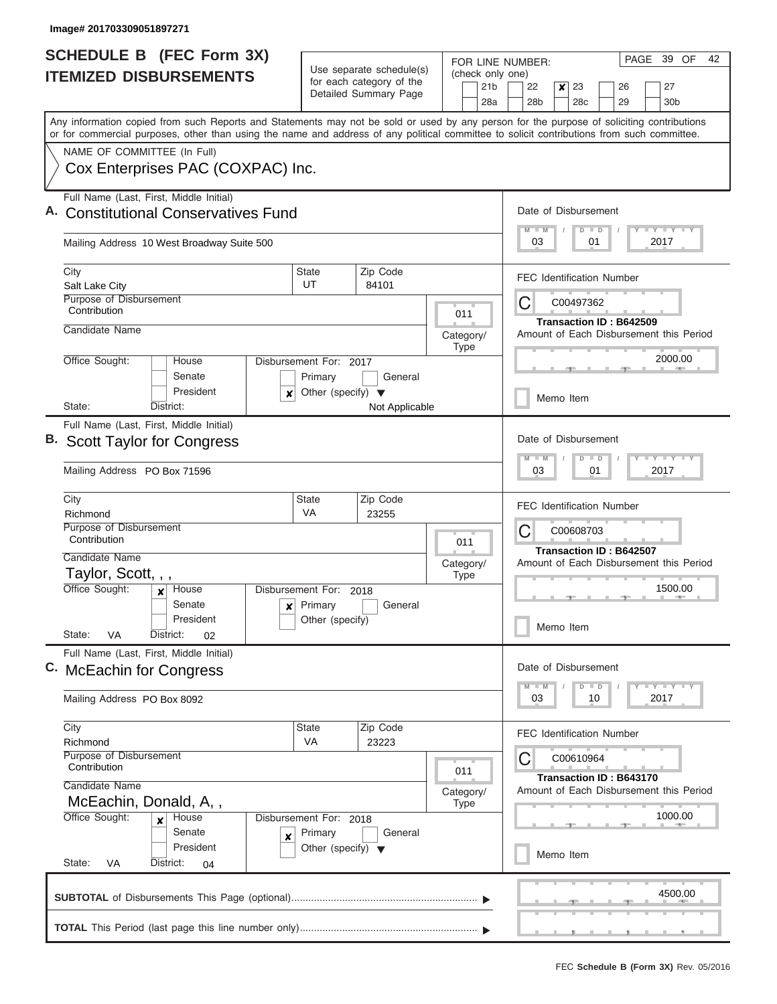| <b>SCHEDULE B</b> (FEC Form 3X)                                                                                                            |                                      |                                                      | FOR LINE NUMBER: | PAGE 39 OF<br>42                                                   |  |  |  |  |  |  |  |  |  |
|--------------------------------------------------------------------------------------------------------------------------------------------|--------------------------------------|------------------------------------------------------|------------------|--------------------------------------------------------------------|--|--|--|--|--|--|--|--|--|
| <b>ITEMIZED DISBURSEMENTS</b>                                                                                                              |                                      | Use separate schedule(s)<br>for each category of the | (check only one) |                                                                    |  |  |  |  |  |  |  |  |  |
|                                                                                                                                            |                                      | Detailed Summary Page                                | 21 <sub>b</sub>  | 22<br>$\boldsymbol{x}$<br>23<br>27<br>26                           |  |  |  |  |  |  |  |  |  |
| Any information copied from such Reports and Statements may not be sold or used by any person for the purpose of soliciting contributions  |                                      |                                                      | 28a              | 28 <sub>b</sub><br>28 <sub>c</sub><br>29<br>30 <sub>b</sub>        |  |  |  |  |  |  |  |  |  |
| or for commercial purposes, other than using the name and address of any political committee to solicit contributions from such committee. |                                      |                                                      |                  |                                                                    |  |  |  |  |  |  |  |  |  |
| NAME OF COMMITTEE (In Full)                                                                                                                |                                      |                                                      |                  |                                                                    |  |  |  |  |  |  |  |  |  |
| Cox Enterprises PAC (COXPAC) Inc.                                                                                                          |                                      |                                                      |                  |                                                                    |  |  |  |  |  |  |  |  |  |
| Full Name (Last, First, Middle Initial)                                                                                                    |                                      |                                                      |                  |                                                                    |  |  |  |  |  |  |  |  |  |
| <b>Constitutional Conservatives Fund</b>                                                                                                   |                                      |                                                      |                  | Date of Disbursement                                               |  |  |  |  |  |  |  |  |  |
| Mailing Address 10 West Broadway Suite 500                                                                                                 |                                      |                                                      |                  | <b>TAYLY TAY</b><br>$M$ $M$<br>$D$ $D$<br>2017<br>03<br>01         |  |  |  |  |  |  |  |  |  |
| City                                                                                                                                       | <b>State</b>                         | Zip Code                                             |                  | <b>FEC Identification Number</b>                                   |  |  |  |  |  |  |  |  |  |
| Salt Lake City<br>Purpose of Disbursement                                                                                                  | UT                                   | 84101                                                |                  | С<br>C00497362                                                     |  |  |  |  |  |  |  |  |  |
| Contribution                                                                                                                               |                                      |                                                      | 011              | Transaction ID: B642509                                            |  |  |  |  |  |  |  |  |  |
| Candidate Name                                                                                                                             |                                      |                                                      | Category/        | Amount of Each Disbursement this Period                            |  |  |  |  |  |  |  |  |  |
| Office Sought:<br>House                                                                                                                    | Disbursement For: 2017               |                                                      | <b>Type</b>      | 2000.00                                                            |  |  |  |  |  |  |  |  |  |
| Senate                                                                                                                                     | Primary                              | General                                              |                  |                                                                    |  |  |  |  |  |  |  |  |  |
| President<br>x                                                                                                                             | Other (specify) $\blacktriangledown$ |                                                      |                  | Memo Item                                                          |  |  |  |  |  |  |  |  |  |
| State:<br>District:                                                                                                                        |                                      | Not Applicable                                       |                  |                                                                    |  |  |  |  |  |  |  |  |  |
| Full Name (Last, First, Middle Initial)<br><b>B.</b> Scott Taylor for Congress                                                             |                                      |                                                      |                  | Date of Disbursement                                               |  |  |  |  |  |  |  |  |  |
|                                                                                                                                            |                                      |                                                      |                  | $T$ $Y$ $T$ $Y$ $T$<br>$M - M$<br>$D$ $D$                          |  |  |  |  |  |  |  |  |  |
| Mailing Address PO Box 71596                                                                                                               |                                      |                                                      |                  |                                                                    |  |  |  |  |  |  |  |  |  |
| City<br>Richmond                                                                                                                           | State<br><b>VA</b>                   | Zip Code<br>23255                                    |                  | <b>FEC Identification Number</b>                                   |  |  |  |  |  |  |  |  |  |
| Purpose of Disbursement                                                                                                                    |                                      |                                                      |                  | С<br>C00608703                                                     |  |  |  |  |  |  |  |  |  |
| Contribution                                                                                                                               |                                      |                                                      | 011              | Transaction ID: B642507                                            |  |  |  |  |  |  |  |  |  |
| Candidate Name                                                                                                                             |                                      |                                                      | Category/        | Amount of Each Disbursement this Period                            |  |  |  |  |  |  |  |  |  |
| Taylor, Scott, , ,<br>Office Sought:<br>House                                                                                              | Disbursement For: 2018               |                                                      | <b>Type</b>      | 1500.00                                                            |  |  |  |  |  |  |  |  |  |
| Senate<br>$\boldsymbol{x}$                                                                                                                 | Primary                              | General                                              |                  |                                                                    |  |  |  |  |  |  |  |  |  |
| President                                                                                                                                  | Other (specify)                      |                                                      |                  | Memo Item                                                          |  |  |  |  |  |  |  |  |  |
| State:<br>VA<br>District:<br>02                                                                                                            |                                      |                                                      |                  |                                                                    |  |  |  |  |  |  |  |  |  |
| Full Name (Last, First, Middle Initial)<br>C. McEachin for Congress                                                                        |                                      |                                                      |                  | Date of Disbursement                                               |  |  |  |  |  |  |  |  |  |
|                                                                                                                                            |                                      |                                                      |                  | $D$ $D$<br>$Y$ $Y$ $Y$ $Y$ $Y$<br>$M$ $M$                          |  |  |  |  |  |  |  |  |  |
| Mailing Address PO Box 8092                                                                                                                |                                      | 03<br>2017<br>10                                     |                  |                                                                    |  |  |  |  |  |  |  |  |  |
| City                                                                                                                                       | State                                | Zip Code                                             |                  | <b>FEC Identification Number</b>                                   |  |  |  |  |  |  |  |  |  |
| Richmond<br>Purpose of Disbursement                                                                                                        | VA                                   | 23223                                                |                  |                                                                    |  |  |  |  |  |  |  |  |  |
| Contribution                                                                                                                               | С<br>C00610964                       |                                                      |                  |                                                                    |  |  |  |  |  |  |  |  |  |
| Candidate Name                                                                                                                             |                                      |                                                      | Category/        | Transaction ID: B643170<br>Amount of Each Disbursement this Period |  |  |  |  |  |  |  |  |  |
| McEachin, Donald, A,,                                                                                                                      | Disbursement For: 2018               |                                                      |                  |                                                                    |  |  |  |  |  |  |  |  |  |
| Office Sought:<br>House<br>Senate                                                                                                          | Primary                              | General                                              |                  | 1000.00                                                            |  |  |  |  |  |  |  |  |  |
| X<br>President                                                                                                                             | Other (specify) $\blacktriangledown$ |                                                      |                  | Memo Item                                                          |  |  |  |  |  |  |  |  |  |
| State:<br>VA<br>District:<br>04                                                                                                            |                                      |                                                      |                  |                                                                    |  |  |  |  |  |  |  |  |  |
|                                                                                                                                            |                                      |                                                      |                  | 4500.00                                                            |  |  |  |  |  |  |  |  |  |
|                                                                                                                                            |                                      |                                                      |                  |                                                                    |  |  |  |  |  |  |  |  |  |
|                                                                                                                                            |                                      |                                                      |                  | ________________                                                   |  |  |  |  |  |  |  |  |  |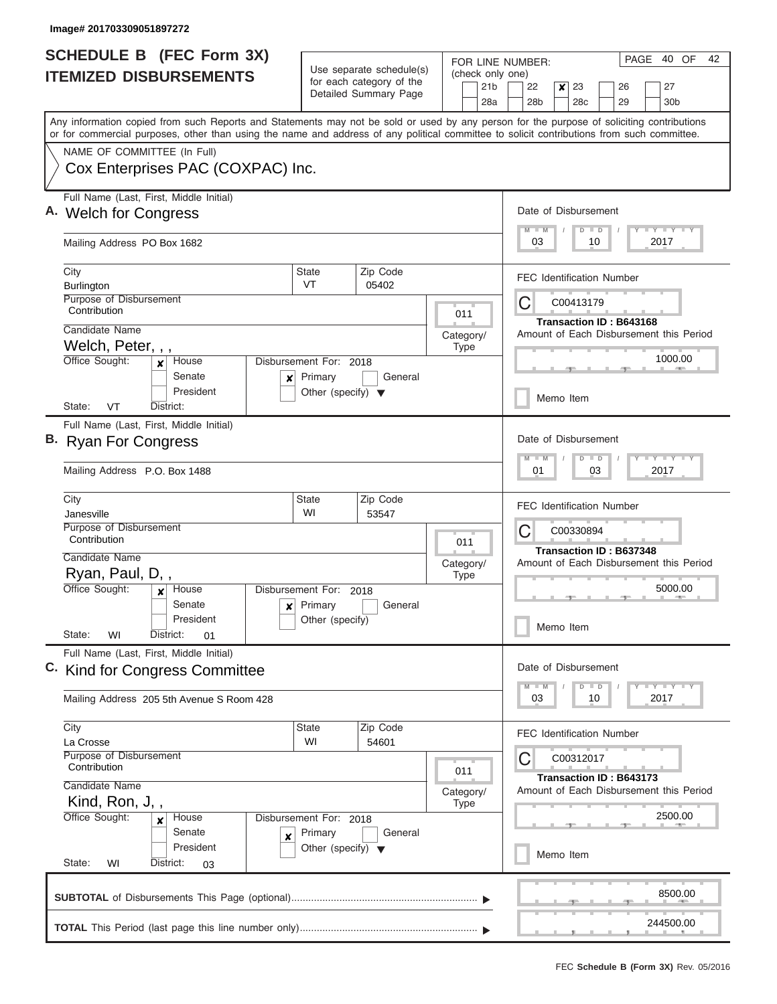| <b>SCHEDULE B (FEC Form 3X)</b>                                                                                                                                                                                                                                                         |                                                                                          |                                                      |                      |             | PAGE<br>FOR LINE NUMBER: |                                                                           |                                         |                                                         |    | 40 OF                            | 42 |                       |  |  |
|-----------------------------------------------------------------------------------------------------------------------------------------------------------------------------------------------------------------------------------------------------------------------------------------|------------------------------------------------------------------------------------------|------------------------------------------------------|----------------------|-------------|--------------------------|---------------------------------------------------------------------------|-----------------------------------------|---------------------------------------------------------|----|----------------------------------|----|-----------------------|--|--|
| <b>ITEMIZED DISBURSEMENTS</b>                                                                                                                                                                                                                                                           |                                                                                          | Use separate schedule(s)<br>for each category of the |                      |             | (check only one)         |                                                                           |                                         |                                                         |    |                                  |    |                       |  |  |
|                                                                                                                                                                                                                                                                                         |                                                                                          | Detailed Summary Page                                |                      |             | 21 <sub>b</sub><br>28a   | 22<br>28 <sub>b</sub>                                                     | ×                                       | 23<br>28 <sub>c</sub>                                   |    | 26<br>29                         |    | 27<br>30 <sub>b</sub> |  |  |
| Any information copied from such Reports and Statements may not be sold or used by any person for the purpose of soliciting contributions<br>or for commercial purposes, other than using the name and address of any political committee to solicit contributions from such committee. |                                                                                          |                                                      |                      |             |                          |                                                                           |                                         |                                                         |    |                                  |    |                       |  |  |
| NAME OF COMMITTEE (In Full)                                                                                                                                                                                                                                                             |                                                                                          |                                                      |                      |             |                          |                                                                           |                                         |                                                         |    |                                  |    |                       |  |  |
| Cox Enterprises PAC (COXPAC) Inc.                                                                                                                                                                                                                                                       |                                                                                          |                                                      |                      |             |                          |                                                                           |                                         |                                                         |    |                                  |    |                       |  |  |
| Full Name (Last, First, Middle Initial)<br>A. Welch for Congress                                                                                                                                                                                                                        |                                                                                          |                                                      | Date of Disbursement |             |                          |                                                                           |                                         |                                                         |    |                                  |    |                       |  |  |
| Mailing Address PO Box 1682                                                                                                                                                                                                                                                             |                                                                                          |                                                      |                      |             |                          |                                                                           |                                         | Y I Y I Y I Y<br>$M$ $M$<br>$D$ $D$<br>03<br>10<br>2017 |    |                                  |    |                       |  |  |
| City<br>Burlington                                                                                                                                                                                                                                                                      | Zip Code<br><b>State</b><br>VT<br>05402                                                  |                                                      |                      |             |                          | <b>FEC Identification Number</b>                                          |                                         |                                                         |    |                                  |    |                       |  |  |
| Purpose of Disbursement<br>Contribution                                                                                                                                                                                                                                                 |                                                                                          |                                                      |                      | 011         |                          | C<br>C00413179                                                            |                                         |                                                         |    |                                  |    |                       |  |  |
| Candidate Name                                                                                                                                                                                                                                                                          |                                                                                          |                                                      |                      | Category/   |                          | Transaction ID: B643168<br>Amount of Each Disbursement this Period        |                                         |                                                         |    |                                  |    |                       |  |  |
| Welch, Peter, , ,<br>Office Sought:<br>House<br>x                                                                                                                                                                                                                                       | Disbursement For: 2018                                                                   |                                                      |                      | <b>Type</b> |                          |                                                                           |                                         |                                                         |    |                                  |    | 1000.00               |  |  |
| Senate<br>×<br>President                                                                                                                                                                                                                                                                | Primary<br>Other (specify) $\blacktriangledown$                                          | General                                              |                      |             |                          | Memo Item                                                                 |                                         |                                                         |    |                                  |    |                       |  |  |
| VT<br>State:<br>District:                                                                                                                                                                                                                                                               |                                                                                          |                                                      |                      |             |                          |                                                                           |                                         |                                                         |    |                                  |    |                       |  |  |
| Full Name (Last, First, Middle Initial)<br>B. Ryan For Congress                                                                                                                                                                                                                         |                                                                                          |                                                      |                      |             |                          | Date of Disbursement<br>Y FY FY FY<br>$M - M$<br>$D$ $D$                  |                                         |                                                         |    |                                  |    |                       |  |  |
| Mailing Address P.O. Box 1488                                                                                                                                                                                                                                                           |                                                                                          |                                                      |                      |             |                          |                                                                           |                                         | 01<br>03<br>2017                                        |    |                                  |    |                       |  |  |
| City<br>Janesville                                                                                                                                                                                                                                                                      | <b>State</b><br>WI                                                                       | Zip Code<br>53547                                    |                      |             |                          | <b>FEC Identification Number</b>                                          |                                         |                                                         |    |                                  |    |                       |  |  |
| Purpose of Disbursement<br>Contribution                                                                                                                                                                                                                                                 |                                                                                          |                                                      |                      | 011         |                          | C                                                                         |                                         |                                                         |    |                                  |    |                       |  |  |
| Candidate Name                                                                                                                                                                                                                                                                          | Category/                                                                                |                                                      |                      |             |                          | <b>Transaction ID: B637348</b><br>Amount of Each Disbursement this Period |                                         |                                                         |    |                                  |    |                       |  |  |
| Ryan, Paul, D,,<br>Office Sought:<br>House<br>$\mathbf{x}$                                                                                                                                                                                                                              | <b>Type</b><br>Disbursement For: 2018<br>Primary<br>General<br>$\boldsymbol{\mathsf{x}}$ |                                                      |                      |             |                          | 5000.00                                                                   |                                         |                                                         |    |                                  |    |                       |  |  |
| Senate                                                                                                                                                                                                                                                                                  |                                                                                          |                                                      |                      |             |                          |                                                                           |                                         |                                                         |    |                                  |    |                       |  |  |
| State:<br>WI<br>District:<br>01                                                                                                                                                                                                                                                         | President<br>Other (specify)                                                             |                                                      |                      |             |                          |                                                                           | Memo Item                               |                                                         |    |                                  |    |                       |  |  |
| Full Name (Last, First, Middle Initial)<br>C. Kind for Congress Committee                                                                                                                                                                                                               |                                                                                          |                                                      |                      |             |                          |                                                                           |                                         | Date of Disbursement                                    |    |                                  |    |                       |  |  |
|                                                                                                                                                                                                                                                                                         |                                                                                          |                                                      |                      |             |                          | $M - M$                                                                   |                                         | $D$ $D$                                                 |    |                                  |    | $Y - Y - Y - Y - Y$   |  |  |
| Mailing Address 205 5th Avenue S Room 428                                                                                                                                                                                                                                               |                                                                                          |                                                      |                      |             |                          |                                                                           |                                         |                                                         | 10 |                                  |    | 2017                  |  |  |
| City<br>La Crosse                                                                                                                                                                                                                                                                       | <b>State</b><br>WI                                                                       | Zip Code<br>54601                                    |                      |             |                          |                                                                           |                                         |                                                         |    | <b>FEC Identification Number</b> |    |                       |  |  |
| Purpose of Disbursement<br>Contribution                                                                                                                                                                                                                                                 |                                                                                          |                                                      |                      |             |                          |                                                                           | C<br>C00312017                          |                                                         |    |                                  |    |                       |  |  |
| Candidate Name<br>Kind, Ron, J,,                                                                                                                                                                                                                                                        | 011<br>Category/<br><b>Type</b>                                                          |                                                      |                      |             |                          | <b>Transaction ID: B643173</b>                                            | Amount of Each Disbursement this Period |                                                         |    |                                  |    |                       |  |  |
| Office Sought:<br>House<br>$\boldsymbol{x}$                                                                                                                                                                                                                                             | Disbursement For: 2018                                                                   |                                                      |                      |             |                          | 2500.00                                                                   |                                         |                                                         |    |                                  |    |                       |  |  |
| Senate<br>×<br>President<br>State:<br>District:<br>WI<br>03                                                                                                                                                                                                                             | Primary<br>Other (specify) $\blacktriangledown$                                          |                                                      |                      | Memo Item   |                          |                                                                           |                                         |                                                         |    |                                  |    |                       |  |  |
|                                                                                                                                                                                                                                                                                         |                                                                                          |                                                      |                      |             |                          |                                                                           |                                         |                                                         |    |                                  |    |                       |  |  |
|                                                                                                                                                                                                                                                                                         |                                                                                          |                                                      |                      |             |                          |                                                                           |                                         |                                                         |    |                                  |    | 8500.00               |  |  |
|                                                                                                                                                                                                                                                                                         |                                                                                          |                                                      |                      |             |                          |                                                                           |                                         |                                                         |    |                                  |    | 244500.00             |  |  |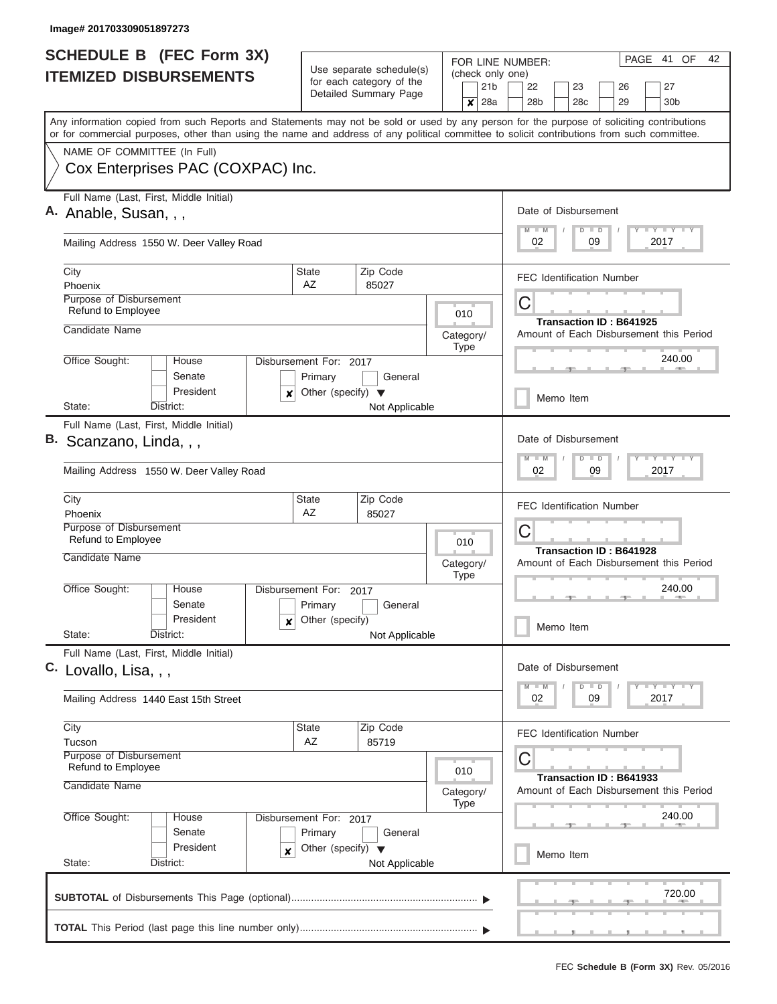#### **Image# 201703309051897273**

| <b>SCHEDULE B</b> (FEC Form 3X)<br><b>ITEMIZED DISBURSEMENTS</b>                                                                                                                                                                                                                        |                                                                                                            | Use separate schedule(s)                          |                                                           |                          | (check only one)       | PAGE 41 OF<br>42<br>FOR LINE NUMBER:                                      |                                  |                                                       |  |          |  |                       |  |  |  |  |  |
|-----------------------------------------------------------------------------------------------------------------------------------------------------------------------------------------------------------------------------------------------------------------------------------------|------------------------------------------------------------------------------------------------------------|---------------------------------------------------|-----------------------------------------------------------|--------------------------|------------------------|---------------------------------------------------------------------------|----------------------------------|-------------------------------------------------------|--|----------|--|-----------------------|--|--|--|--|--|
|                                                                                                                                                                                                                                                                                         |                                                                                                            | for each category of the<br>Detailed Summary Page |                                                           | x                        | 21 <sub>b</sub><br>28a | 22<br>28 <sub>b</sub>                                                     |                                  | 23<br>28 <sub>c</sub>                                 |  | 26<br>29 |  | 27<br>30 <sub>b</sub> |  |  |  |  |  |
| Any information copied from such Reports and Statements may not be sold or used by any person for the purpose of soliciting contributions<br>or for commercial purposes, other than using the name and address of any political committee to solicit contributions from such committee. |                                                                                                            |                                                   |                                                           |                          |                        |                                                                           |                                  |                                                       |  |          |  |                       |  |  |  |  |  |
| NAME OF COMMITTEE (In Full)                                                                                                                                                                                                                                                             |                                                                                                            |                                                   |                                                           |                          |                        |                                                                           |                                  |                                                       |  |          |  |                       |  |  |  |  |  |
| Cox Enterprises PAC (COXPAC) Inc.                                                                                                                                                                                                                                                       |                                                                                                            |                                                   |                                                           |                          |                        |                                                                           |                                  |                                                       |  |          |  |                       |  |  |  |  |  |
| Full Name (Last, First, Middle Initial)<br>A. Anable, Susan, , ,                                                                                                                                                                                                                        |                                                                                                            |                                                   |                                                           | Date of Disbursement     |                        |                                                                           |                                  |                                                       |  |          |  |                       |  |  |  |  |  |
| Mailing Address 1550 W. Deer Valley Road                                                                                                                                                                                                                                                |                                                                                                            |                                                   | $T - Y = T - Y$<br>$M$ $M$<br>$D$ $D$<br>2017<br>02<br>09 |                          |                        |                                                                           |                                  |                                                       |  |          |  |                       |  |  |  |  |  |
| City<br>Phoenix                                                                                                                                                                                                                                                                         | State<br>AZ                                                                                                | Zip Code<br>85027                                 |                                                           |                          |                        | <b>FEC Identification Number</b>                                          |                                  |                                                       |  |          |  |                       |  |  |  |  |  |
| Purpose of Disbursement                                                                                                                                                                                                                                                                 |                                                                                                            |                                                   |                                                           |                          |                        | C                                                                         |                                  |                                                       |  |          |  |                       |  |  |  |  |  |
| Refund to Employee                                                                                                                                                                                                                                                                      |                                                                                                            |                                                   |                                                           | 010                      |                        | <b>Transaction ID: B641925</b><br>Amount of Each Disbursement this Period |                                  |                                                       |  |          |  |                       |  |  |  |  |  |
| Candidate Name                                                                                                                                                                                                                                                                          |                                                                                                            |                                                   |                                                           | Category/<br><b>Type</b> |                        |                                                                           |                                  |                                                       |  |          |  |                       |  |  |  |  |  |
| Office Sought:<br>House                                                                                                                                                                                                                                                                 | Disbursement For: 2017                                                                                     |                                                   |                                                           |                          |                        | 240.00                                                                    |                                  |                                                       |  |          |  |                       |  |  |  |  |  |
| Senate<br>President<br>×                                                                                                                                                                                                                                                                | Primary<br>Other (specify) $\blacktriangledown$                                                            | General                                           |                                                           |                          |                        |                                                                           |                                  |                                                       |  |          |  |                       |  |  |  |  |  |
| State:<br>District:                                                                                                                                                                                                                                                                     |                                                                                                            | Not Applicable                                    |                                                           |                          |                        | Memo Item                                                                 |                                  |                                                       |  |          |  |                       |  |  |  |  |  |
| Full Name (Last, First, Middle Initial)<br>B. Scanzano, Linda, , ,                                                                                                                                                                                                                      |                                                                                                            |                                                   |                                                           |                          |                        | Date of Disbursement<br>$-Y - Y - I - Y$<br>$M - M$<br>$D$ $D$            |                                  |                                                       |  |          |  |                       |  |  |  |  |  |
| Mailing Address 1550 W. Deer Valley Road                                                                                                                                                                                                                                                |                                                                                                            |                                                   |                                                           |                          |                        | 2017<br>02<br>09                                                          |                                  |                                                       |  |          |  |                       |  |  |  |  |  |
| City<br>Phoenix                                                                                                                                                                                                                                                                         | <b>State</b><br><b>AZ</b>                                                                                  | Zip Code<br>85027                                 |                                                           |                          |                        |                                                                           | <b>FEC Identification Number</b> |                                                       |  |          |  |                       |  |  |  |  |  |
| Purpose of Disbursement<br>Refund to Employee                                                                                                                                                                                                                                           |                                                                                                            |                                                   |                                                           | 010                      |                        | C                                                                         |                                  |                                                       |  |          |  |                       |  |  |  |  |  |
| Candidate Name                                                                                                                                                                                                                                                                          | Category/<br><b>Type</b>                                                                                   |                                                   |                                                           |                          |                        | Transaction ID: B641928<br>Amount of Each Disbursement this Period        |                                  |                                                       |  |          |  |                       |  |  |  |  |  |
| Office Sought:<br>House<br>Senate                                                                                                                                                                                                                                                       | Disbursement For: 2017<br>Primary                                                                          | General                                           |                                                           |                          |                        | 240.00                                                                    |                                  |                                                       |  |          |  |                       |  |  |  |  |  |
| President<br>x<br>State:<br>District:                                                                                                                                                                                                                                                   | Other (specify)<br>Not Applicable                                                                          |                                                   |                                                           |                          |                        |                                                                           | Memo Item                        |                                                       |  |          |  |                       |  |  |  |  |  |
| Full Name (Last, First, Middle Initial)<br>C. Lovallo, Lisa, , ,                                                                                                                                                                                                                        |                                                                                                            |                                                   |                                                           |                          |                        | Date of Disbursement                                                      |                                  |                                                       |  |          |  |                       |  |  |  |  |  |
| Mailing Address 1440 East 15th Street                                                                                                                                                                                                                                                   |                                                                                                            |                                                   |                                                           |                          |                        |                                                                           |                                  | T Y T Y T Y<br>$D$ $D$<br>$M - M$<br>02<br>09<br>2017 |  |          |  |                       |  |  |  |  |  |
| City                                                                                                                                                                                                                                                                                    | State                                                                                                      | Zip Code                                          |                                                           |                          |                        | <b>FEC Identification Number</b>                                          |                                  |                                                       |  |          |  |                       |  |  |  |  |  |
| Tucson<br><b>Purpose of Disbursement</b><br>Refund to Employee                                                                                                                                                                                                                          | AZ<br>85719<br>010<br>Category/<br>Type<br>House<br>Disbursement For: 2017<br>Senate<br>Primary<br>General |                                                   |                                                           |                          |                        | С                                                                         |                                  |                                                       |  |          |  |                       |  |  |  |  |  |
| Candidate Name                                                                                                                                                                                                                                                                          |                                                                                                            |                                                   |                                                           |                          |                        | Transaction ID: B641933<br>Amount of Each Disbursement this Period        |                                  |                                                       |  |          |  |                       |  |  |  |  |  |
| Office Sought:                                                                                                                                                                                                                                                                          |                                                                                                            |                                                   |                                                           |                          |                        |                                                                           |                                  | 240.00                                                |  |          |  |                       |  |  |  |  |  |
| President<br>×<br>State:<br>District:                                                                                                                                                                                                                                                   | Other (specify) $\blacktriangledown$<br>Not Applicable                                                     |                                                   |                                                           |                          |                        |                                                                           | Memo Item                        |                                                       |  |          |  |                       |  |  |  |  |  |
|                                                                                                                                                                                                                                                                                         |                                                                                                            |                                                   |                                                           |                          |                        |                                                                           |                                  |                                                       |  |          |  | 720.00                |  |  |  |  |  |
|                                                                                                                                                                                                                                                                                         |                                                                                                            |                                                   |                                                           |                          |                        |                                                                           |                                  |                                                       |  |          |  |                       |  |  |  |  |  |